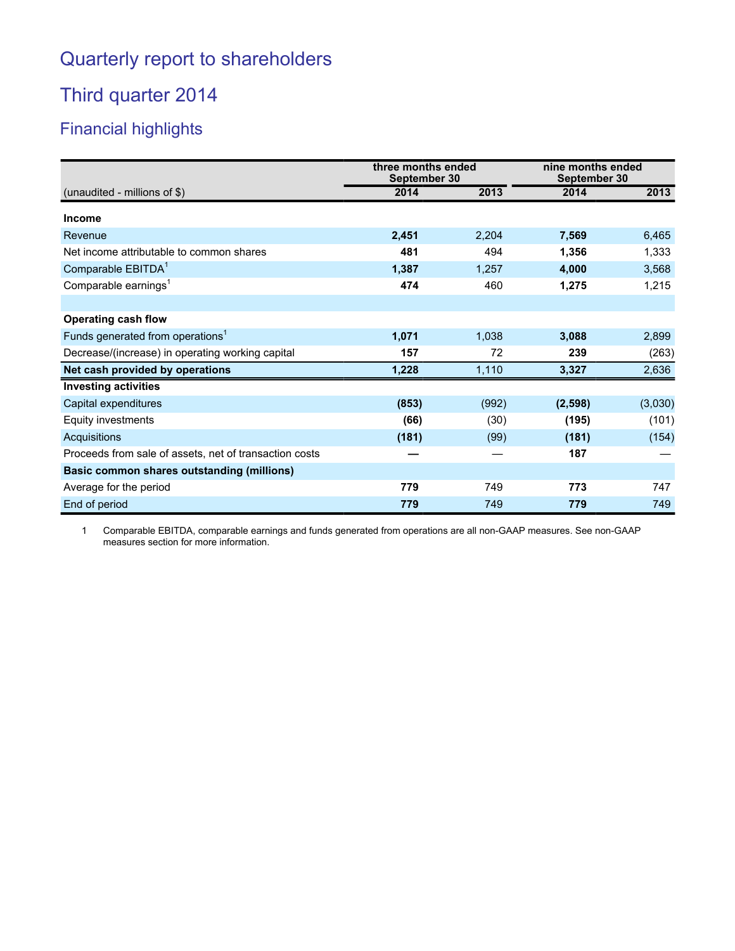# Quarterly report to shareholders

# Third quarter 2014

# Financial highlights

|                                                        | three months ended<br>September 30 |       | nine months ended<br>September 30 |         |
|--------------------------------------------------------|------------------------------------|-------|-----------------------------------|---------|
| (unaudited - millions of \$)                           | 2014                               | 2013  | 2014                              | 2013    |
| <b>Income</b>                                          |                                    |       |                                   |         |
| Revenue                                                | 2,451                              | 2,204 | 7,569                             | 6,465   |
| Net income attributable to common shares               | 481                                | 494   | 1,356                             | 1,333   |
| Comparable EBITDA <sup>1</sup>                         | 1,387                              | 1,257 | 4,000                             | 3,568   |
| Comparable earnings <sup>1</sup>                       | 474                                | 460   | 1,275                             | 1,215   |
|                                                        |                                    |       |                                   |         |
| <b>Operating cash flow</b>                             |                                    |       |                                   |         |
| Funds generated from operations <sup>1</sup>           | 1,071                              | 1,038 | 3,088                             | 2,899   |
| Decrease/(increase) in operating working capital       | 157                                | 72    | 239                               | (263)   |
| Net cash provided by operations                        | 1,228                              | 1,110 | 3,327                             | 2,636   |
| <b>Investing activities</b>                            |                                    |       |                                   |         |
| Capital expenditures                                   | (853)                              | (992) | (2, 598)                          | (3,030) |
| Equity investments                                     | (66)                               | (30)  | (195)                             | (101)   |
| Acquisitions                                           | (181)                              | (99)  | (181)                             | (154)   |
| Proceeds from sale of assets, net of transaction costs |                                    |       | 187                               |         |
| Basic common shares outstanding (millions)             |                                    |       |                                   |         |
| Average for the period                                 | 779                                | 749   | 773                               | 747     |
| End of period                                          | 779                                | 749   | 779                               | 749     |

1 Comparable EBITDA, comparable earnings and funds generated from operations are all non-GAAP measures. See non-GAAP measures section for more information.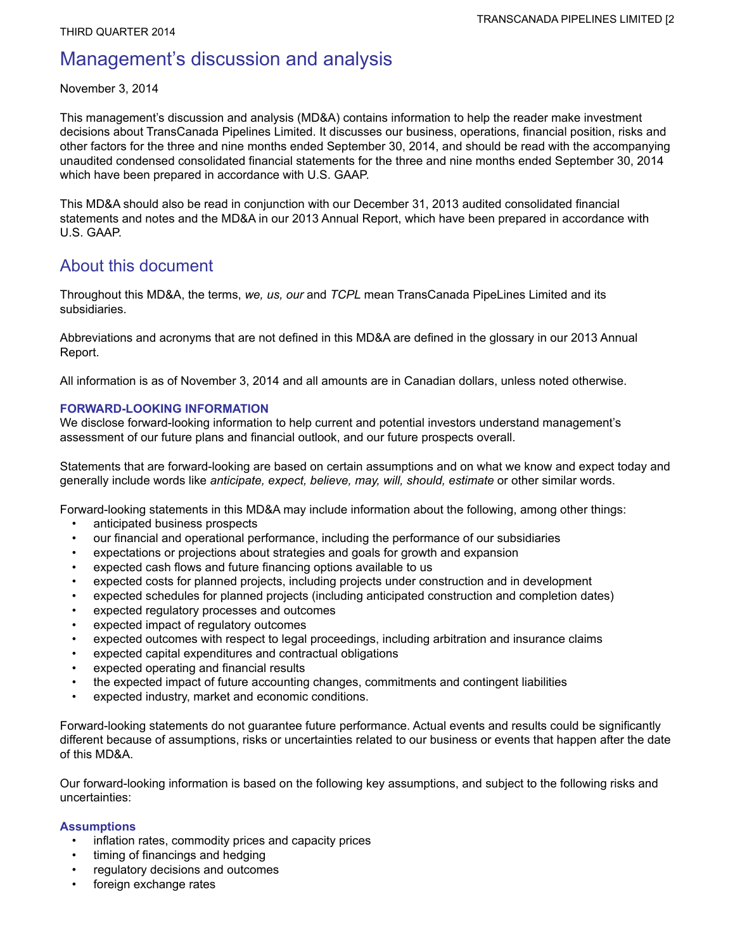# Management's discussion and analysis

November 3, 2014

This management's discussion and analysis (MD&A) contains information to help the reader make investment decisions about TransCanada Pipelines Limited. It discusses our business, operations, financial position, risks and other factors for the three and nine months ended September 30, 2014, and should be read with the accompanying unaudited condensed consolidated financial statements for the three and nine months ended September 30, 2014 which have been prepared in accordance with U.S. GAAP.

This MD&A should also be read in conjunction with our December 31, 2013 audited consolidated financial statements and notes and the MD&A in our 2013 Annual Report, which have been prepared in accordance with U.S. GAAP.

# About this document

Throughout this MD&A, the terms, *we, us, our* and *TCPL* mean TransCanada PipeLines Limited and its subsidiaries.

Abbreviations and acronyms that are not defined in this MD&A are defined in the glossary in our 2013 Annual Report.

All information is as of November 3, 2014 and all amounts are in Canadian dollars, unless noted otherwise.

## **FORWARD-LOOKING INFORMATION**

We disclose forward-looking information to help current and potential investors understand management's assessment of our future plans and financial outlook, and our future prospects overall.

Statements that are forward-looking are based on certain assumptions and on what we know and expect today and generally include words like *anticipate, expect, believe, may, will, should, estimate* or other similar words.

Forward-looking statements in this MD&A may include information about the following, among other things:

- anticipated business prospects
- our financial and operational performance, including the performance of our subsidiaries
- expectations or projections about strategies and goals for growth and expansion
- expected cash flows and future financing options available to us
- expected costs for planned projects, including projects under construction and in development
- expected schedules for planned projects (including anticipated construction and completion dates)
- expected regulatory processes and outcomes
- expected impact of regulatory outcomes
- expected outcomes with respect to legal proceedings, including arbitration and insurance claims
- expected capital expenditures and contractual obligations
- expected operating and financial results
- the expected impact of future accounting changes, commitments and contingent liabilities
- expected industry, market and economic conditions.

Forward-looking statements do not guarantee future performance. Actual events and results could be significantly different because of assumptions, risks or uncertainties related to our business or events that happen after the date of this MD&A.

Our forward-looking information is based on the following key assumptions, and subject to the following risks and uncertainties:

### **Assumptions**

- inflation rates, commodity prices and capacity prices
- timing of financings and hedging
- regulatory decisions and outcomes
- foreign exchange rates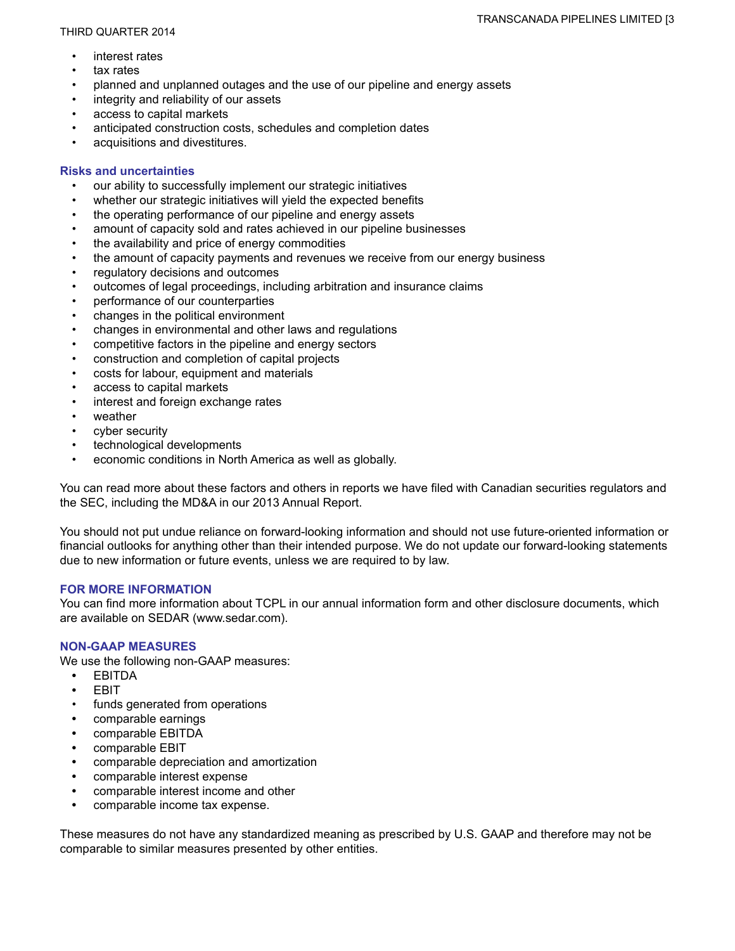- interest rates
- tax rates
- planned and unplanned outages and the use of our pipeline and energy assets
- integrity and reliability of our assets
- access to capital markets
- anticipated construction costs, schedules and completion dates
- acquisitions and divestitures.

# **Risks and uncertainties**

- our ability to successfully implement our strategic initiatives
- whether our strategic initiatives will yield the expected benefits
- the operating performance of our pipeline and energy assets
- amount of capacity sold and rates achieved in our pipeline businesses
- the availability and price of energy commodities
- the amount of capacity payments and revenues we receive from our energy business
- regulatory decisions and outcomes
- outcomes of legal proceedings, including arbitration and insurance claims
- performance of our counterparties
- changes in the political environment
- changes in environmental and other laws and regulations
- competitive factors in the pipeline and energy sectors
- construction and completion of capital projects
- costs for labour, equipment and materials
- access to capital markets
- interest and foreign exchange rates
- weather
- cyber security
- technological developments
- economic conditions in North America as well as globally.

You can read more about these factors and others in reports we have filed with Canadian securities regulators and the SEC, including the MD&A in our 2013 Annual Report.

You should not put undue reliance on forward-looking information and should not use future-oriented information or financial outlooks for anything other than their intended purpose. We do not update our forward-looking statements due to new information or future events, unless we are required to by law.

## **FOR MORE INFORMATION**

You can find more information about TCPL in our annual information form and other disclosure documents, which are available on SEDAR (www.sedar.com).

### **NON-GAAP MEASURES**

We use the following non-GAAP measures:

- EBITDA
- EBIT
- funds generated from operations
- comparable earnings
- comparable EBITDA
- comparable EBIT
- comparable depreciation and amortization
- comparable interest expense
- comparable interest income and other
- comparable income tax expense.

These measures do not have any standardized meaning as prescribed by U.S. GAAP and therefore may not be comparable to similar measures presented by other entities.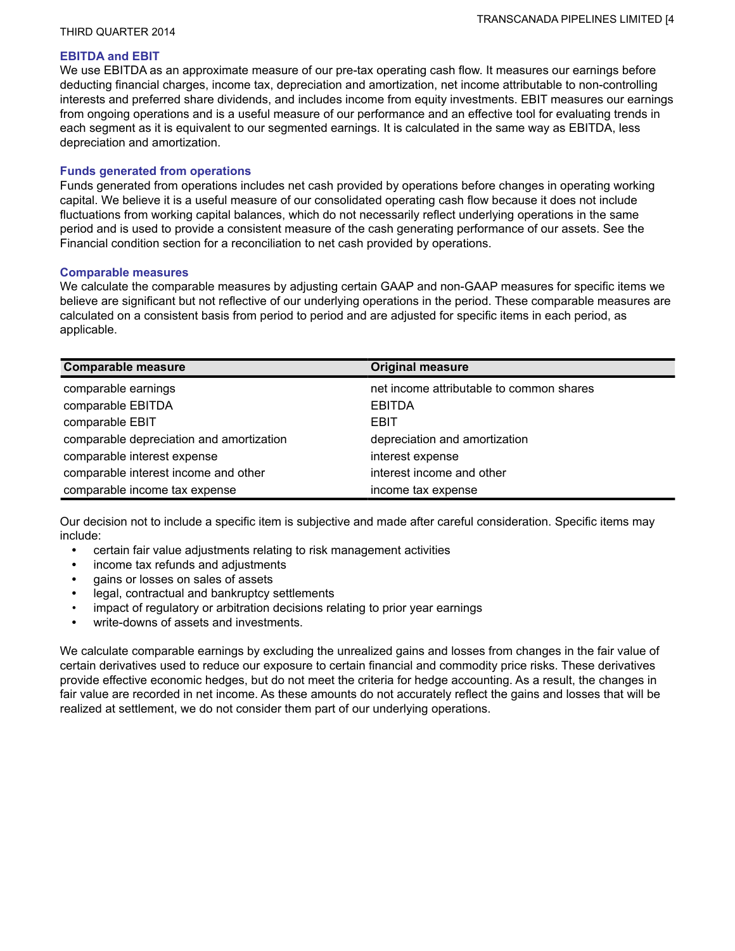#### **EBITDA and EBIT**

We use EBITDA as an approximate measure of our pre-tax operating cash flow. It measures our earnings before deducting financial charges, income tax, depreciation and amortization, net income attributable to non-controlling interests and preferred share dividends, and includes income from equity investments. EBIT measures our earnings from ongoing operations and is a useful measure of our performance and an effective tool for evaluating trends in each segment as it is equivalent to our segmented earnings. It is calculated in the same way as EBITDA, less depreciation and amortization.

### **Funds generated from operations**

Funds generated from operations includes net cash provided by operations before changes in operating working capital. We believe it is a useful measure of our consolidated operating cash flow because it does not include fluctuations from working capital balances, which do not necessarily reflect underlying operations in the same period and is used to provide a consistent measure of the cash generating performance of our assets. See the Financial condition section for a reconciliation to net cash provided by operations.

#### **Comparable measures**

We calculate the comparable measures by adjusting certain GAAP and non-GAAP measures for specific items we believe are significant but not reflective of our underlying operations in the period. These comparable measures are calculated on a consistent basis from period to period and are adjusted for specific items in each period, as applicable.

| <b>Comparable measure</b>                | <b>Original measure</b>                  |
|------------------------------------------|------------------------------------------|
| comparable earnings                      | net income attributable to common shares |
| comparable EBITDA                        | <b>EBITDA</b>                            |
| comparable EBIT                          | <b>EBIT</b>                              |
| comparable depreciation and amortization | depreciation and amortization            |
| comparable interest expense              | interest expense                         |
| comparable interest income and other     | interest income and other                |
| comparable income tax expense            | income tax expense                       |

Our decision not to include a specific item is subjective and made after careful consideration. Specific items may include:

- certain fair value adjustments relating to risk management activities
- income tax refunds and adjustments
- gains or losses on sales of assets
- legal, contractual and bankruptcy settlements
- impact of regulatory or arbitration decisions relating to prior year earnings
- write-downs of assets and investments.

We calculate comparable earnings by excluding the unrealized gains and losses from changes in the fair value of certain derivatives used to reduce our exposure to certain financial and commodity price risks. These derivatives provide effective economic hedges, but do not meet the criteria for hedge accounting. As a result, the changes in fair value are recorded in net income. As these amounts do not accurately reflect the gains and losses that will be realized at settlement, we do not consider them part of our underlying operations.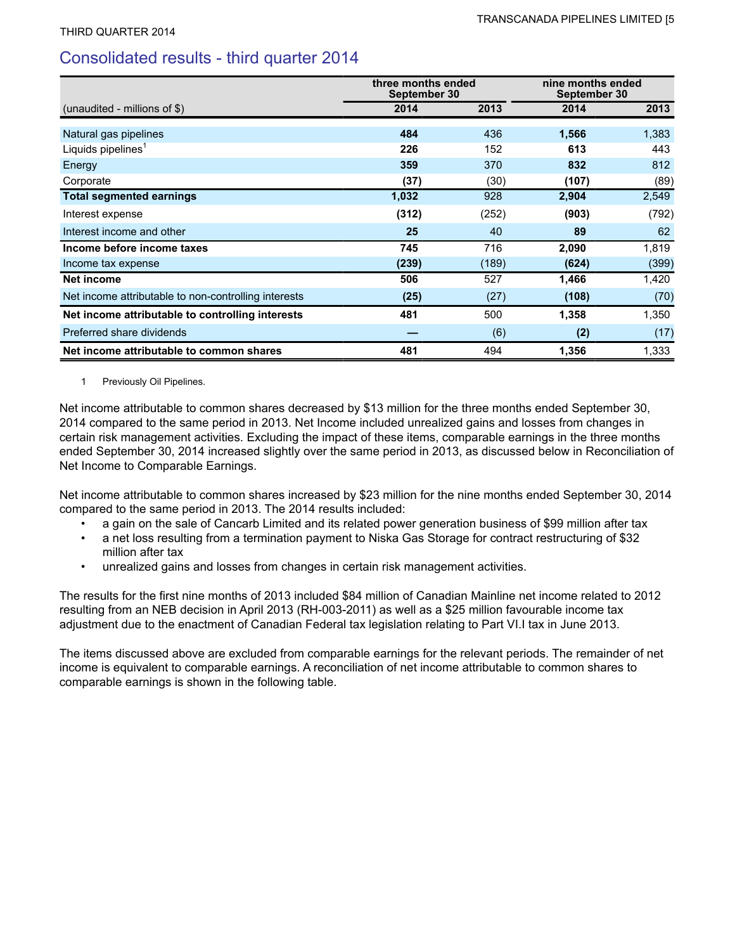# Consolidated results - third quarter 2014

|                                                      | three months ended<br>September 30 |       | nine months ended<br>September 30 |       |
|------------------------------------------------------|------------------------------------|-------|-----------------------------------|-------|
| (unaudited - millions of $\$\$ )                     | 2014                               | 2013  | 2014                              | 2013  |
| Natural gas pipelines                                | 484                                | 436   | 1,566                             | 1,383 |
| Liquids pipelines <sup>1</sup>                       | 226                                | 152   | 613                               | 443   |
| Energy                                               | 359                                | 370   | 832                               | 812   |
| Corporate                                            | (37)                               | (30)  | (107)                             | (89)  |
| <b>Total segmented earnings</b>                      | 1,032                              | 928   | 2,904                             | 2,549 |
| Interest expense                                     | (312)                              | (252) | (903)                             | (792) |
| Interest income and other                            | 25                                 | 40    | 89                                | 62    |
| Income before income taxes                           | 745                                | 716   | 2,090                             | 1,819 |
| Income tax expense                                   | (239)                              | (189) | (624)                             | (399) |
| <b>Net income</b>                                    | 506                                | 527   | 1,466                             | 1,420 |
| Net income attributable to non-controlling interests | (25)                               | (27)  | (108)                             | (70)  |
| Net income attributable to controlling interests     | 481                                | 500   | 1,358                             | 1,350 |
| Preferred share dividends                            |                                    | (6)   | (2)                               | (17)  |
| Net income attributable to common shares             | 481                                | 494   | 1,356                             | 1,333 |

1 Previously Oil Pipelines.

Net income attributable to common shares decreased by \$13 million for the three months ended September 30, 2014 compared to the same period in 2013. Net Income included unrealized gains and losses from changes in certain risk management activities. Excluding the impact of these items, comparable earnings in the three months ended September 30, 2014 increased slightly over the same period in 2013, as discussed below in Reconciliation of Net Income to Comparable Earnings.

Net income attributable to common shares increased by \$23 million for the nine months ended September 30, 2014 compared to the same period in 2013. The 2014 results included:

- a gain on the sale of Cancarb Limited and its related power generation business of \$99 million after tax
- a net loss resulting from a termination payment to Niska Gas Storage for contract restructuring of \$32 million after tax
- unrealized gains and losses from changes in certain risk management activities.

The results for the first nine months of 2013 included \$84 million of Canadian Mainline net income related to 2012 resulting from an NEB decision in April 2013 (RH-003-2011) as well as a \$25 million favourable income tax adjustment due to the enactment of Canadian Federal tax legislation relating to Part VI.I tax in June 2013.

The items discussed above are excluded from comparable earnings for the relevant periods. The remainder of net income is equivalent to comparable earnings. A reconciliation of net income attributable to common shares to comparable earnings is shown in the following table.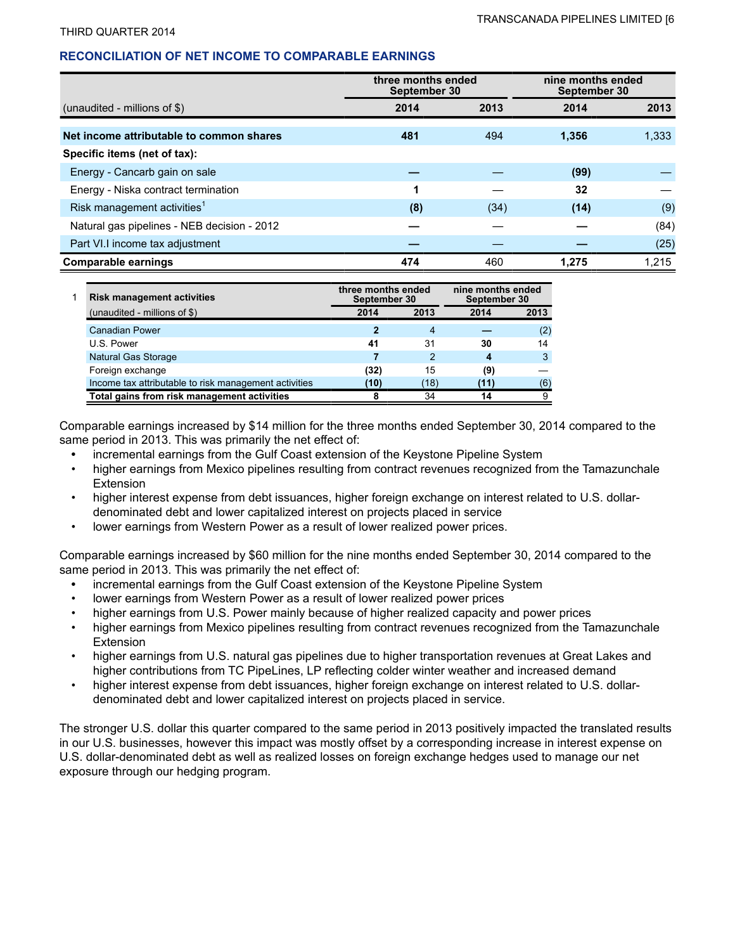# **RECONCILIATION OF NET INCOME TO COMPARABLE EARNINGS**

|                                             | three months ended<br>September 30 |      | nine months ended<br>September 30 |       |
|---------------------------------------------|------------------------------------|------|-----------------------------------|-------|
| (unaudited - millions of \$)                | 2014                               | 2013 | 2014                              | 2013  |
| Net income attributable to common shares    | 481                                | 494  | 1,356                             | 1,333 |
| Specific items (net of tax):                |                                    |      |                                   |       |
| Energy - Cancarb gain on sale               |                                    |      | (99)                              |       |
| Energy - Niska contract termination         | 1                                  |      | 32                                |       |
| Risk management activities <sup>1</sup>     | (8)                                | (34) | (14)                              | (9)   |
| Natural gas pipelines - NEB decision - 2012 |                                    |      |                                   | (84)  |
| Part VI.I income tax adjustment             |                                    |      |                                   | (25)  |
| <b>Comparable earnings</b>                  | 474                                | 460  | 1,275                             | 1,215 |

| <b>Risk management activities</b>                     | three months ended<br>September 30 |                | nine months ended<br>September 30 |      |
|-------------------------------------------------------|------------------------------------|----------------|-----------------------------------|------|
| (unaudited - millions of \$)                          | 2014                               | 2013           | 2014                              | 2013 |
| <b>Canadian Power</b>                                 |                                    |                |                                   | (2)  |
| U.S. Power                                            | 41                                 | 31             | 30                                | 14   |
| <b>Natural Gas Storage</b>                            |                                    |                | 4                                 | 3    |
| Foreign exchange                                      | (32)                               | 15             | (9)                               |      |
| Income tax attributable to risk management activities | (10)                               | $^{\prime}18)$ | (11)                              | 6)   |
| Total gains from risk management activities           |                                    | 34             | 14                                | я    |

Comparable earnings increased by \$14 million for the three months ended September 30, 2014 compared to the same period in 2013. This was primarily the net effect of:

- incremental earnings from the Gulf Coast extension of the Keystone Pipeline System
- higher earnings from Mexico pipelines resulting from contract revenues recognized from the Tamazunchale Extension
- higher interest expense from debt issuances, higher foreign exchange on interest related to U.S. dollardenominated debt and lower capitalized interest on projects placed in service
- lower earnings from Western Power as a result of lower realized power prices.

Comparable earnings increased by \$60 million for the nine months ended September 30, 2014 compared to the same period in 2013. This was primarily the net effect of:

- incremental earnings from the Gulf Coast extension of the Keystone Pipeline System
- lower earnings from Western Power as a result of lower realized power prices
- higher earnings from U.S. Power mainly because of higher realized capacity and power prices
- higher earnings from Mexico pipelines resulting from contract revenues recognized from the Tamazunchale **Extension**
- higher earnings from U.S. natural gas pipelines due to higher transportation revenues at Great Lakes and higher contributions from TC PipeLines, LP reflecting colder winter weather and increased demand
- higher interest expense from debt issuances, higher foreign exchange on interest related to U.S. dollardenominated debt and lower capitalized interest on projects placed in service.

The stronger U.S. dollar this quarter compared to the same period in 2013 positively impacted the translated results in our U.S. businesses, however this impact was mostly offset by a corresponding increase in interest expense on U.S. dollar-denominated debt as well as realized losses on foreign exchange hedges used to manage our net exposure through our hedging program.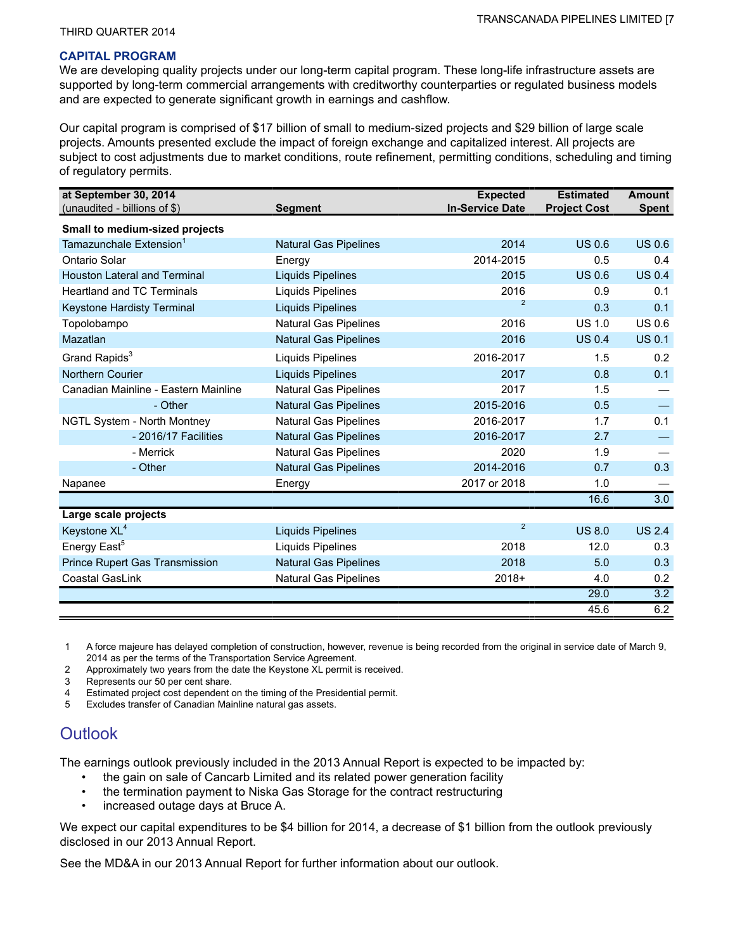#### **CAPITAL PROGRAM**

We are developing quality projects under our long-term capital program. These long-life infrastructure assets are supported by long-term commercial arrangements with creditworthy counterparties or regulated business models and are expected to generate significant growth in earnings and cashflow.

Our capital program is comprised of \$17 billion of small to medium-sized projects and \$29 billion of large scale projects. Amounts presented exclude the impact of foreign exchange and capitalized interest. All projects are subject to cost adjustments due to market conditions, route refinement, permitting conditions, scheduling and timing of regulatory permits.

| at September 30, 2014                |                              | <b>Expected</b>        | <b>Estimated</b>    | <b>Amount</b> |
|--------------------------------------|------------------------------|------------------------|---------------------|---------------|
| (unaudited - billions of \$)         | <b>Segment</b>               | <b>In-Service Date</b> | <b>Project Cost</b> | <b>Spent</b>  |
| Small to medium-sized projects       |                              |                        |                     |               |
| Tamazunchale Extension <sup>1</sup>  | <b>Natural Gas Pipelines</b> | 2014                   | <b>US 0.6</b>       | <b>US 0.6</b> |
| Ontario Solar                        | Energy                       | 2014-2015              | 0.5                 | 0.4           |
| <b>Houston Lateral and Terminal</b>  | <b>Liquids Pipelines</b>     | 2015                   | <b>US 0.6</b>       | <b>US 0.4</b> |
| <b>Heartland and TC Terminals</b>    | Liquids Pipelines            | 2016                   | 0.9                 | 0.1           |
| Keystone Hardisty Terminal           | <b>Liquids Pipelines</b>     | $\overline{2}$         | 0.3                 | 0.1           |
| Topolobampo                          | <b>Natural Gas Pipelines</b> | 2016                   | <b>US 1.0</b>       | <b>US 0.6</b> |
| Mazatlan                             | <b>Natural Gas Pipelines</b> | 2016                   | <b>US 0.4</b>       | <b>US 0.1</b> |
| Grand Rapids <sup>3</sup>            | Liquids Pipelines            | 2016-2017              | 1.5                 | 0.2           |
| Northern Courier                     | <b>Liquids Pipelines</b>     | 2017                   | 0.8                 | 0.1           |
| Canadian Mainline - Eastern Mainline | <b>Natural Gas Pipelines</b> | 2017                   | 1.5                 |               |
| - Other                              | <b>Natural Gas Pipelines</b> | 2015-2016              |                     |               |
| NGTL System - North Montney          | <b>Natural Gas Pipelines</b> | 2016-2017              | 1.7                 | 0.1           |
| - 2016/17 Facilities                 | <b>Natural Gas Pipelines</b> | 2016-2017              | 2.7                 |               |
| - Merrick                            | <b>Natural Gas Pipelines</b> | 2020                   | 1.9                 |               |
| - Other                              | <b>Natural Gas Pipelines</b> | 2014-2016              | 0.7                 | 0.3           |
| Napanee                              | Energy                       | 2017 or 2018           | 1.0                 |               |
|                                      |                              |                        | 16.6                | 3.0           |
| Large scale projects                 |                              |                        |                     |               |
| Keystone XL <sup>4</sup>             | <b>Liquids Pipelines</b>     | $\overline{2}$         | <b>US 8.0</b>       | <b>US 2.4</b> |
| Energy East <sup>5</sup>             | <b>Liquids Pipelines</b>     | 2018                   | 12.0                | 0.3           |
| Prince Rupert Gas Transmission       | <b>Natural Gas Pipelines</b> | 2018                   | 5.0                 | 0.3           |
| Coastal GasLink                      | <b>Natural Gas Pipelines</b> | $2018+$                | 4.0                 | 0.2           |
|                                      |                              |                        | 29.0                | 3.2           |
|                                      |                              |                        | 45.6                | 6.2           |

1 A force majeure has delayed completion of construction, however, revenue is being recorded from the original in service date of March 9, 2014 as per the terms of the Transportation Service Agreement.

2 Approximately two years from the date the Keystone XL permit is received.

3 Represents our 50 per cent share.

- 4 Estimated project cost dependent on the timing of the Presidential permit.
- 5 Excludes transfer of Canadian Mainline natural gas assets.

# **Outlook**

The earnings outlook previously included in the 2013 Annual Report is expected to be impacted by:

- the gain on sale of Cancarb Limited and its related power generation facility
- the termination payment to Niska Gas Storage for the contract restructuring
- increased outage days at Bruce A.

We expect our capital expenditures to be \$4 billion for 2014, a decrease of \$1 billion from the outlook previously disclosed in our 2013 Annual Report.

See the MD&A in our 2013 Annual Report for further information about our outlook.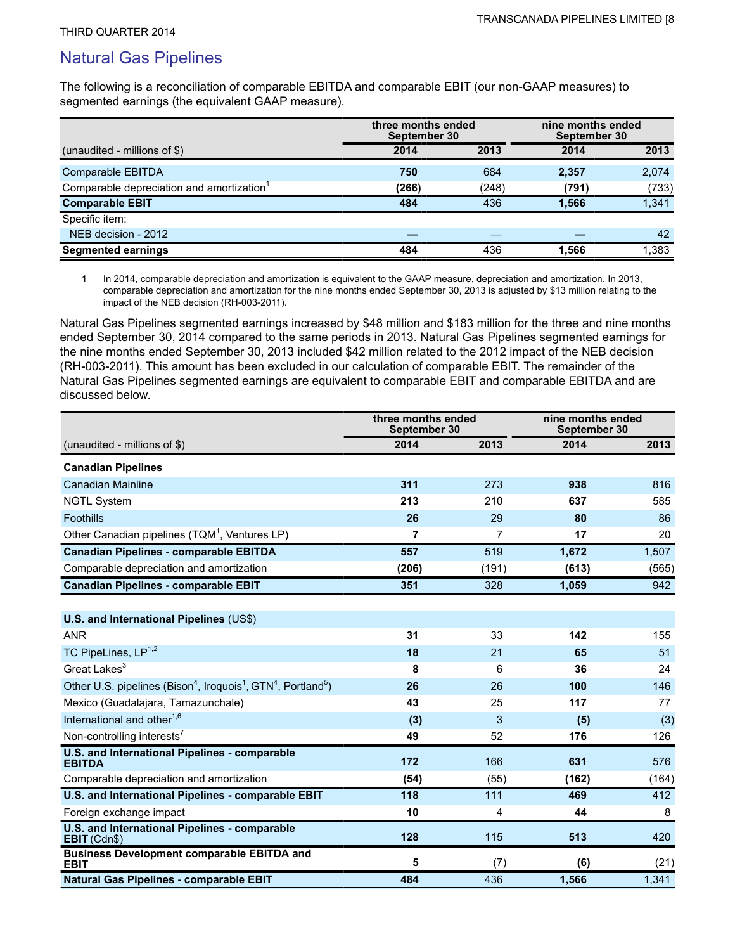# Natural Gas Pipelines

The following is a reconciliation of comparable EBITDA and comparable EBIT (our non-GAAP measures) to segmented earnings (the equivalent GAAP measure).

|                                                       | three months ended<br>September 30 |       | nine months ended<br>September 30 |       |
|-------------------------------------------------------|------------------------------------|-------|-----------------------------------|-------|
| (unaudited - millions of $\$\$ )                      | 2014                               | 2013  | 2014                              | 2013  |
| Comparable EBITDA                                     | 750                                | 684   | 2,357                             | 2,074 |
| Comparable depreciation and amortization <sup>1</sup> | (266)                              | (248) | (791)                             | (733) |
| <b>Comparable EBIT</b>                                | 484                                | 436   | 1.566                             | 1,341 |
| Specific item:                                        |                                    |       |                                   |       |
| NEB decision - 2012                                   |                                    |       |                                   | 42    |
| <b>Segmented earnings</b>                             | 484                                | 436   | 1,566                             | 1,383 |

1 In 2014, comparable depreciation and amortization is equivalent to the GAAP measure, depreciation and amortization. In 2013, comparable depreciation and amortization for the nine months ended September 30, 2013 is adjusted by \$13 million relating to the impact of the NEB decision (RH-003-2011).

Natural Gas Pipelines segmented earnings increased by \$48 million and \$183 million for the three and nine months ended September 30, 2014 compared to the same periods in 2013. Natural Gas Pipelines segmented earnings for the nine months ended September 30, 2013 included \$42 million related to the 2012 impact of the NEB decision (RH-003-2011). This amount has been excluded in our calculation of comparable EBIT. The remainder of the Natural Gas Pipelines segmented earnings are equivalent to comparable EBIT and comparable EBITDA and are discussed below.

|                                                                                                               | three months ended<br>September 30 |                | nine months ended<br>September 30 |       |
|---------------------------------------------------------------------------------------------------------------|------------------------------------|----------------|-----------------------------------|-------|
| (unaudited - millions of \$)                                                                                  | 2014                               | 2013           | 2014                              | 2013  |
| <b>Canadian Pipelines</b>                                                                                     |                                    |                |                                   |       |
| <b>Canadian Mainline</b>                                                                                      | 311                                | 273            | 938                               | 816   |
| <b>NGTL System</b>                                                                                            | 213                                | 210            | 637                               | 585   |
| <b>Foothills</b>                                                                                              | 26                                 | 29             | 80                                | 86    |
| Other Canadian pipelines (TQM <sup>1</sup> , Ventures LP)                                                     | 7                                  | $\overline{7}$ | 17                                | 20    |
| <b>Canadian Pipelines - comparable EBITDA</b>                                                                 | 557                                | 519            | 1,672                             | 1,507 |
| Comparable depreciation and amortization                                                                      | (206)                              | (191)          | (613)                             | (565) |
| <b>Canadian Pipelines - comparable EBIT</b>                                                                   | 351                                | 328            | 1,059                             | 942   |
|                                                                                                               |                                    |                |                                   |       |
| U.S. and International Pipelines (US\$)                                                                       |                                    |                |                                   |       |
| <b>ANR</b>                                                                                                    | 31                                 | 33             | 142                               | 155   |
| TC PipeLines, LP <sup>1,2</sup>                                                                               | 18                                 | 21             | 65                                | 51    |
| Great Lakes <sup>3</sup>                                                                                      | 8                                  | 6              | 36                                | 24    |
| Other U.S. pipelines (Bison <sup>4</sup> , Iroquois <sup>1</sup> , GTN <sup>4</sup> , Portland <sup>5</sup> ) | 26                                 | 26             | 100                               | 146   |
| Mexico (Guadalajara, Tamazunchale)                                                                            | 43                                 | 25             | 117                               | 77    |
| International and other <sup>1,6</sup>                                                                        | (3)                                | 3              | (5)                               | (3)   |
| Non-controlling interests <sup>7</sup>                                                                        | 49                                 | 52             | 176                               | 126   |
| U.S. and International Pipelines - comparable<br><b>EBITDA</b>                                                | 172                                | 166            | 631                               | 576   |
| Comparable depreciation and amortization                                                                      | (54)                               | (55)           | (162)                             | (164) |
| U.S. and International Pipelines - comparable EBIT                                                            | 118                                | 111            | 469                               | 412   |
| Foreign exchange impact                                                                                       | 10                                 | 4              | 44                                | 8     |
| U.S. and International Pipelines - comparable<br>EBIT (Cdn\$)                                                 | 128                                | 115            | 513                               | 420   |
| <b>Business Development comparable EBITDA and</b><br><b>EBIT</b>                                              | 5                                  | (7)            | (6)                               | (21)  |
| Natural Gas Pipelines - comparable EBIT                                                                       | 484                                | 436            | 1,566                             | 1,341 |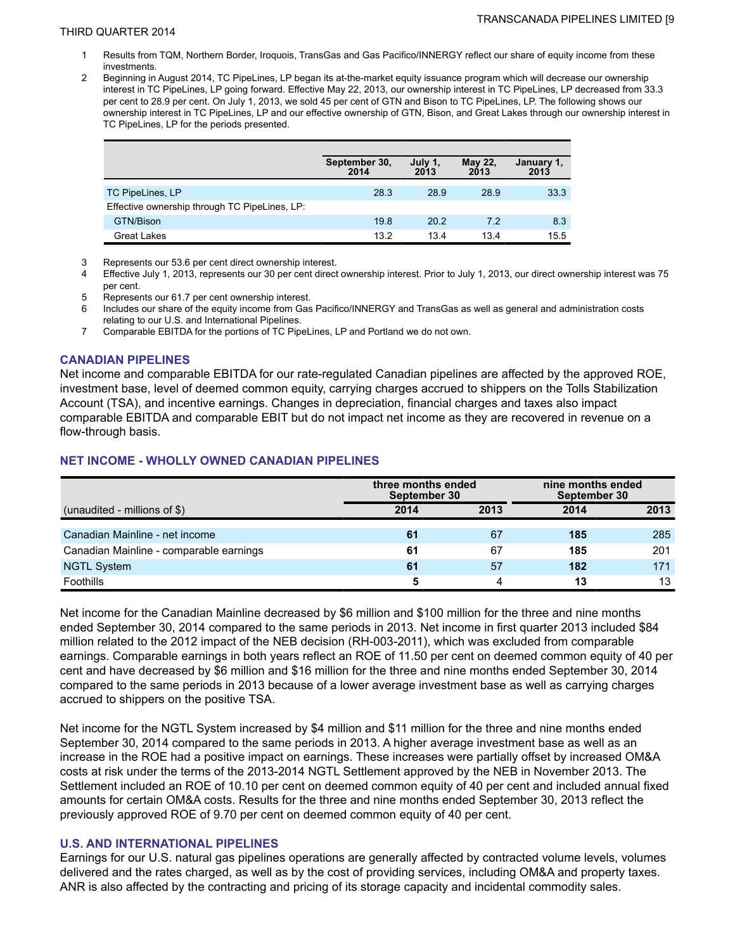- 1 Results from TQM, Northern Border, Iroquois, TransGas and Gas Pacifico/INNERGY reflect our share of equity income from these investments.
- 2 Beginning in August 2014, TC PipeLines, LP began its at-the-market equity issuance program which will decrease our ownership interest in TC PipeLines, LP going forward. Effective May 22, 2013, our ownership interest in TC PipeLines, LP decreased from 33.3 per cent to 28.9 per cent. On July 1, 2013, we sold 45 per cent of GTN and Bison to TC PipeLines, LP. The following shows our ownership interest in TC PipeLines, LP and our effective ownership of GTN, Bison, and Great Lakes through our ownership interest in TC PipeLines, LP for the periods presented.

|                                               | September 30,<br>2014 | July 1,<br>2013 | May 22,<br>2013 | January 1,<br>2013 |
|-----------------------------------------------|-----------------------|-----------------|-----------------|--------------------|
|                                               |                       |                 |                 |                    |
| TC PipeLines, LP                              | 28.3                  | 28.9            | 28.9            | 33.3               |
| Effective ownership through TC PipeLines, LP: |                       |                 |                 |                    |
| GTN/Bison                                     | 19.8                  | 20.2            | 7.2             | 8.3                |
| Great Lakes                                   | 13.2                  | 13.4            | 13.4            | 15.5               |

3 Represents our 53.6 per cent direct ownership interest.

- 4 Effective July 1, 2013, represents our 30 per cent direct ownership interest. Prior to July 1, 2013, our direct ownership interest was 75 per cent.
- 5 Represents our 61.7 per cent ownership interest.
- 6 Includes our share of the equity income from Gas Pacifico/INNERGY and TransGas as well as general and administration costs relating to our U.S. and International Pipelines.
- 7 Comparable EBITDA for the portions of TC PipeLines, LP and Portland we do not own.

#### **CANADIAN PIPELINES**

Net income and comparable EBITDA for our rate-regulated Canadian pipelines are affected by the approved ROE, investment base, level of deemed common equity, carrying charges accrued to shippers on the Tolls Stabilization Account (TSA), and incentive earnings. Changes in depreciation, financial charges and taxes also impact comparable EBITDA and comparable EBIT but do not impact net income as they are recovered in revenue on a flow-through basis.

### **NET INCOME - WHOLLY OWNED CANADIAN PIPELINES**

|                                         | three months ended<br>September 30 |      | nine months ended<br>September 30 |      |
|-----------------------------------------|------------------------------------|------|-----------------------------------|------|
| (unaudited - millions of $\$\$ )        | 2014                               | 2013 | 2014                              | 2013 |
|                                         |                                    |      |                                   |      |
| Canadian Mainline - net income          | 61                                 | 67   | 185                               | 285  |
| Canadian Mainline - comparable earnings | 61                                 | 67   | 185                               | 201  |
| <b>NGTL System</b>                      | 61                                 | 57   | 182                               | 171  |
| <b>Foothills</b>                        |                                    | Δ    | 13                                | 13   |

Net income for the Canadian Mainline decreased by \$6 million and \$100 million for the three and nine months ended September 30, 2014 compared to the same periods in 2013. Net income in first quarter 2013 included \$84 million related to the 2012 impact of the NEB decision (RH-003-2011), which was excluded from comparable earnings. Comparable earnings in both years reflect an ROE of 11.50 per cent on deemed common equity of 40 per cent and have decreased by \$6 million and \$16 million for the three and nine months ended September 30, 2014 compared to the same periods in 2013 because of a lower average investment base as well as carrying charges accrued to shippers on the positive TSA.

Net income for the NGTL System increased by \$4 million and \$11 million for the three and nine months ended September 30, 2014 compared to the same periods in 2013. A higher average investment base as well as an increase in the ROE had a positive impact on earnings. These increases were partially offset by increased OM&A costs at risk under the terms of the 2013-2014 NGTL Settlement approved by the NEB in November 2013. The Settlement included an ROE of 10.10 per cent on deemed common equity of 40 per cent and included annual fixed amounts for certain OM&A costs. Results for the three and nine months ended September 30, 2013 reflect the previously approved ROE of 9.70 per cent on deemed common equity of 40 per cent.

#### **U.S. AND INTERNATIONAL PIPELINES**

Earnings for our U.S. natural gas pipelines operations are generally affected by contracted volume levels, volumes delivered and the rates charged, as well as by the cost of providing services, including OM&A and property taxes. ANR is also affected by the contracting and pricing of its storage capacity and incidental commodity sales.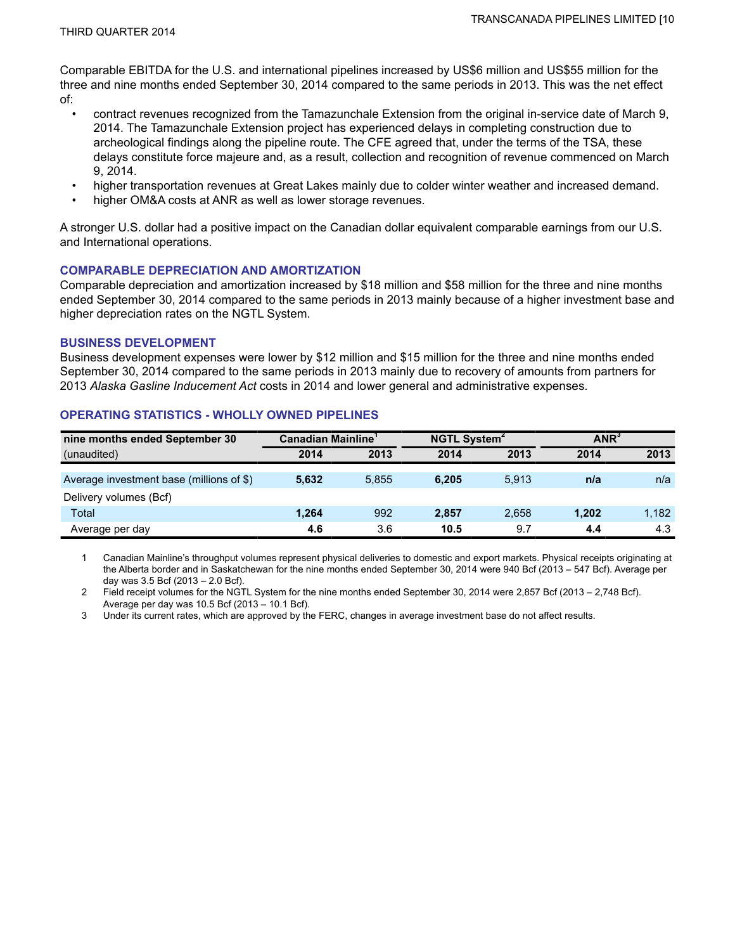Comparable EBITDA for the U.S. and international pipelines increased by US\$6 million and US\$55 million for the three and nine months ended September 30, 2014 compared to the same periods in 2013. This was the net effect of:

- contract revenues recognized from the Tamazunchale Extension from the original in-service date of March 9, 2014. The Tamazunchale Extension project has experienced delays in completing construction due to archeological findings along the pipeline route. The CFE agreed that, under the terms of the TSA, these delays constitute force majeure and, as a result, collection and recognition of revenue commenced on March 9, 2014.
- higher transportation revenues at Great Lakes mainly due to colder winter weather and increased demand.
- higher OM&A costs at ANR as well as lower storage revenues.

A stronger U.S. dollar had a positive impact on the Canadian dollar equivalent comparable earnings from our U.S. and International operations.

## **COMPARABLE DEPRECIATION AND AMORTIZATION**

Comparable depreciation and amortization increased by \$18 million and \$58 million for the three and nine months ended September 30, 2014 compared to the same periods in 2013 mainly because of a higher investment base and higher depreciation rates on the NGTL System.

### **BUSINESS DEVELOPMENT**

Business development expenses were lower by \$12 million and \$15 million for the three and nine months ended September 30, 2014 compared to the same periods in 2013 mainly due to recovery of amounts from partners for 2013 *Alaska Gasline Inducement Act* costs in 2014 and lower general and administrative expenses.

## **OPERATING STATISTICS - WHOLLY OWNED PIPELINES**

| nine months ended September 30           | <b>Canadian Mainline</b> |       | NGTL System <sup>2</sup> |       | ANR <sup>3</sup> |       |
|------------------------------------------|--------------------------|-------|--------------------------|-------|------------------|-------|
| (unaudited)                              | 2014                     | 2013  | 2014                     | 2013  | 2014             | 2013  |
|                                          |                          |       |                          |       |                  |       |
| Average investment base (millions of \$) | 5.632                    | 5.855 | 6.205                    | 5.913 | n/a              | n/a   |
| Delivery volumes (Bcf)                   |                          |       |                          |       |                  |       |
| Total                                    | 1.264                    | 992   | 2,857                    | 2.658 | 1.202            | 1,182 |
| Average per day                          | 4.6                      | 3.6   | 10.5                     | 9.7   | 4.4              | 4.3   |

1 Canadian Mainline's throughput volumes represent physical deliveries to domestic and export markets. Physical receipts originating at the Alberta border and in Saskatchewan for the nine months ended September 30, 2014 were 940 Bcf (2013 – 547 Bcf). Average per day was 3.5 Bcf (2013 – 2.0 Bcf).

2 Field receipt volumes for the NGTL System for the nine months ended September 30, 2014 were 2,857 Bcf (2013 – 2,748 Bcf). Average per day was 10.5 Bcf (2013 – 10.1 Bcf).

3 Under its current rates, which are approved by the FERC, changes in average investment base do not affect results.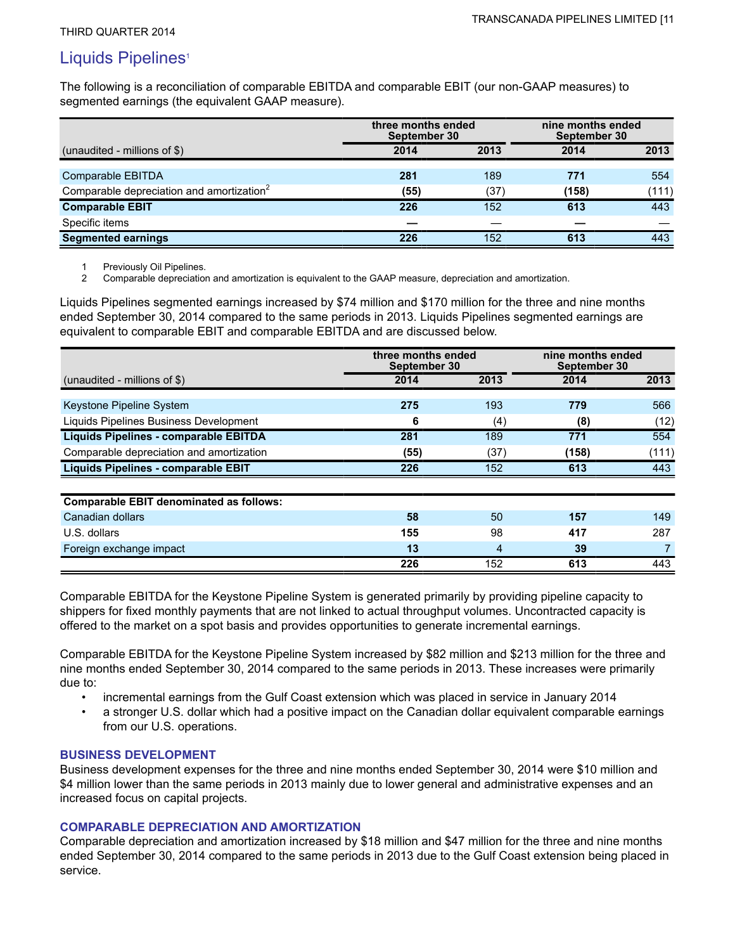# Liquids Pipelines<sup>1</sup>

The following is a reconciliation of comparable EBITDA and comparable EBIT (our non-GAAP measures) to segmented earnings (the equivalent GAAP measure).

|                                                       |      | three months ended<br>September 30 |       | nine months ended<br>September 30 |  |
|-------------------------------------------------------|------|------------------------------------|-------|-----------------------------------|--|
| (unaudited - millions of $\$\$ )                      | 2014 | 2013                               | 2014  | 2013                              |  |
| Comparable EBITDA                                     | 281  | 189                                | 771   | 554                               |  |
| Comparable depreciation and amortization <sup>2</sup> | (55) | (37)                               | (158) | (111)                             |  |
| <b>Comparable EBIT</b>                                | 226  | 152                                | 613   | 443                               |  |
| Specific items                                        |      |                                    |       |                                   |  |
| <b>Segmented earnings</b>                             | 226  | 152                                | 613   | 443                               |  |

1 Previously Oil Pipelines.

2 Comparable depreciation and amortization is equivalent to the GAAP measure, depreciation and amortization.

Liquids Pipelines segmented earnings increased by \$74 million and \$170 million for the three and nine months ended September 30, 2014 compared to the same periods in 2013. Liquids Pipelines segmented earnings are equivalent to comparable EBIT and comparable EBITDA and are discussed below.

|                                                | three months ended<br>September 30 |      | nine months ended<br>September 30 |       |  |
|------------------------------------------------|------------------------------------|------|-----------------------------------|-------|--|
| (unaudited - millions of \$)                   | 2014                               | 2013 | 2014                              | 2013  |  |
| Keystone Pipeline System                       | 275                                | 193  | 779                               | 566   |  |
| Liquids Pipelines Business Development         | 6                                  | (4)  | (8)                               | (12)  |  |
| Liquids Pipelines - comparable EBITDA          | 281                                | 189  | 771                               | 554   |  |
| Comparable depreciation and amortization       | (55)                               | (37) | (158)                             | (111) |  |
| Liquids Pipelines - comparable EBIT            | 226                                | 152  | 613                               | 443   |  |
|                                                |                                    |      |                                   |       |  |
| <b>Comparable EBIT denominated as follows:</b> |                                    |      |                                   |       |  |
| Canadian dollars                               | 58                                 | 50   | 157                               | 149   |  |
| U.S. dollars                                   | 155                                | 98   | 417                               | 287   |  |
| Foreign exchange impact                        | 13                                 | 4    | 39                                |       |  |
|                                                | 226                                | 152  | 613                               | 443   |  |

Comparable EBITDA for the Keystone Pipeline System is generated primarily by providing pipeline capacity to shippers for fixed monthly payments that are not linked to actual throughput volumes. Uncontracted capacity is offered to the market on a spot basis and provides opportunities to generate incremental earnings.

Comparable EBITDA for the Keystone Pipeline System increased by \$82 million and \$213 million for the three and nine months ended September 30, 2014 compared to the same periods in 2013. These increases were primarily due to:

- incremental earnings from the Gulf Coast extension which was placed in service in January 2014
- a stronger U.S. dollar which had a positive impact on the Canadian dollar equivalent comparable earnings from our U.S. operations.

### **BUSINESS DEVELOPMENT**

Business development expenses for the three and nine months ended September 30, 2014 were \$10 million and \$4 million lower than the same periods in 2013 mainly due to lower general and administrative expenses and an increased focus on capital projects.

### **COMPARABLE DEPRECIATION AND AMORTIZATION**

Comparable depreciation and amortization increased by \$18 million and \$47 million for the three and nine months ended September 30, 2014 compared to the same periods in 2013 due to the Gulf Coast extension being placed in service.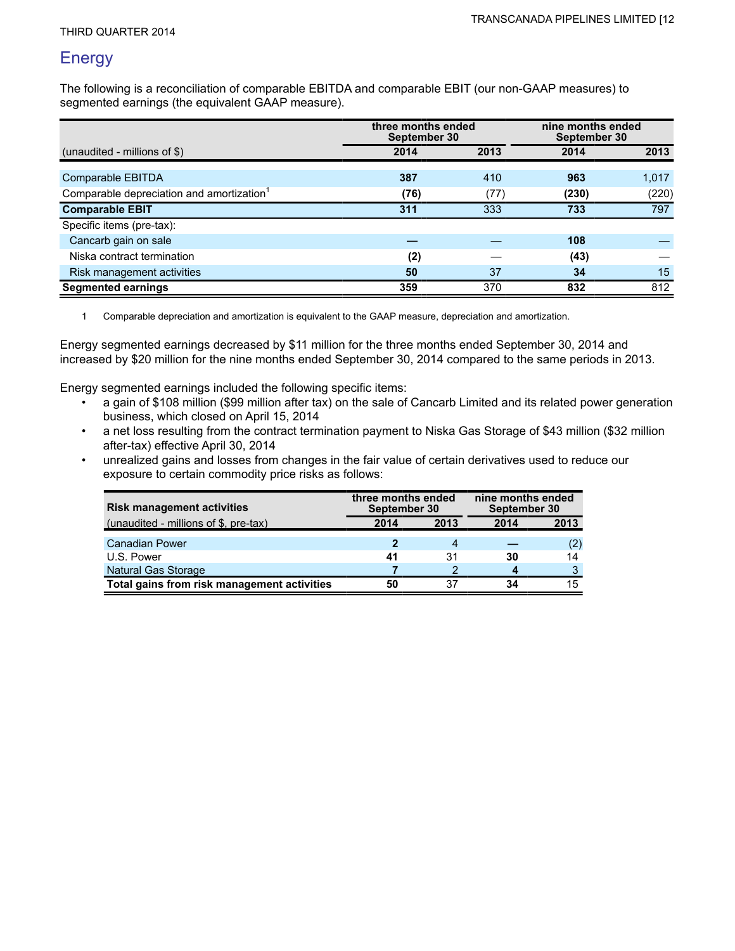# Energy

The following is a reconciliation of comparable EBITDA and comparable EBIT (our non-GAAP measures) to segmented earnings (the equivalent GAAP measure).

|                                                       |      | three months ended<br>September 30 |       | nine months ended<br>September 30 |  |
|-------------------------------------------------------|------|------------------------------------|-------|-----------------------------------|--|
| (unaudited - millions of $\$\$ )                      | 2014 | 2013                               | 2014  | 2013                              |  |
| Comparable EBITDA                                     | 387  | 410                                | 963   | 1,017                             |  |
| Comparable depreciation and amortization <sup>1</sup> | (76) | (77)                               | (230) | (220)                             |  |
| <b>Comparable EBIT</b>                                | 311  | 333                                | 733   | 797                               |  |
| Specific items (pre-tax):                             |      |                                    |       |                                   |  |
| Cancarb gain on sale                                  |      |                                    | 108   |                                   |  |
| Niska contract termination                            | (2)  |                                    | (43)  |                                   |  |
| Risk management activities                            | 50   | 37                                 | 34    | 15                                |  |
| <b>Segmented earnings</b>                             | 359  | 370                                | 832   | 812                               |  |

1 Comparable depreciation and amortization is equivalent to the GAAP measure, depreciation and amortization.

Energy segmented earnings decreased by \$11 million for the three months ended September 30, 2014 and increased by \$20 million for the nine months ended September 30, 2014 compared to the same periods in 2013.

Energy segmented earnings included the following specific items:

- a gain of \$108 million (\$99 million after tax) on the sale of Cancarb Limited and its related power generation business, which closed on April 15, 2014
- a net loss resulting from the contract termination payment to Niska Gas Storage of \$43 million (\$32 million after-tax) effective April 30, 2014
- unrealized gains and losses from changes in the fair value of certain derivatives used to reduce our exposure to certain commodity price risks as follows:

| <b>Risk management activities</b>           | three months ended<br>September 30 |      | nine months ended<br>September 30 |      |
|---------------------------------------------|------------------------------------|------|-----------------------------------|------|
| (unaudited - millions of \$, pre-tax)       | 2014                               | 2013 | 2014                              | 2013 |
| <b>Canadian Power</b>                       |                                    | 4    |                                   | (2)  |
| U.S. Power                                  | 41                                 | 31   | 30                                | 14   |
| <b>Natural Gas Storage</b>                  |                                    |      |                                   | З    |
| Total gains from risk management activities | 50                                 | 37   | 34                                | 15   |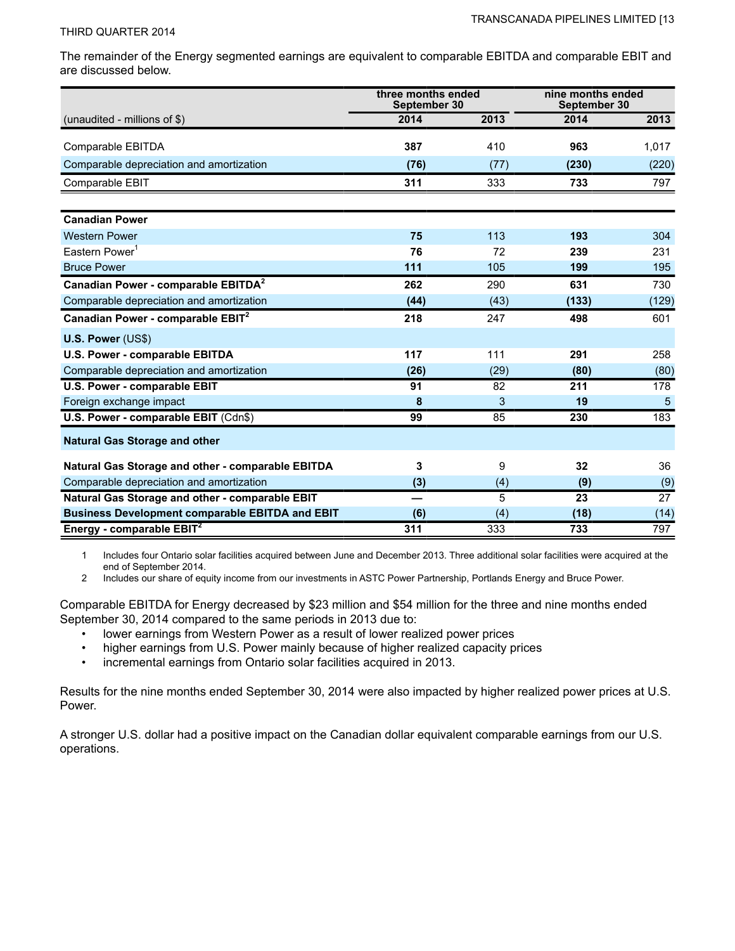The remainder of the Energy segmented earnings are equivalent to comparable EBITDA and comparable EBIT and are discussed below.

|                                                        | three months ended<br>September 30 |      | nine months ended<br>September 30 |                 |
|--------------------------------------------------------|------------------------------------|------|-----------------------------------|-----------------|
| (unaudited - millions of \$)                           | 2014                               | 2013 | 2014                              | 2013            |
| Comparable EBITDA                                      | 387                                | 410  | 963                               | 1,017           |
| Comparable depreciation and amortization               | (76)                               | (77) | (230)                             | (220)           |
| Comparable EBIT                                        | 311                                | 333  | 733                               | 797             |
| <b>Canadian Power</b>                                  |                                    |      |                                   |                 |
| <b>Western Power</b>                                   | 75                                 | 113  | 193                               | 304             |
| Eastern Power <sup>1</sup>                             | 76                                 | 72   | 239                               | 231             |
| <b>Bruce Power</b>                                     | 111                                | 105  | 199                               | 195             |
| Canadian Power - comparable EBITDA <sup>2</sup>        | 262                                | 290  | 631                               | 730             |
| Comparable depreciation and amortization               | (44)                               | (43) | (133)                             | (129)           |
| Canadian Power - comparable EBIT <sup>2</sup>          | 218                                | 247  | 498                               | 601             |
| U.S. Power (US\$)                                      |                                    |      |                                   |                 |
| U.S. Power - comparable EBITDA                         | 117                                | 111  | 291                               | 258             |
| Comparable depreciation and amortization               | (26)                               | (29) | (80)                              | (80)            |
| U.S. Power - comparable EBIT                           | 91                                 | 82   | 211                               | 178             |
| Foreign exchange impact                                | 8                                  | 3    | 19                                | 5               |
| U.S. Power - comparable EBIT (Cdn\$)                   | 99                                 | 85   | 230                               | 183             |
| <b>Natural Gas Storage and other</b>                   |                                    |      |                                   |                 |
| Natural Gas Storage and other - comparable EBITDA      | 3                                  | 9    | 32                                | 36              |
| Comparable depreciation and amortization               | (3)                                | (4)  | (9)                               | (9)             |
| Natural Gas Storage and other - comparable EBIT        |                                    | 5    | 23                                | $\overline{27}$ |
| <b>Business Development comparable EBITDA and EBIT</b> | (6)                                | (4)  | (18)                              | (14)            |
| Energy - comparable EBIT <sup>2</sup>                  | 311                                | 333  | 733                               | 797             |

1 Includes four Ontario solar facilities acquired between June and December 2013. Three additional solar facilities were acquired at the end of September 2014.

2 Includes our share of equity income from our investments in ASTC Power Partnership, Portlands Energy and Bruce Power.

Comparable EBITDA for Energy decreased by \$23 million and \$54 million for the three and nine months ended September 30, 2014 compared to the same periods in 2013 due to:

- lower earnings from Western Power as a result of lower realized power prices
- higher earnings from U.S. Power mainly because of higher realized capacity prices
- incremental earnings from Ontario solar facilities acquired in 2013.

Results for the nine months ended September 30, 2014 were also impacted by higher realized power prices at U.S. Power.

A stronger U.S. dollar had a positive impact on the Canadian dollar equivalent comparable earnings from our U.S. operations.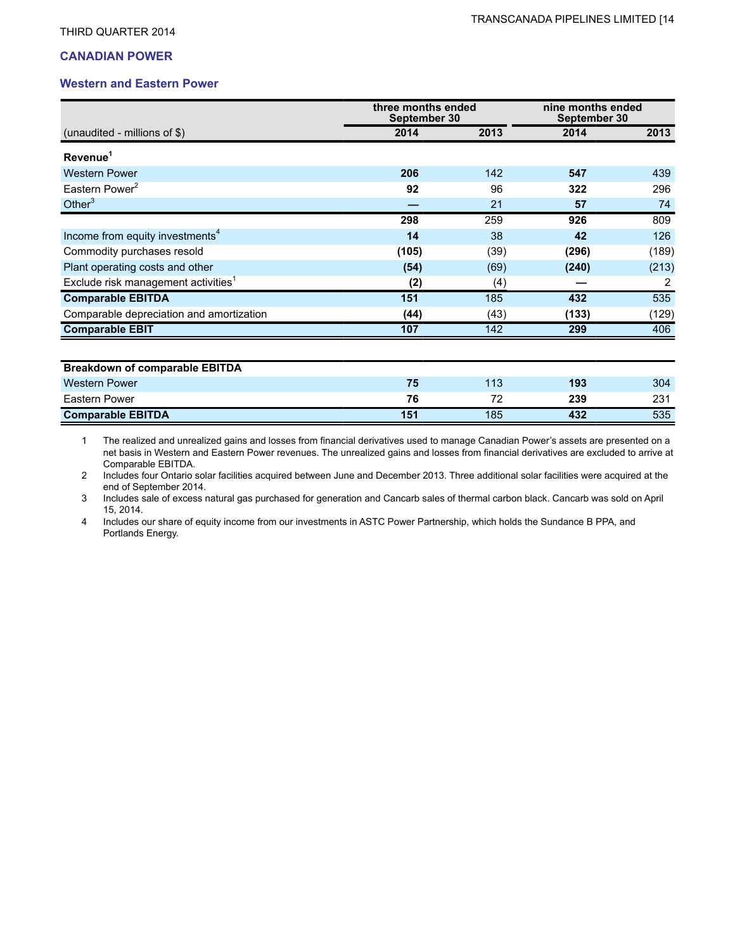## **CANADIAN POWER**

### **Western and Eastern Power**

|                                                 | three months ended<br>September 30 |      | nine months ended<br>September 30 |                |
|-------------------------------------------------|------------------------------------|------|-----------------------------------|----------------|
| (unaudited - millions of \$)                    | 2014                               | 2013 | 2014                              | 2013           |
| Revenue <sup>1</sup>                            |                                    |      |                                   |                |
| <b>Western Power</b>                            | 206                                | 142  | 547                               | 439            |
| Eastern Power <sup>2</sup>                      | 92                                 | 96   | 322                               | 296            |
| Other $3$                                       |                                    | 21   | 57                                | 74             |
|                                                 | 298                                | 259  | 926                               | 809            |
| Income from equity investments <sup>4</sup>     | 14                                 | 38   | 42                                | 126            |
| Commodity purchases resold                      | (105)                              | (39) | (296)                             | (189)          |
| Plant operating costs and other                 | (54)                               | (69) | (240)                             | (213)          |
| Exclude risk management activities <sup>1</sup> | (2)                                | (4)  |                                   | $\overline{2}$ |
| <b>Comparable EBITDA</b>                        | 151                                | 185  | 432                               | 535            |
| Comparable depreciation and amortization        | (44)                               | (43) | (133)                             | (129)          |
| <b>Comparable EBIT</b>                          | 107                                | 142  | 299                               | 406            |
|                                                 |                                    |      |                                   |                |
| <b>Breakdown of comparable EBITDA</b>           |                                    |      |                                   |                |
| <b>Western Power</b>                            | 75                                 | 113  | 193                               | 304            |
| <b>Eastern Power</b>                            | 76                                 | 72   | 239                               | 231            |
| <b>Comparable EBITDA</b>                        | 151                                | 185  | 432                               | 535            |

1 The realized and unrealized gains and losses from financial derivatives used to manage Canadian Power's assets are presented on a net basis in Western and Eastern Power revenues. The unrealized gains and losses from financial derivatives are excluded to arrive at Comparable EBITDA.

2 Includes four Ontario solar facilities acquired between June and December 2013. Three additional solar facilities were acquired at the end of September 2014.

3 Includes sale of excess natural gas purchased for generation and Cancarb sales of thermal carbon black. Cancarb was sold on April 15, 2014.

4 Includes our share of equity income from our investments in ASTC Power Partnership, which holds the Sundance B PPA, and Portlands Energy.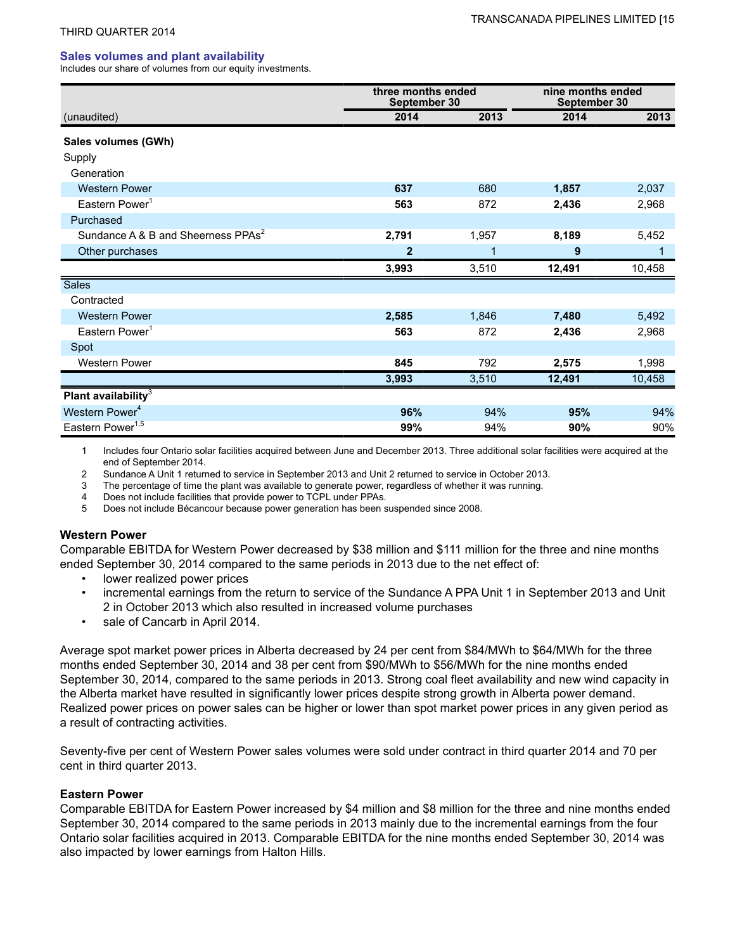## **Sales volumes and plant availability**

Includes our share of volumes from our equity investments.

|                                                | three months ended<br>September 30 |       | nine months ended<br>September 30 |        |
|------------------------------------------------|------------------------------------|-------|-----------------------------------|--------|
| (unaudited)                                    | 2014                               | 2013  | 2014                              | 2013   |
| <b>Sales volumes (GWh)</b>                     |                                    |       |                                   |        |
| Supply                                         |                                    |       |                                   |        |
| Generation                                     |                                    |       |                                   |        |
| <b>Western Power</b>                           | 637                                | 680   | 1,857                             | 2,037  |
| Eastern Power <sup>1</sup>                     | 563                                | 872   | 2,436                             | 2,968  |
| Purchased                                      |                                    |       |                                   |        |
| Sundance A & B and Sheerness PPAs <sup>2</sup> | 2,791                              | 1,957 | 8,189                             | 5,452  |
| Other purchases                                | $\overline{2}$                     | 1     | 9                                 |        |
|                                                | 3,993                              | 3,510 | 12,491                            | 10,458 |
| Sales                                          |                                    |       |                                   |        |
| Contracted                                     |                                    |       |                                   |        |
| <b>Western Power</b>                           | 2,585                              | 1,846 | 7,480                             | 5,492  |
| Eastern Power <sup>1</sup>                     | 563                                | 872   | 2,436                             | 2,968  |
| Spot                                           |                                    |       |                                   |        |
| <b>Western Power</b>                           | 845                                | 792   | 2,575                             | 1,998  |
|                                                | 3,993                              | 3,510 | 12,491                            | 10,458 |
| Plant availability <sup>3</sup>                |                                    |       |                                   |        |
| Western Power <sup>4</sup>                     | 96%                                | 94%   | 95%                               | 94%    |
| Eastern Power <sup>1,5</sup>                   | 99%                                | 94%   | 90%                               | 90%    |

1 Includes four Ontario solar facilities acquired between June and December 2013. Three additional solar facilities were acquired at the end of September 2014.

2 Sundance A Unit 1 returned to service in September 2013 and Unit 2 returned to service in October 2013.

3 The percentage of time the plant was available to generate power, regardless of whether it was running.

Does not include facilities that provide power to TCPL under PPAs.

5 Does not include Bécancour because power generation has been suspended since 2008.

### **Western Power**

Comparable EBITDA for Western Power decreased by \$38 million and \$111 million for the three and nine months ended September 30, 2014 compared to the same periods in 2013 due to the net effect of:

- lower realized power prices
- incremental earnings from the return to service of the Sundance A PPA Unit 1 in September 2013 and Unit 2 in October 2013 which also resulted in increased volume purchases
- sale of Cancarb in April 2014.

Average spot market power prices in Alberta decreased by 24 per cent from \$84/MWh to \$64/MWh for the three months ended September 30, 2014 and 38 per cent from \$90/MWh to \$56/MWh for the nine months ended September 30, 2014, compared to the same periods in 2013. Strong coal fleet availability and new wind capacity in the Alberta market have resulted in significantly lower prices despite strong growth in Alberta power demand. Realized power prices on power sales can be higher or lower than spot market power prices in any given period as a result of contracting activities.

Seventy-five per cent of Western Power sales volumes were sold under contract in third quarter 2014 and 70 per cent in third quarter 2013.

# **Eastern Power**

Comparable EBITDA for Eastern Power increased by \$4 million and \$8 million for the three and nine months ended September 30, 2014 compared to the same periods in 2013 mainly due to the incremental earnings from the four Ontario solar facilities acquired in 2013. Comparable EBITDA for the nine months ended September 30, 2014 was also impacted by lower earnings from Halton Hills.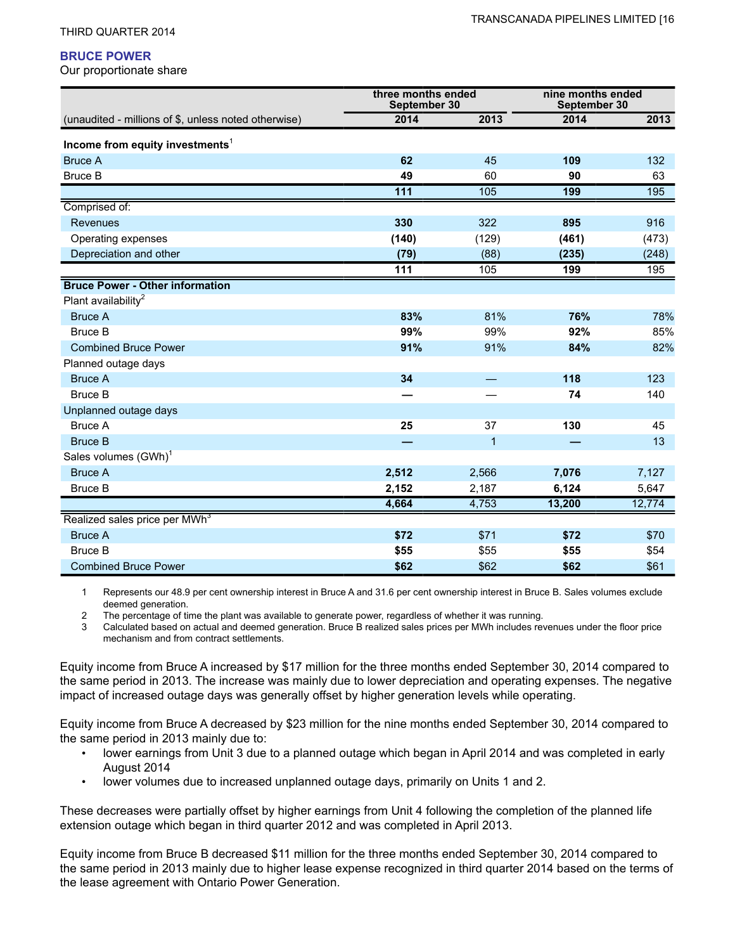#### **BRUCE POWER**

Our proportionate share

|                                                      | three months ended<br>September 30 |              | nine months ended<br>September 30 |        |
|------------------------------------------------------|------------------------------------|--------------|-----------------------------------|--------|
| (unaudited - millions of \$, unless noted otherwise) | 2014                               | 2013         | 2014                              | 2013   |
| Income from equity investments <sup>1</sup>          |                                    |              |                                   |        |
| <b>Bruce A</b>                                       | 62                                 | 45           | 109                               | 132    |
| <b>Bruce B</b>                                       | 49                                 | 60           | 90                                | 63     |
|                                                      | 111                                | 105          | 199                               | 195    |
| Comprised of:                                        |                                    |              |                                   |        |
| Revenues                                             | 330                                | 322          | 895                               | 916    |
| Operating expenses                                   | (140)                              | (129)        | (461)                             | (473)  |
| Depreciation and other                               | (79)                               | (88)         | (235)                             | (248)  |
|                                                      | 111                                | 105          | 199                               | 195    |
| <b>Bruce Power - Other information</b>               |                                    |              |                                   |        |
| Plant availability <sup>2</sup>                      |                                    |              |                                   |        |
| <b>Bruce A</b>                                       | 83%                                | 81%          | 76%                               | 78%    |
| <b>Bruce B</b>                                       | 99%                                | 99%          | 92%                               | 85%    |
| <b>Combined Bruce Power</b>                          | 91%                                | 91%          | 84%                               | 82%    |
| Planned outage days                                  |                                    |              |                                   |        |
| <b>Bruce A</b>                                       | 34                                 |              | 118                               | 123    |
| <b>Bruce B</b>                                       |                                    |              | 74                                | 140    |
| Unplanned outage days                                |                                    |              |                                   |        |
| <b>Bruce A</b>                                       | 25                                 | 37           | 130                               | 45     |
| <b>Bruce B</b>                                       |                                    | $\mathbf{1}$ |                                   | 13     |
| Sales volumes (GWh) <sup>1</sup>                     |                                    |              |                                   |        |
| <b>Bruce A</b>                                       | 2,512                              | 2,566        | 7,076                             | 7,127  |
| <b>Bruce B</b>                                       | 2,152                              | 2,187        | 6,124                             | 5,647  |
|                                                      | 4,664                              | 4,753        | 13,200                            | 12,774 |
| Realized sales price per MWh <sup>3</sup>            |                                    |              |                                   |        |
| <b>Bruce A</b>                                       | \$72                               | \$71         | \$72                              | \$70   |
| <b>Bruce B</b>                                       | \$55                               | \$55         | \$55                              | \$54   |
| <b>Combined Bruce Power</b>                          | \$62                               | \$62         | \$62                              | \$61   |

1 Represents our 48.9 per cent ownership interest in Bruce A and 31.6 per cent ownership interest in Bruce B. Sales volumes exclude deemed generation.

2 The percentage of time the plant was available to generate power, regardless of whether it was running.

3 Calculated based on actual and deemed generation. Bruce B realized sales prices per MWh includes revenues under the floor price mechanism and from contract settlements.

Equity income from Bruce A increased by \$17 million for the three months ended September 30, 2014 compared to the same period in 2013. The increase was mainly due to lower depreciation and operating expenses. The negative impact of increased outage days was generally offset by higher generation levels while operating.

Equity income from Bruce A decreased by \$23 million for the nine months ended September 30, 2014 compared to the same period in 2013 mainly due to:

- lower earnings from Unit 3 due to a planned outage which began in April 2014 and was completed in early August 2014
- lower volumes due to increased unplanned outage days, primarily on Units 1 and 2.

These decreases were partially offset by higher earnings from Unit 4 following the completion of the planned life extension outage which began in third quarter 2012 and was completed in April 2013.

Equity income from Bruce B decreased \$11 million for the three months ended September 30, 2014 compared to the same period in 2013 mainly due to higher lease expense recognized in third quarter 2014 based on the terms of the lease agreement with Ontario Power Generation.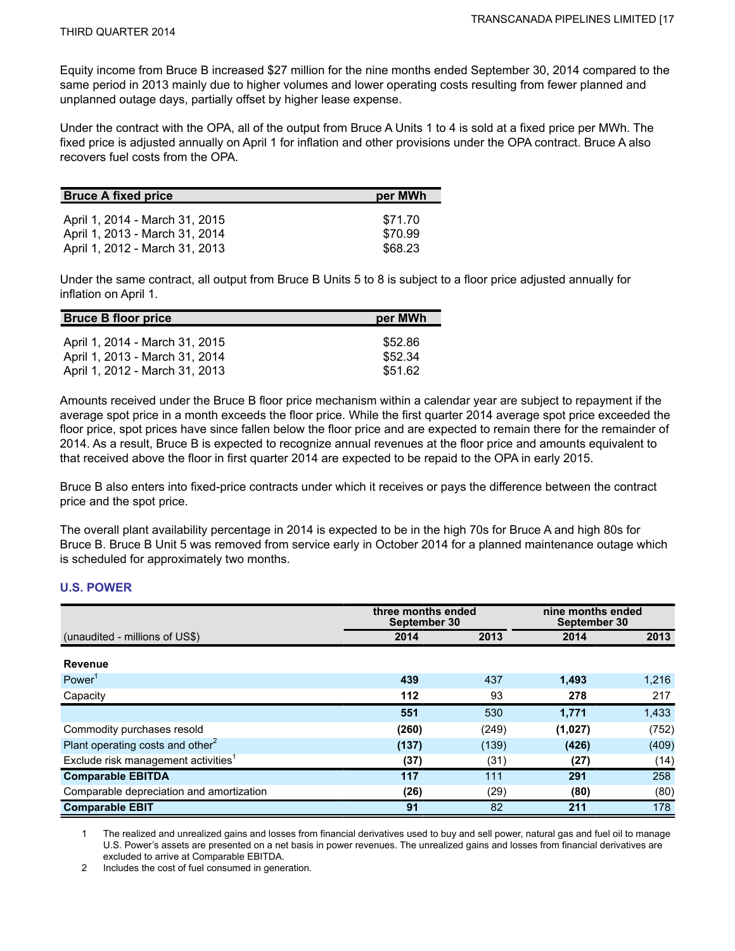Equity income from Bruce B increased \$27 million for the nine months ended September 30, 2014 compared to the same period in 2013 mainly due to higher volumes and lower operating costs resulting from fewer planned and unplanned outage days, partially offset by higher lease expense.

Under the contract with the OPA, all of the output from Bruce A Units 1 to 4 is sold at a fixed price per MWh. The fixed price is adjusted annually on April 1 for inflation and other provisions under the OPA contract. Bruce A also recovers fuel costs from the OPA.

| <b>Bruce A fixed price</b>                                       | per MWh            |
|------------------------------------------------------------------|--------------------|
| April 1, 2014 - March 31, 2015<br>April 1, 2013 - March 31, 2014 | \$71.70<br>\$70.99 |
| April 1, 2012 - March 31, 2013                                   | \$68.23            |

Under the same contract, all output from Bruce B Units 5 to 8 is subject to a floor price adjusted annually for inflation on April 1.

| <b>Bruce B floor price</b>     | per MWh |
|--------------------------------|---------|
| April 1, 2014 - March 31, 2015 | \$52.86 |
| April 1, 2013 - March 31, 2014 | \$52.34 |
| April 1, 2012 - March 31, 2013 | \$51.62 |

Amounts received under the Bruce B floor price mechanism within a calendar year are subject to repayment if the average spot price in a month exceeds the floor price. While the first quarter 2014 average spot price exceeded the floor price, spot prices have since fallen below the floor price and are expected to remain there for the remainder of 2014. As a result, Bruce B is expected to recognize annual revenues at the floor price and amounts equivalent to that received above the floor in first quarter 2014 are expected to be repaid to the OPA in early 2015.

Bruce B also enters into fixed-price contracts under which it receives or pays the difference between the contract price and the spot price.

The overall plant availability percentage in 2014 is expected to be in the high 70s for Bruce A and high 80s for Bruce B. Bruce B Unit 5 was removed from service early in October 2014 for a planned maintenance outage which is scheduled for approximately two months.

# **U.S. POWER**

|                                                 | three months ended<br>September 30 |       | nine months ended<br>September 30 |       |  |
|-------------------------------------------------|------------------------------------|-------|-----------------------------------|-------|--|
| (unaudited - millions of US\$)                  | 2014                               | 2013  | 2014                              | 2013  |  |
| <b>Revenue</b>                                  |                                    |       |                                   |       |  |
| Power <sup>1</sup>                              | 439                                | 437   | 1,493                             | 1,216 |  |
| Capacity                                        | 112                                | 93    | 278                               | 217   |  |
|                                                 | 551                                | 530   | 1.771                             | 1,433 |  |
| Commodity purchases resold                      | (260)                              | (249) | (1,027)                           | (752) |  |
| Plant operating costs and other <sup>2</sup>    | (137)                              | (139) | (426)                             | (409) |  |
| Exclude risk management activities <sup>1</sup> | (37)                               | (31)  | (27)                              | (14)  |  |
| <b>Comparable EBITDA</b>                        | 117                                | 111   | 291                               | 258   |  |
| Comparable depreciation and amortization        | (26)                               | (29)  | (80)                              | (80)  |  |
| <b>Comparable EBIT</b>                          | 91                                 | 82    | 211                               | 178   |  |

1 The realized and unrealized gains and losses from financial derivatives used to buy and sell power, natural gas and fuel oil to manage U.S. Power's assets are presented on a net basis in power revenues. The unrealized gains and losses from financial derivatives are excluded to arrive at Comparable EBITDA.

2 Includes the cost of fuel consumed in generation.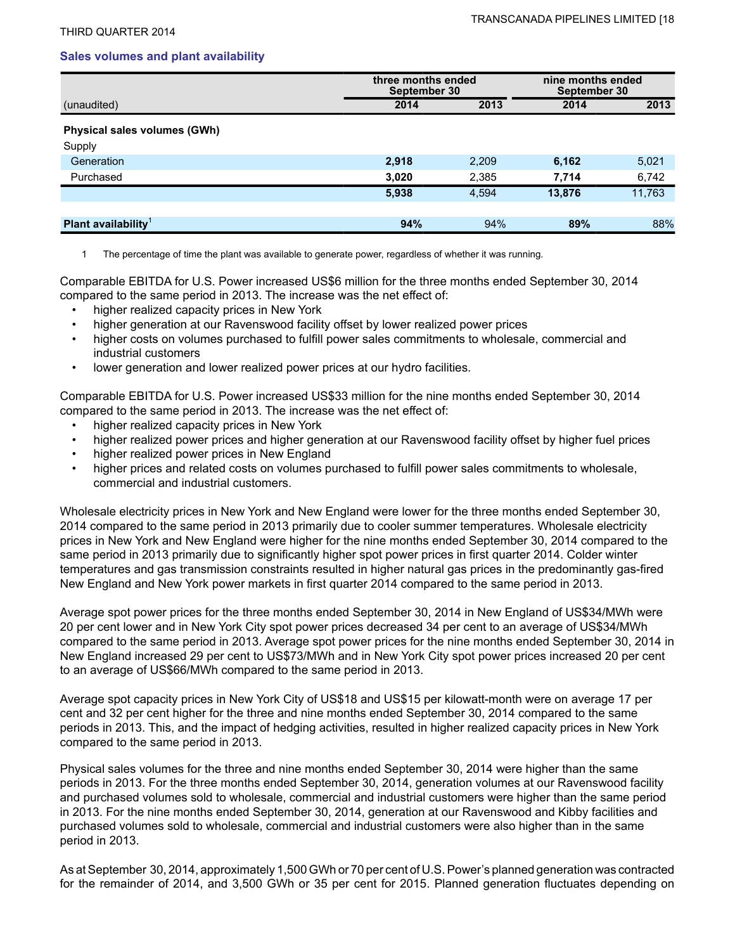# **Sales volumes and plant availability**

|                                     | three months ended<br>September 30 |       | nine months ended<br>September 30 |        |
|-------------------------------------|------------------------------------|-------|-----------------------------------|--------|
| (unaudited)                         | 2014                               | 2013  | 2014                              | 2013   |
| <b>Physical sales volumes (GWh)</b> |                                    |       |                                   |        |
| Supply                              |                                    |       |                                   |        |
| Generation                          | 2,918                              | 2,209 | 6,162                             | 5,021  |
| Purchased                           | 3,020                              | 2,385 | 7,714                             | 6,742  |
|                                     | 5,938                              | 4,594 | 13,876                            | 11,763 |
|                                     |                                    |       |                                   |        |
| Plant availability $1$              | 94%                                | 94%   | 89%                               | 88%    |
|                                     |                                    |       |                                   |        |

1 The percentage of time the plant was available to generate power, regardless of whether it was running.

Comparable EBITDA for U.S. Power increased US\$6 million for the three months ended September 30, 2014 compared to the same period in 2013. The increase was the net effect of:

- higher realized capacity prices in New York
- higher generation at our Ravenswood facility offset by lower realized power prices
- higher costs on volumes purchased to fulfill power sales commitments to wholesale, commercial and industrial customers
- lower generation and lower realized power prices at our hydro facilities.

Comparable EBITDA for U.S. Power increased US\$33 million for the nine months ended September 30, 2014 compared to the same period in 2013. The increase was the net effect of:

- higher realized capacity prices in New York
- higher realized power prices and higher generation at our Ravenswood facility offset by higher fuel prices
- higher realized power prices in New England
- higher prices and related costs on volumes purchased to fulfill power sales commitments to wholesale, commercial and industrial customers.

Wholesale electricity prices in New York and New England were lower for the three months ended September 30, 2014 compared to the same period in 2013 primarily due to cooler summer temperatures. Wholesale electricity prices in New York and New England were higher for the nine months ended September 30, 2014 compared to the same period in 2013 primarily due to significantly higher spot power prices in first quarter 2014. Colder winter temperatures and gas transmission constraints resulted in higher natural gas prices in the predominantly gas-fired New England and New York power markets in first quarter 2014 compared to the same period in 2013.

Average spot power prices for the three months ended September 30, 2014 in New England of US\$34/MWh were 20 per cent lower and in New York City spot power prices decreased 34 per cent to an average of US\$34/MWh compared to the same period in 2013. Average spot power prices for the nine months ended September 30, 2014 in New England increased 29 per cent to US\$73/MWh and in New York City spot power prices increased 20 per cent to an average of US\$66/MWh compared to the same period in 2013.

Average spot capacity prices in New York City of US\$18 and US\$15 per kilowatt-month were on average 17 per cent and 32 per cent higher for the three and nine months ended September 30, 2014 compared to the same periods in 2013. This, and the impact of hedging activities, resulted in higher realized capacity prices in New York compared to the same period in 2013.

Physical sales volumes for the three and nine months ended September 30, 2014 were higher than the same periods in 2013. For the three months ended September 30, 2014, generation volumes at our Ravenswood facility and purchased volumes sold to wholesale, commercial and industrial customers were higher than the same period in 2013. For the nine months ended September 30, 2014, generation at our Ravenswood and Kibby facilities and purchased volumes sold to wholesale, commercial and industrial customers were also higher than in the same period in 2013.

As at September 30, 2014, approximately 1,500 GWh or 70 per cent of U.S. Power's planned generation was contracted for the remainder of 2014, and 3,500 GWh or 35 per cent for 2015. Planned generation fluctuates depending on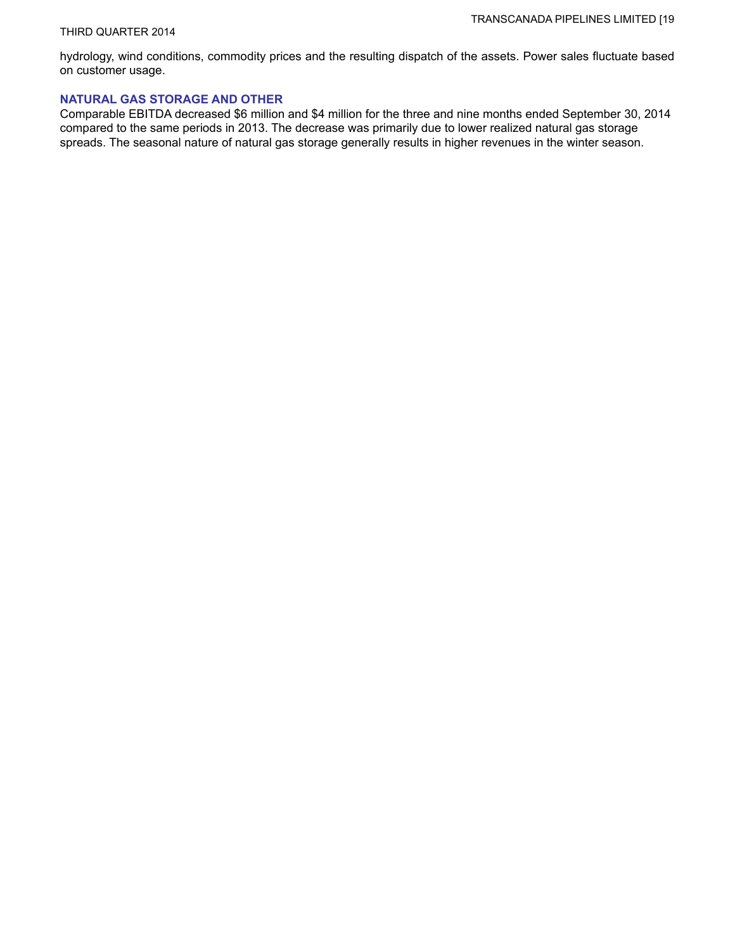hydrology, wind conditions, commodity prices and the resulting dispatch of the assets. Power sales fluctuate based on customer usage.

# **NATURAL GAS STORAGE AND OTHER**

Comparable EBITDA decreased \$6 million and \$4 million for the three and nine months ended September 30, 2014 compared to the same periods in 2013. The decrease was primarily due to lower realized natural gas storage spreads. The seasonal nature of natural gas storage generally results in higher revenues in the winter season.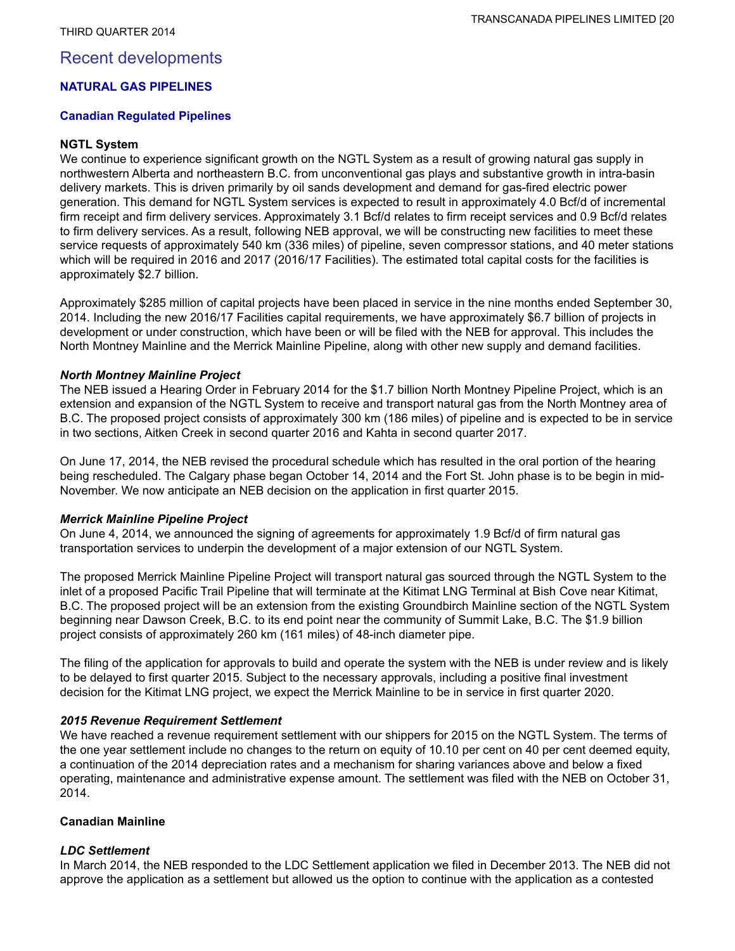# Recent developments

# **NATURAL GAS PIPELINES**

# **Canadian Regulated Pipelines**

## **NGTL System**

We continue to experience significant growth on the NGTL System as a result of growing natural gas supply in northwestern Alberta and northeastern B.C. from unconventional gas plays and substantive growth in intra-basin delivery markets. This is driven primarily by oil sands development and demand for gas-fired electric power generation. This demand for NGTL System services is expected to result in approximately 4.0 Bcf/d of incremental firm receipt and firm delivery services. Approximately 3.1 Bcf/d relates to firm receipt services and 0.9 Bcf/d relates to firm delivery services. As a result, following NEB approval, we will be constructing new facilities to meet these service requests of approximately 540 km (336 miles) of pipeline, seven compressor stations, and 40 meter stations which will be required in 2016 and 2017 (2016/17 Facilities). The estimated total capital costs for the facilities is approximately \$2.7 billion.

Approximately \$285 million of capital projects have been placed in service in the nine months ended September 30, 2014. Including the new 2016/17 Facilities capital requirements, we have approximately \$6.7 billion of projects in development or under construction, which have been or will be filed with the NEB for approval. This includes the North Montney Mainline and the Merrick Mainline Pipeline, along with other new supply and demand facilities.

# *North Montney Mainline Project*

The NEB issued a Hearing Order in February 2014 for the \$1.7 billion North Montney Pipeline Project, which is an extension and expansion of the NGTL System to receive and transport natural gas from the North Montney area of B.C. The proposed project consists of approximately 300 km (186 miles) of pipeline and is expected to be in service in two sections, Aitken Creek in second quarter 2016 and Kahta in second quarter 2017.

On June 17, 2014, the NEB revised the procedural schedule which has resulted in the oral portion of the hearing being rescheduled. The Calgary phase began October 14, 2014 and the Fort St. John phase is to be begin in mid-November. We now anticipate an NEB decision on the application in first quarter 2015.

### *Merrick Mainline Pipeline Project*

On June 4, 2014, we announced the signing of agreements for approximately 1.9 Bcf/d of firm natural gas transportation services to underpin the development of a major extension of our NGTL System.

The proposed Merrick Mainline Pipeline Project will transport natural gas sourced through the NGTL System to the inlet of a proposed Pacific Trail Pipeline that will terminate at the Kitimat LNG Terminal at Bish Cove near Kitimat, B.C. The proposed project will be an extension from the existing Groundbirch Mainline section of the NGTL System beginning near Dawson Creek, B.C. to its end point near the community of Summit Lake, B.C. The \$1.9 billion project consists of approximately 260 km (161 miles) of 48-inch diameter pipe.

The filing of the application for approvals to build and operate the system with the NEB is under review and is likely to be delayed to first quarter 2015. Subject to the necessary approvals, including a positive final investment decision for the Kitimat LNG project, we expect the Merrick Mainline to be in service in first quarter 2020.

# *2015 Revenue Requirement Settlement*

We have reached a revenue requirement settlement with our shippers for 2015 on the NGTL System. The terms of the one year settlement include no changes to the return on equity of 10.10 per cent on 40 per cent deemed equity, a continuation of the 2014 depreciation rates and a mechanism for sharing variances above and below a fixed operating, maintenance and administrative expense amount. The settlement was filed with the NEB on October 31, 2014.

# **Canadian Mainline**

# *LDC Settlement*

In March 2014, the NEB responded to the LDC Settlement application we filed in December 2013. The NEB did not approve the application as a settlement but allowed us the option to continue with the application as a contested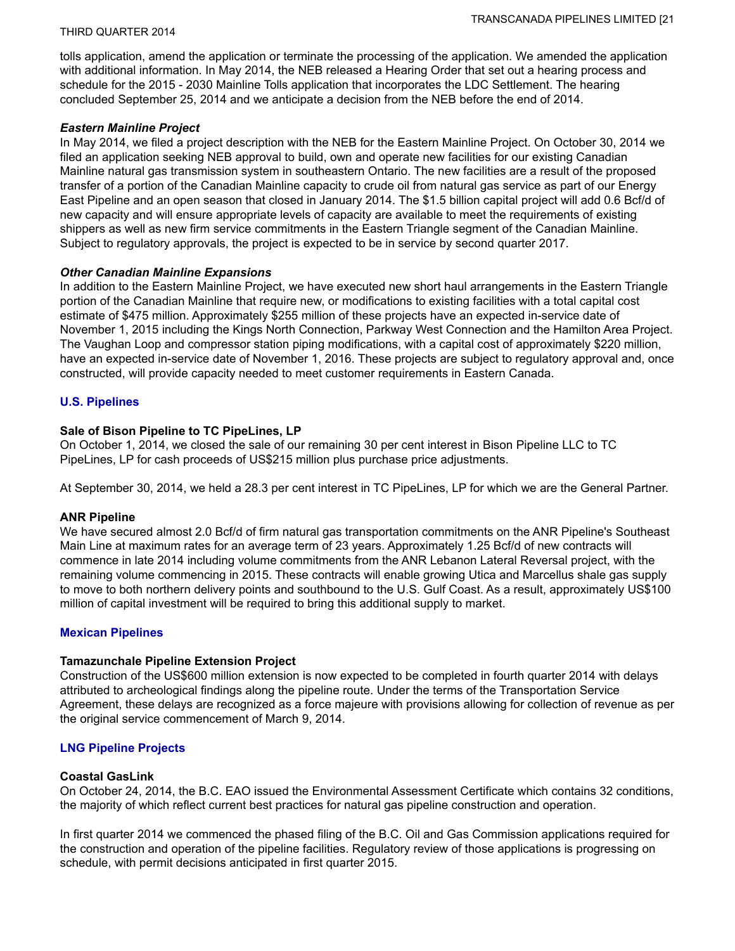tolls application, amend the application or terminate the processing of the application. We amended the application with additional information. In May 2014, the NEB released a Hearing Order that set out a hearing process and schedule for the 2015 - 2030 Mainline Tolls application that incorporates the LDC Settlement. The hearing concluded September 25, 2014 and we anticipate a decision from the NEB before the end of 2014.

## *Eastern Mainline Project*

In May 2014, we filed a project description with the NEB for the Eastern Mainline Project. On October 30, 2014 we filed an application seeking NEB approval to build, own and operate new facilities for our existing Canadian Mainline natural gas transmission system in southeastern Ontario. The new facilities are a result of the proposed transfer of a portion of the Canadian Mainline capacity to crude oil from natural gas service as part of our Energy East Pipeline and an open season that closed in January 2014. The \$1.5 billion capital project will add 0.6 Bcf/d of new capacity and will ensure appropriate levels of capacity are available to meet the requirements of existing shippers as well as new firm service commitments in the Eastern Triangle segment of the Canadian Mainline. Subject to regulatory approvals, the project is expected to be in service by second quarter 2017.

## *Other Canadian Mainline Expansions*

In addition to the Eastern Mainline Project, we have executed new short haul arrangements in the Eastern Triangle portion of the Canadian Mainline that require new, or modifications to existing facilities with a total capital cost estimate of \$475 million. Approximately \$255 million of these projects have an expected in-service date of November 1, 2015 including the Kings North Connection, Parkway West Connection and the Hamilton Area Project. The Vaughan Loop and compressor station piping modifications, with a capital cost of approximately \$220 million, have an expected in-service date of November 1, 2016. These projects are subject to regulatory approval and, once constructed, will provide capacity needed to meet customer requirements in Eastern Canada.

## **U.S. Pipelines**

## **Sale of Bison Pipeline to TC PipeLines, LP**

On October 1, 2014, we closed the sale of our remaining 30 per cent interest in Bison Pipeline LLC to TC PipeLines, LP for cash proceeds of US\$215 million plus purchase price adjustments.

At September 30, 2014, we held a 28.3 per cent interest in TC PipeLines, LP for which we are the General Partner.

### **ANR Pipeline**

We have secured almost 2.0 Bcf/d of firm natural gas transportation commitments on the ANR Pipeline's Southeast Main Line at maximum rates for an average term of 23 years. Approximately 1.25 Bcf/d of new contracts will commence in late 2014 including volume commitments from the ANR Lebanon Lateral Reversal project, with the remaining volume commencing in 2015. These contracts will enable growing Utica and Marcellus shale gas supply to move to both northern delivery points and southbound to the U.S. Gulf Coast. As a result, approximately US\$100 million of capital investment will be required to bring this additional supply to market.

# **Mexican Pipelines**

# **Tamazunchale Pipeline Extension Project**

Construction of the US\$600 million extension is now expected to be completed in fourth quarter 2014 with delays attributed to archeological findings along the pipeline route. Under the terms of the Transportation Service Agreement, these delays are recognized as a force majeure with provisions allowing for collection of revenue as per the original service commencement of March 9, 2014.

# **LNG Pipeline Projects**

### **Coastal GasLink**

On October 24, 2014, the B.C. EAO issued the Environmental Assessment Certificate which contains 32 conditions, the majority of which reflect current best practices for natural gas pipeline construction and operation.

In first quarter 2014 we commenced the phased filing of the B.C. Oil and Gas Commission applications required for the construction and operation of the pipeline facilities. Regulatory review of those applications is progressing on schedule, with permit decisions anticipated in first quarter 2015.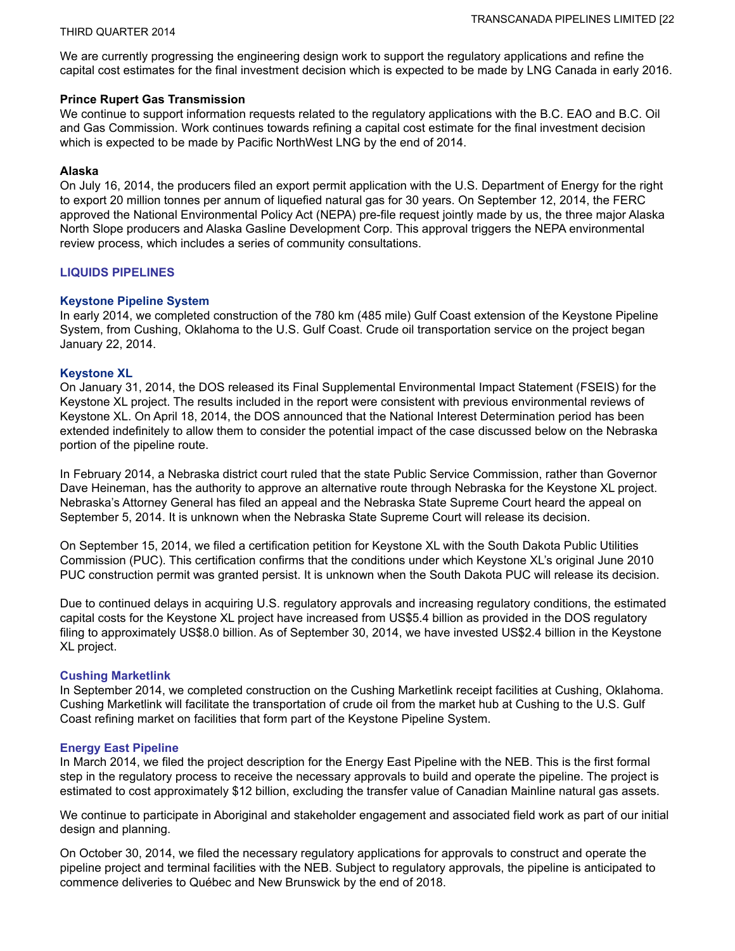We are currently progressing the engineering design work to support the regulatory applications and refine the capital cost estimates for the final investment decision which is expected to be made by LNG Canada in early 2016.

#### **Prince Rupert Gas Transmission**

We continue to support information requests related to the regulatory applications with the B.C. EAO and B.C. Oil and Gas Commission. Work continues towards refining a capital cost estimate for the final investment decision which is expected to be made by Pacific NorthWest LNG by the end of 2014.

#### **Alaska**

On July 16, 2014, the producers filed an export permit application with the U.S. Department of Energy for the right to export 20 million tonnes per annum of liquefied natural gas for 30 years. On September 12, 2014, the FERC approved the National Environmental Policy Act (NEPA) pre-file request jointly made by us, the three major Alaska North Slope producers and Alaska Gasline Development Corp. This approval triggers the NEPA environmental review process, which includes a series of community consultations.

#### **LIQUIDS PIPELINES**

#### **Keystone Pipeline System**

In early 2014, we completed construction of the 780 km (485 mile) Gulf Coast extension of the Keystone Pipeline System, from Cushing, Oklahoma to the U.S. Gulf Coast. Crude oil transportation service on the project began January 22, 2014.

#### **Keystone XL**

On January 31, 2014, the DOS released its Final Supplemental Environmental Impact Statement (FSEIS) for the Keystone XL project. The results included in the report were consistent with previous environmental reviews of Keystone XL. On April 18, 2014, the DOS announced that the National Interest Determination period has been extended indefinitely to allow them to consider the potential impact of the case discussed below on the Nebraska portion of the pipeline route.

In February 2014, a Nebraska district court ruled that the state Public Service Commission, rather than Governor Dave Heineman, has the authority to approve an alternative route through Nebraska for the Keystone XL project. Nebraska's Attorney General has filed an appeal and the Nebraska State Supreme Court heard the appeal on September 5, 2014. It is unknown when the Nebraska State Supreme Court will release its decision.

On September 15, 2014, we filed a certification petition for Keystone XL with the South Dakota Public Utilities Commission (PUC). This certification confirms that the conditions under which Keystone XL's original June 2010 PUC construction permit was granted persist. It is unknown when the South Dakota PUC will release its decision.

Due to continued delays in acquiring U.S. regulatory approvals and increasing regulatory conditions, the estimated capital costs for the Keystone XL project have increased from US\$5.4 billion as provided in the DOS regulatory filing to approximately US\$8.0 billion. As of September 30, 2014, we have invested US\$2.4 billion in the Keystone XL project.

#### **Cushing Marketlink**

In September 2014, we completed construction on the Cushing Marketlink receipt facilities at Cushing, Oklahoma. Cushing Marketlink will facilitate the transportation of crude oil from the market hub at Cushing to the U.S. Gulf Coast refining market on facilities that form part of the Keystone Pipeline System.

#### **Energy East Pipeline**

In March 2014, we filed the project description for the Energy East Pipeline with the NEB. This is the first formal step in the regulatory process to receive the necessary approvals to build and operate the pipeline. The project is estimated to cost approximately \$12 billion, excluding the transfer value of Canadian Mainline natural gas assets.

We continue to participate in Aboriginal and stakeholder engagement and associated field work as part of our initial design and planning.

On October 30, 2014, we filed the necessary regulatory applications for approvals to construct and operate the pipeline project and terminal facilities with the NEB. Subject to regulatory approvals, the pipeline is anticipated to commence deliveries to Québec and New Brunswick by the end of 2018.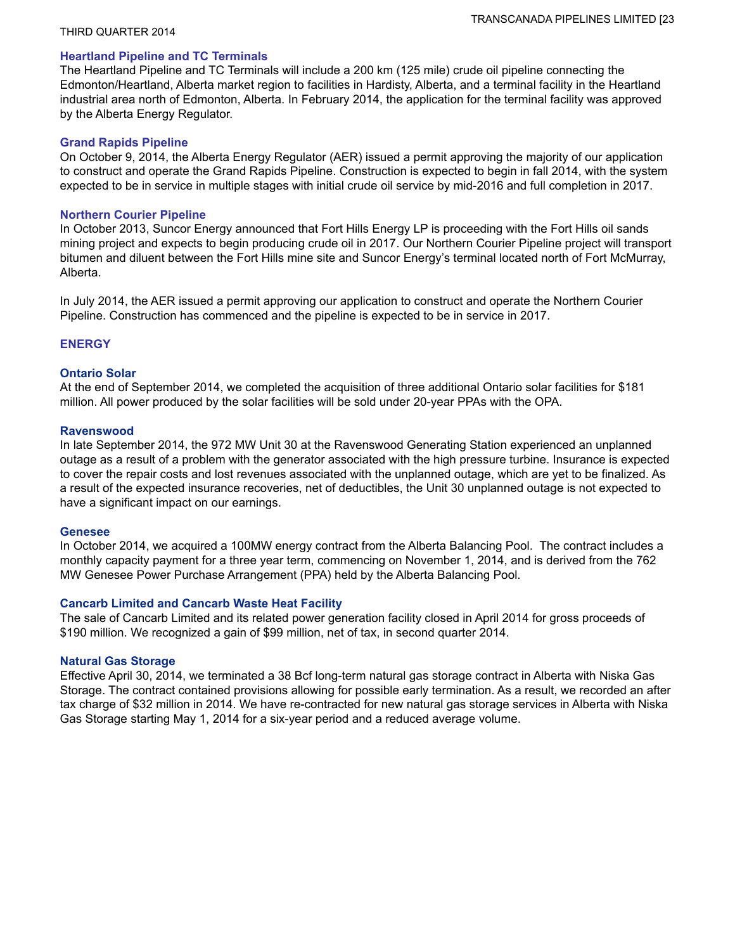#### **Heartland Pipeline and TC Terminals**

The Heartland Pipeline and TC Terminals will include a 200 km (125 mile) crude oil pipeline connecting the Edmonton/Heartland, Alberta market region to facilities in Hardisty, Alberta, and a terminal facility in the Heartland industrial area north of Edmonton, Alberta. In February 2014, the application for the terminal facility was approved by the Alberta Energy Regulator.

#### **Grand Rapids Pipeline**

On October 9, 2014, the Alberta Energy Regulator (AER) issued a permit approving the majority of our application to construct and operate the Grand Rapids Pipeline. Construction is expected to begin in fall 2014, with the system expected to be in service in multiple stages with initial crude oil service by mid-2016 and full completion in 2017.

#### **Northern Courier Pipeline**

In October 2013, Suncor Energy announced that Fort Hills Energy LP is proceeding with the Fort Hills oil sands mining project and expects to begin producing crude oil in 2017. Our Northern Courier Pipeline project will transport bitumen and diluent between the Fort Hills mine site and Suncor Energy's terminal located north of Fort McMurray, Alberta.

In July 2014, the AER issued a permit approving our application to construct and operate the Northern Courier Pipeline. Construction has commenced and the pipeline is expected to be in service in 2017.

## **ENERGY**

#### **Ontario Solar**

At the end of September 2014, we completed the acquisition of three additional Ontario solar facilities for \$181 million. All power produced by the solar facilities will be sold under 20-year PPAs with the OPA.

#### **Ravenswood**

In late September 2014, the 972 MW Unit 30 at the Ravenswood Generating Station experienced an unplanned outage as a result of a problem with the generator associated with the high pressure turbine. Insurance is expected to cover the repair costs and lost revenues associated with the unplanned outage, which are yet to be finalized. As a result of the expected insurance recoveries, net of deductibles, the Unit 30 unplanned outage is not expected to have a significant impact on our earnings.

#### **Genesee**

In October 2014, we acquired a 100MW energy contract from the Alberta Balancing Pool. The contract includes a monthly capacity payment for a three year term, commencing on November 1, 2014, and is derived from the 762 MW Genesee Power Purchase Arrangement (PPA) held by the Alberta Balancing Pool.

### **Cancarb Limited and Cancarb Waste Heat Facility**

The sale of Cancarb Limited and its related power generation facility closed in April 2014 for gross proceeds of \$190 million. We recognized a gain of \$99 million, net of tax, in second quarter 2014.

#### **Natural Gas Storage**

Effective April 30, 2014, we terminated a 38 Bcf long-term natural gas storage contract in Alberta with Niska Gas Storage. The contract contained provisions allowing for possible early termination. As a result, we recorded an after tax charge of \$32 million in 2014. We have re-contracted for new natural gas storage services in Alberta with Niska Gas Storage starting May 1, 2014 for a six-year period and a reduced average volume.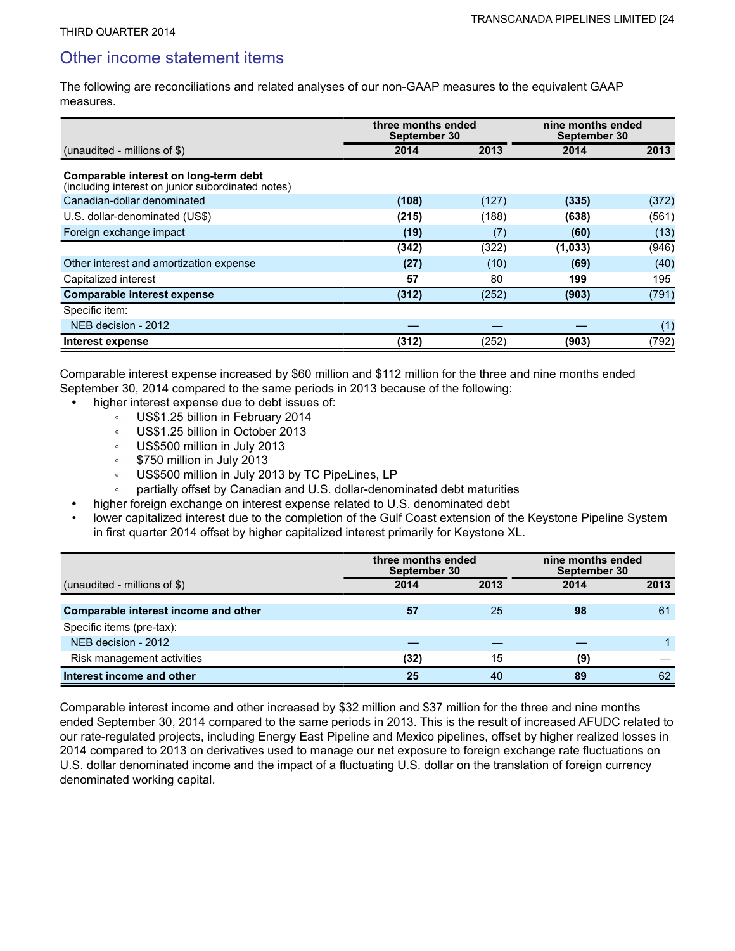# Other income statement items

The following are reconciliations and related analyses of our non-GAAP measures to the equivalent GAAP measures.

|                                                                                            | three months ended<br>September 30 |       | nine months ended<br>September 30 |       |
|--------------------------------------------------------------------------------------------|------------------------------------|-------|-----------------------------------|-------|
| (unaudited - millions of \$)                                                               | 2014                               | 2013  | 2014                              | 2013  |
| Comparable interest on long-term debt<br>(including interest on junior subordinated notes) |                                    |       |                                   |       |
| Canadian-dollar denominated                                                                | (108)                              | (127) | (335)                             | (372) |
| U.S. dollar-denominated (US\$)                                                             | (215)                              | (188) | (638)                             | (561) |
| Foreign exchange impact                                                                    | (19)                               | (7)   | (60)                              | (13)  |
|                                                                                            | (342)                              | (322) | (1,033)                           | (946) |
| Other interest and amortization expense                                                    | (27)                               | (10)  | (69)                              | (40)  |
| Capitalized interest                                                                       | 57                                 | 80    | 199                               | 195   |
| <b>Comparable interest expense</b>                                                         | (312)                              | (252) | (903)                             | (791) |
| Specific item:                                                                             |                                    |       |                                   |       |
| NEB decision - 2012                                                                        |                                    |       |                                   | (1)   |
| Interest expense                                                                           | (312)                              | (252) | (903)                             | (792) |

Comparable interest expense increased by \$60 million and \$112 million for the three and nine months ended September 30, 2014 compared to the same periods in 2013 because of the following:

- higher interest expense due to debt issues of:
	- US\$1.25 billion in February 2014
	- US\$1.25 billion in October 2013  $\circ$
	- US\$500 million in July 2013  $\circ$
	- \$750 million in July 2013  $\circ$
	- US\$500 million in July 2013 by TC PipeLines, LP
	- partially offset by Canadian and U.S. dollar-denominated debt maturities
	- higher foreign exchange on interest expense related to U.S. denominated debt
- lower capitalized interest due to the completion of the Gulf Coast extension of the Keystone Pipeline System in first quarter 2014 offset by higher capitalized interest primarily for Keystone XL.

|                                      | three months ended<br>September 30 |      | nine months ended<br>September 30 |      |
|--------------------------------------|------------------------------------|------|-----------------------------------|------|
| (unaudited - millions of $\$\$ )     | 2014                               | 2013 | 2014                              | 2013 |
| Comparable interest income and other | 57                                 | 25   | 98                                | 61   |
| Specific items (pre-tax):            |                                    |      |                                   |      |
| NEB decision - 2012                  |                                    |      |                                   |      |
| Risk management activities           | (32)                               | 15   | (9)                               |      |
| Interest income and other            | 25                                 | 40   | 89                                | 62   |

Comparable interest income and other increased by \$32 million and \$37 million for the three and nine months ended September 30, 2014 compared to the same periods in 2013. This is the result of increased AFUDC related to our rate-regulated projects, including Energy East Pipeline and Mexico pipelines, offset by higher realized losses in 2014 compared to 2013 on derivatives used to manage our net exposure to foreign exchange rate fluctuations on U.S. dollar denominated income and the impact of a fluctuating U.S. dollar on the translation of foreign currency denominated working capital.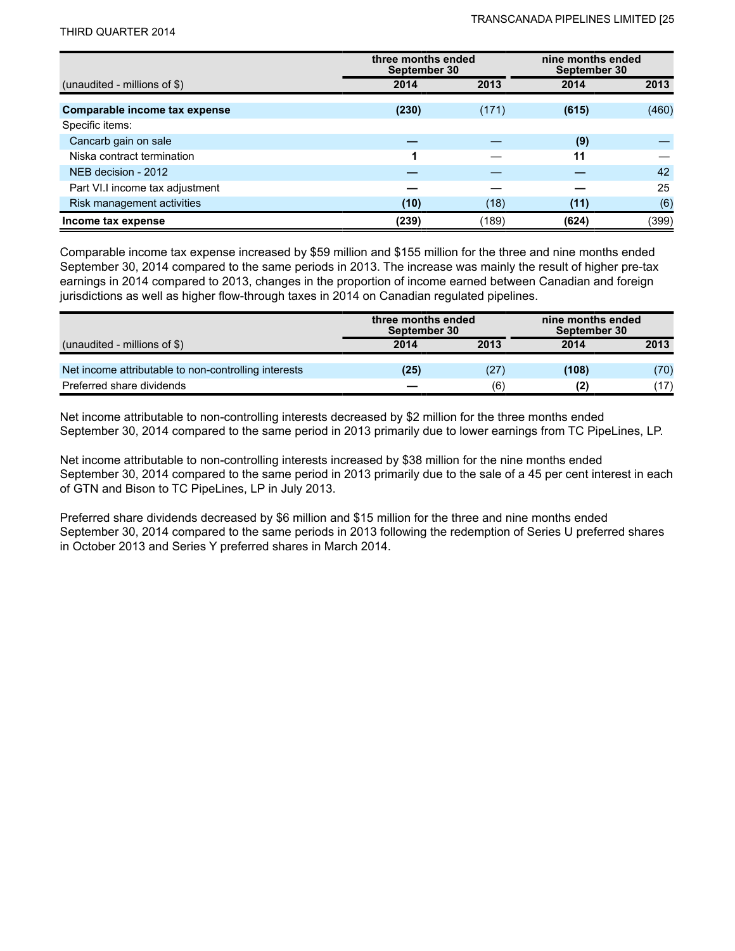|                                  | three months ended<br>September 30 |       | nine months ended<br>September 30 |       |
|----------------------------------|------------------------------------|-------|-----------------------------------|-------|
| (unaudited - millions of $\$\$ ) | 2014                               | 2013  | 2014                              | 2013  |
| Comparable income tax expense    | (230)                              | (171) | (615)                             | (460) |
| Specific items:                  |                                    |       |                                   |       |
| Cancarb gain on sale             |                                    |       | (9)                               |       |
| Niska contract termination       |                                    |       | 11                                |       |
| NEB decision - 2012              |                                    |       |                                   | 42    |
| Part VI.I income tax adjustment  |                                    |       |                                   | 25    |
| Risk management activities       | (10)                               | (18)  | (11)                              | (6)   |
| Income tax expense               | (239)                              | (189) | (624)                             | (399) |

Comparable income tax expense increased by \$59 million and \$155 million for the three and nine months ended September 30, 2014 compared to the same periods in 2013. The increase was mainly the result of higher pre-tax earnings in 2014 compared to 2013, changes in the proportion of income earned between Canadian and foreign jurisdictions as well as higher flow-through taxes in 2014 on Canadian regulated pipelines.

|                                                      | three months ended<br>September 30 |      | nine months ended<br>September 30 |      |
|------------------------------------------------------|------------------------------------|------|-----------------------------------|------|
| (unaudited - millions of $\$\$ )                     | 2014                               | 2013 | 2014                              | 2013 |
| Net income attributable to non-controlling interests | (25)                               | (27) | (108)                             | (70) |
| Preferred share dividends                            |                                    | (6)  | (2)                               | (17) |

Net income attributable to non-controlling interests decreased by \$2 million for the three months ended September 30, 2014 compared to the same period in 2013 primarily due to lower earnings from TC PipeLines, LP.

Net income attributable to non-controlling interests increased by \$38 million for the nine months ended September 30, 2014 compared to the same period in 2013 primarily due to the sale of a 45 per cent interest in each of GTN and Bison to TC PipeLines, LP in July 2013.

Preferred share dividends decreased by \$6 million and \$15 million for the three and nine months ended September 30, 2014 compared to the same periods in 2013 following the redemption of Series U preferred shares in October 2013 and Series Y preferred shares in March 2014.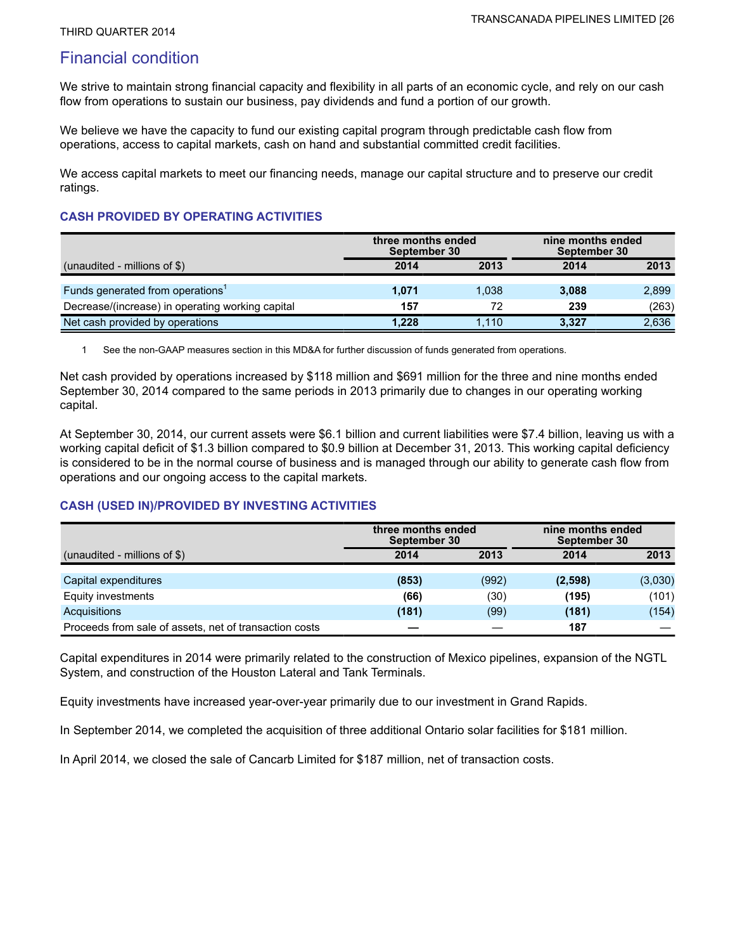# Financial condition

We strive to maintain strong financial capacity and flexibility in all parts of an economic cycle, and rely on our cash flow from operations to sustain our business, pay dividends and fund a portion of our growth.

We believe we have the capacity to fund our existing capital program through predictable cash flow from operations, access to capital markets, cash on hand and substantial committed credit facilities.

We access capital markets to meet our financing needs, manage our capital structure and to preserve our credit ratings.

## **CASH PROVIDED BY OPERATING ACTIVITIES**

|                                                  | three months ended<br>September 30 |       | nine months ended<br>September 30 |       |
|--------------------------------------------------|------------------------------------|-------|-----------------------------------|-------|
| (unaudited - millions of $\$\$ )                 | 2014                               | 2013  | 2014                              | 2013  |
| Funds generated from operations'                 | 1,071                              | 1.038 | 3,088                             | 2,899 |
| Decrease/(increase) in operating working capital | 157                                | 72    | 239                               | (263) |
| Net cash provided by operations                  | 1.228                              | 1.110 | 3,327                             | 2,636 |

1 See the non-GAAP measures section in this MD&A for further discussion of funds generated from operations.

Net cash provided by operations increased by \$118 million and \$691 million for the three and nine months ended September 30, 2014 compared to the same periods in 2013 primarily due to changes in our operating working capital.

At September 30, 2014, our current assets were \$6.1 billion and current liabilities were \$7.4 billion, leaving us with a working capital deficit of \$1.3 billion compared to \$0.9 billion at December 31, 2013. This working capital deficiency is considered to be in the normal course of business and is managed through our ability to generate cash flow from operations and our ongoing access to the capital markets.

## **CASH (USED IN)/PROVIDED BY INVESTING ACTIVITIES**

|                                                        | three months ended<br>September 30 |       | nine months ended<br>September 30 |         |
|--------------------------------------------------------|------------------------------------|-------|-----------------------------------|---------|
| (unaudited - millions of $\$\$ )                       | 2014                               | 2013  | 2014                              | 2013    |
| Capital expenditures                                   | (853)                              | (992) | (2,598)                           | (3,030) |
| Equity investments                                     | (66)                               | (30)  | (195)                             | (101)   |
| Acquisitions                                           | (181)                              | (99)  | (181)                             | (154)   |
| Proceeds from sale of assets, net of transaction costs |                                    |       | 187                               |         |

Capital expenditures in 2014 were primarily related to the construction of Mexico pipelines, expansion of the NGTL System, and construction of the Houston Lateral and Tank Terminals.

Equity investments have increased year-over-year primarily due to our investment in Grand Rapids.

In September 2014, we completed the acquisition of three additional Ontario solar facilities for \$181 million.

In April 2014, we closed the sale of Cancarb Limited for \$187 million, net of transaction costs.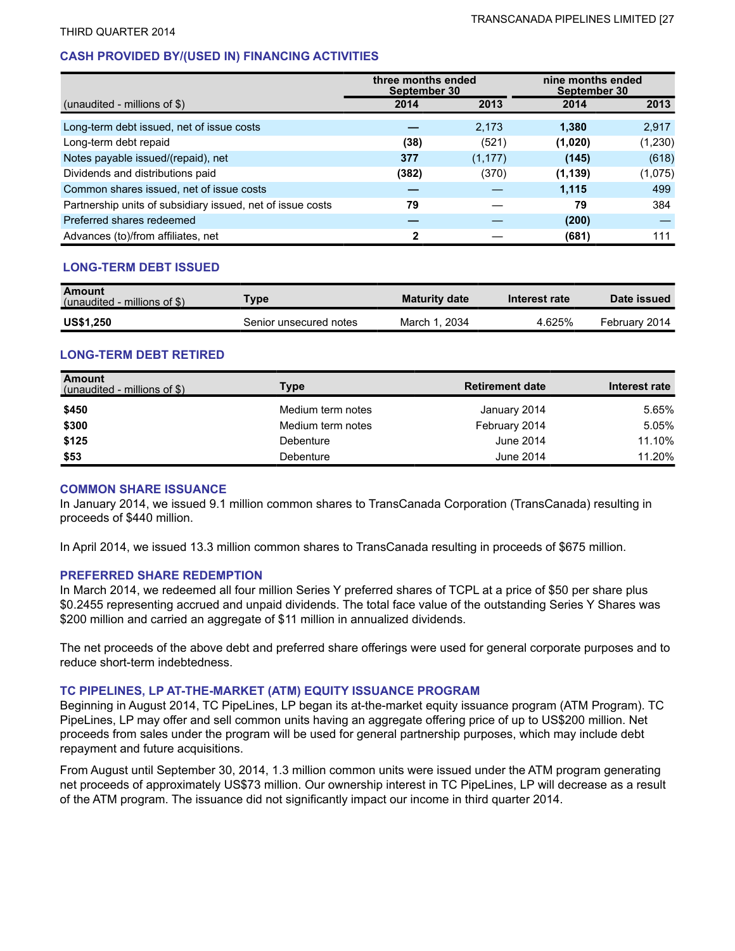# **CASH PROVIDED BY/(USED IN) FINANCING ACTIVITIES**

|                                                            | three months ended<br>September 30 |          | nine months ended<br>September 30 |         |
|------------------------------------------------------------|------------------------------------|----------|-----------------------------------|---------|
| (unaudited - millions of $\$\$ )                           | 2014                               | 2013     | 2014                              | 2013    |
| Long-term debt issued, net of issue costs                  |                                    | 2.173    | 1.380                             | 2,917   |
| Long-term debt repaid                                      | (38)                               | (521)    | (1,020)                           | (1,230) |
| Notes payable issued/(repaid), net                         | 377                                | (1, 177) | (145)                             | (618)   |
| Dividends and distributions paid                           | (382)                              | (370)    | (1, 139)                          | (1,075) |
| Common shares issued, net of issue costs                   |                                    |          | 1.115                             | 499     |
| Partnership units of subsidiary issued, net of issue costs | 79                                 |          | 79                                | 384     |
| Preferred shares redeemed                                  |                                    |          | (200)                             |         |
| Advances (to)/from affiliates, net                         | 2                                  |          | (681)                             | 111     |

## **LONG-TERM DEBT ISSUED**

| Amount<br>(unaudited - millions of $\$\)$ ) | Type                   | <b>Maturity date</b> | Interest rate | Date issued   |
|---------------------------------------------|------------------------|----------------------|---------------|---------------|
| <b>US\$1,250</b>                            | Senior unsecured notes | March 1, 2034        | 4.625%        | February 2014 |

## **LONG-TERM DEBT RETIRED**

| Amount<br>(unaudited - millions of \$) | Type              | <b>Retirement date</b> | Interest rate |
|----------------------------------------|-------------------|------------------------|---------------|
| \$450                                  | Medium term notes | January 2014           | 5.65%         |
| \$300                                  | Medium term notes | February 2014          | 5.05%         |
| \$125                                  | Debenture         | June 2014              | 11.10%        |
| \$53                                   | Debenture         | June 2014              | 11.20%        |

#### **COMMON SHARE ISSUANCE**

In January 2014, we issued 9.1 million common shares to TransCanada Corporation (TransCanada) resulting in proceeds of \$440 million.

In April 2014, we issued 13.3 million common shares to TransCanada resulting in proceeds of \$675 million.

### **PREFERRED SHARE REDEMPTION**

In March 2014, we redeemed all four million Series Y preferred shares of TCPL at a price of \$50 per share plus \$0.2455 representing accrued and unpaid dividends. The total face value of the outstanding Series Y Shares was \$200 million and carried an aggregate of \$11 million in annualized dividends.

The net proceeds of the above debt and preferred share offerings were used for general corporate purposes and to reduce short-term indebtedness.

### **TC PIPELINES, LP AT-THE-MARKET (ATM) EQUITY ISSUANCE PROGRAM**

Beginning in August 2014, TC PipeLines, LP began its at-the-market equity issuance program (ATM Program). TC PipeLines, LP may offer and sell common units having an aggregate offering price of up to US\$200 million. Net proceeds from sales under the program will be used for general partnership purposes, which may include debt repayment and future acquisitions.

From August until September 30, 2014, 1.3 million common units were issued under the ATM program generating net proceeds of approximately US\$73 million. Our ownership interest in TC PipeLines, LP will decrease as a result of the ATM program. The issuance did not significantly impact our income in third quarter 2014.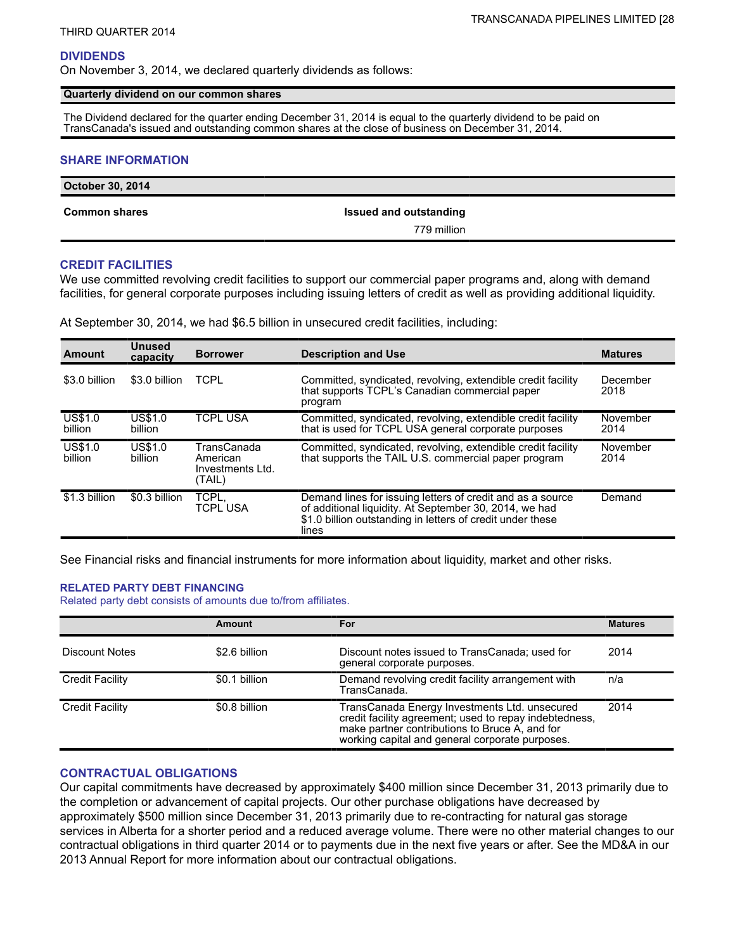#### **DIVIDENDS**

On November 3, 2014, we declared quarterly dividends as follows:

#### **Quarterly dividend on our common shares**

The Dividend declared for the quarter ending December 31, 2014 is equal to the quarterly dividend to be paid on TransCanada's issued and outstanding common shares at the close of business on December 31, 2014.

#### **SHARE INFORMATION**

| <b>October 30, 2014</b> |                               |  |
|-------------------------|-------------------------------|--|
| <b>Common shares</b>    | <b>Issued and outstanding</b> |  |
|                         | 779 million                   |  |

#### **CREDIT FACILITIES**

We use committed revolving credit facilities to support our commercial paper programs and, along with demand facilities, for general corporate purposes including issuing letters of credit as well as providing additional liquidity.

At September 30, 2014, we had \$6.5 billion in unsecured credit facilities, including:

| Amount                    | <b>Unused</b><br>capacity | <b>Borrower</b>                                       | <b>Description and Use</b>                                                                                                                                                                  | <b>Matures</b>   |
|---------------------------|---------------------------|-------------------------------------------------------|---------------------------------------------------------------------------------------------------------------------------------------------------------------------------------------------|------------------|
| \$3.0 billion             | \$3.0 billion             | TCPI                                                  | Committed, syndicated, revolving, extendible credit facility<br>that supports TCPL's Canadian commercial paper<br>program                                                                   | December<br>2018 |
| <b>US\$1.0</b><br>billion | US\$1.0<br>billion        | <b>TCPL USA</b>                                       | Committed, syndicated, revolving, extendible credit facility<br>that is used for TCPL USA general corporate purposes                                                                        | November<br>2014 |
| <b>US\$1.0</b><br>billion | <b>US\$1.0</b><br>billion | TransCanada<br>American<br>Investments Ltd.<br>(TAIL) | Committed, syndicated, revolving, extendible credit facility<br>that supports the TAIL U.S. commercial paper program                                                                        | November<br>2014 |
| \$1.3 billion             | \$0.3 billion             | TCPL.<br><b>TCPL USA</b>                              | Demand lines for issuing letters of credit and as a source<br>of additional liquidity. At September 30, 2014, we had<br>\$1.0 billion outstanding in letters of credit under these<br>lines | Demand           |

See Financial risks and financial instruments for more information about liquidity, market and other risks.

### **RELATED PARTY DEBT FINANCING**

Related party debt consists of amounts due to/from affiliates.

|                        | Amount        | For                                                                                                                                                                                                          | <b>Matures</b> |
|------------------------|---------------|--------------------------------------------------------------------------------------------------------------------------------------------------------------------------------------------------------------|----------------|
| Discount Notes         | \$2.6 billion | Discount notes issued to TransCanada; used for<br>general corporate purposes.                                                                                                                                | 2014           |
| <b>Credit Facility</b> | \$0.1 billion | Demand revolving credit facility arrangement with<br>TransCanada.                                                                                                                                            | n/a            |
| <b>Credit Facility</b> | \$0.8 billion | TransCanada Energy Investments Ltd. unsecured<br>credit facility agreement; used to repay indebtedness,<br>make partner contributions to Bruce A, and for<br>working capital and general corporate purposes. | 2014           |

### **CONTRACTUAL OBLIGATIONS**

Our capital commitments have decreased by approximately \$400 million since December 31, 2013 primarily due to the completion or advancement of capital projects. Our other purchase obligations have decreased by approximately \$500 million since December 31, 2013 primarily due to re-contracting for natural gas storage services in Alberta for a shorter period and a reduced average volume. There were no other material changes to our contractual obligations in third quarter 2014 or to payments due in the next five years or after. See the MD&A in our 2013 Annual Report for more information about our contractual obligations.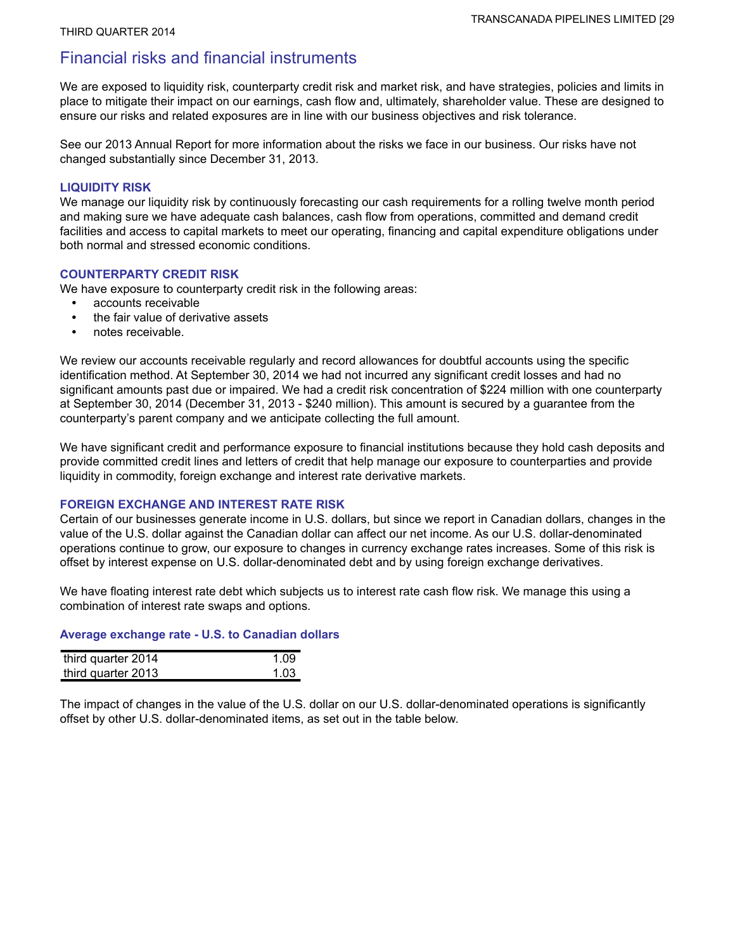# Financial risks and financial instruments

We are exposed to liquidity risk, counterparty credit risk and market risk, and have strategies, policies and limits in place to mitigate their impact on our earnings, cash flow and, ultimately, shareholder value. These are designed to ensure our risks and related exposures are in line with our business objectives and risk tolerance.

See our 2013 Annual Report for more information about the risks we face in our business. Our risks have not changed substantially since December 31, 2013.

# **LIQUIDITY RISK**

We manage our liquidity risk by continuously forecasting our cash requirements for a rolling twelve month period and making sure we have adequate cash balances, cash flow from operations, committed and demand credit facilities and access to capital markets to meet our operating, financing and capital expenditure obligations under both normal and stressed economic conditions.

## **COUNTERPARTY CREDIT RISK**

We have exposure to counterparty credit risk in the following areas:

- accounts receivable
- the fair value of derivative assets
- notes receivable.

We review our accounts receivable regularly and record allowances for doubtful accounts using the specific identification method. At September 30, 2014 we had not incurred any significant credit losses and had no significant amounts past due or impaired. We had a credit risk concentration of \$224 million with one counterparty at September 30, 2014 (December 31, 2013 - \$240 million). This amount is secured by a guarantee from the counterparty's parent company and we anticipate collecting the full amount.

We have significant credit and performance exposure to financial institutions because they hold cash deposits and provide committed credit lines and letters of credit that help manage our exposure to counterparties and provide liquidity in commodity, foreign exchange and interest rate derivative markets.

# **FOREIGN EXCHANGE AND INTEREST RATE RISK**

Certain of our businesses generate income in U.S. dollars, but since we report in Canadian dollars, changes in the value of the U.S. dollar against the Canadian dollar can affect our net income. As our U.S. dollar-denominated operations continue to grow, our exposure to changes in currency exchange rates increases. Some of this risk is offset by interest expense on U.S. dollar-denominated debt and by using foreign exchange derivatives.

We have floating interest rate debt which subjects us to interest rate cash flow risk. We manage this using a combination of interest rate swaps and options.

### **Average exchange rate - U.S. to Canadian dollars**

| third quarter 2014 | 1 0 9 |
|--------------------|-------|
| third quarter 2013 | 1.03  |

The impact of changes in the value of the U.S. dollar on our U.S. dollar-denominated operations is significantly offset by other U.S. dollar-denominated items, as set out in the table below.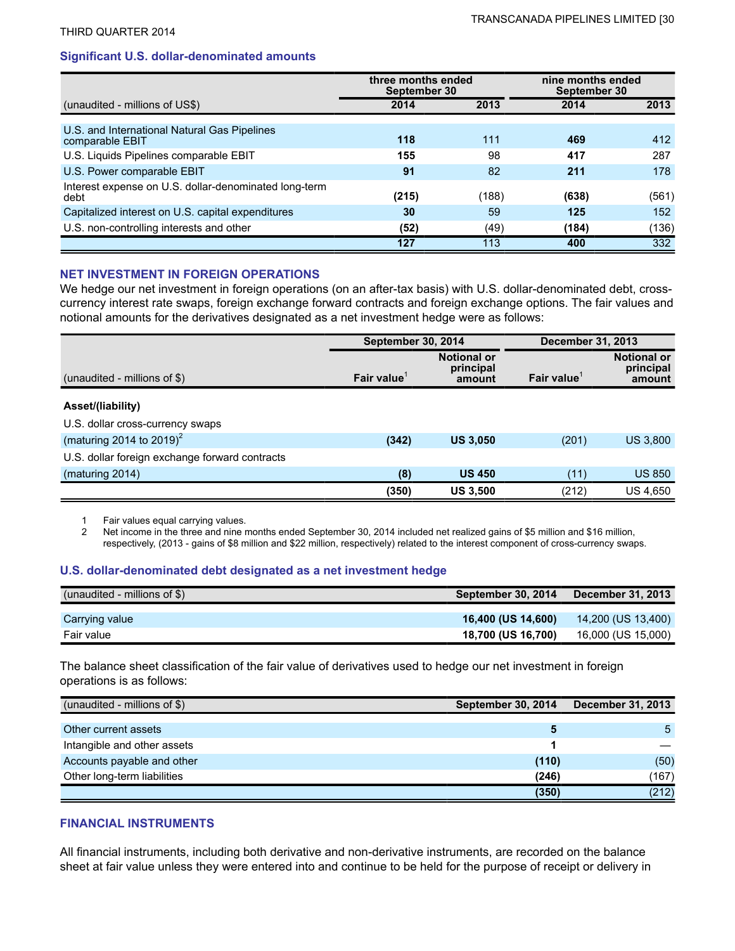## **Significant U.S. dollar-denominated amounts**

|                                                                 | three months ended<br>September 30 |       | nine months ended<br>September 30 |       |  |
|-----------------------------------------------------------------|------------------------------------|-------|-----------------------------------|-------|--|
| (unaudited - millions of US\$)                                  | 2014                               | 2013  | 2014                              | 2013  |  |
| U.S. and International Natural Gas Pipelines<br>comparable EBIT | 118                                | 111   | 469                               | 412   |  |
| U.S. Liquids Pipelines comparable EBIT                          | 155                                | 98    | 417                               | 287   |  |
| U.S. Power comparable EBIT                                      | 91                                 | 82    | 211                               | 178   |  |
| Interest expense on U.S. dollar-denominated long-term<br>debt   | (215)                              | (188) | (638)                             | (561) |  |
| Capitalized interest on U.S. capital expenditures               | 30                                 | 59    | 125                               | 152   |  |
| U.S. non-controlling interests and other                        | (52)                               | (49)  | (184)                             | (136) |  |
|                                                                 | 127                                | 113   | 400                               | 332   |  |

### **NET INVESTMENT IN FOREIGN OPERATIONS**

We hedge our net investment in foreign operations (on an after-tax basis) with U.S. dollar-denominated debt, crosscurrency interest rate swaps, foreign exchange forward contracts and foreign exchange options. The fair values and notional amounts for the derivatives designated as a net investment hedge were as follows:

|                                                | <b>September 30, 2014</b> |                                           | <b>December 31, 2013</b> |                                           |  |
|------------------------------------------------|---------------------------|-------------------------------------------|--------------------------|-------------------------------------------|--|
| (unaudited - millions of $\$\$ )               | Fair value <sup>1</sup>   | <b>Notional or</b><br>principal<br>amount | Fair value               | <b>Notional or</b><br>principal<br>amount |  |
| Asset/(liability)                              |                           |                                           |                          |                                           |  |
| U.S. dollar cross-currency swaps               |                           |                                           |                          |                                           |  |
| (maturing 2014 to 2019) <sup>2</sup>           | (342)                     | <b>US 3,050</b>                           | (201)                    | <b>US 3,800</b>                           |  |
| U.S. dollar foreign exchange forward contracts |                           |                                           |                          |                                           |  |
| (maturity 2014)                                | (8)                       | <b>US 450</b>                             | (11)                     | <b>US 850</b>                             |  |
|                                                | (350)                     | <b>US 3,500</b>                           | (212)                    | <b>US 4,650</b>                           |  |

1 Fair values equal carrying values.

2 Net income in the three and nine months ended September 30, 2014 included net realized gains of \$5 million and \$16 million, respectively, (2013 - gains of \$8 million and \$22 million, respectively) related to the interest component of cross-currency swaps.

## **U.S. dollar-denominated debt designated as a net investment hedge**

| (unaudited - millions of $\$\$ ) | September 30, 2014 | December 31, 2013  |
|----------------------------------|--------------------|--------------------|
| Carrying value                   | 16,400 (US 14,600) | 14,200 (US 13,400) |
| Fair value                       | 18,700 (US 16,700) | 16,000 (US 15,000) |

The balance sheet classification of the fair value of derivatives used to hedge our net investment in foreign operations is as follows:

| (unaudited - millions of $\$\$ ) | <b>September 30, 2014</b> | <b>December 31, 2013</b> |
|----------------------------------|---------------------------|--------------------------|
|                                  |                           |                          |
| Other current assets             |                           | 5                        |
| Intangible and other assets      |                           |                          |
| Accounts payable and other       | (110)                     | (50)                     |
| Other long-term liabilities      | (246)                     | (167)                    |
|                                  | (350)                     | (212)                    |

### **FINANCIAL INSTRUMENTS**

All financial instruments, including both derivative and non-derivative instruments, are recorded on the balance sheet at fair value unless they were entered into and continue to be held for the purpose of receipt or delivery in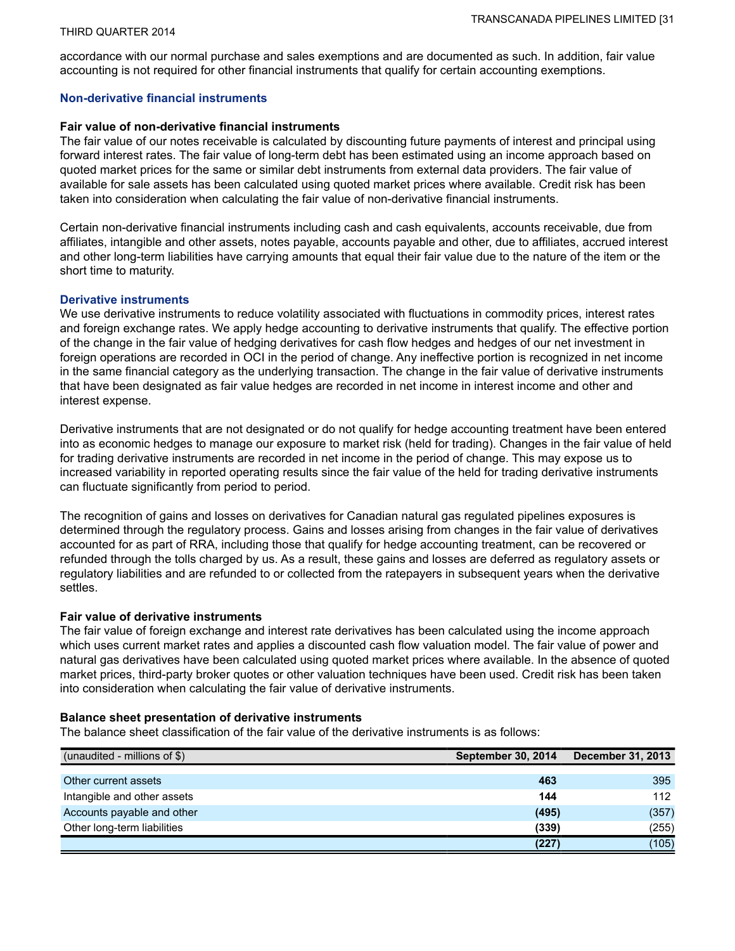accordance with our normal purchase and sales exemptions and are documented as such. In addition, fair value accounting is not required for other financial instruments that qualify for certain accounting exemptions.

### **Non-derivative financial instruments**

#### **Fair value of non-derivative financial instruments**

The fair value of our notes receivable is calculated by discounting future payments of interest and principal using forward interest rates. The fair value of long-term debt has been estimated using an income approach based on quoted market prices for the same or similar debt instruments from external data providers. The fair value of available for sale assets has been calculated using quoted market prices where available. Credit risk has been taken into consideration when calculating the fair value of non-derivative financial instruments.

Certain non-derivative financial instruments including cash and cash equivalents, accounts receivable, due from affiliates, intangible and other assets, notes payable, accounts payable and other, due to affiliates, accrued interest and other long-term liabilities have carrying amounts that equal their fair value due to the nature of the item or the short time to maturity.

#### **Derivative instruments**

We use derivative instruments to reduce volatility associated with fluctuations in commodity prices, interest rates and foreign exchange rates. We apply hedge accounting to derivative instruments that qualify. The effective portion of the change in the fair value of hedging derivatives for cash flow hedges and hedges of our net investment in foreign operations are recorded in OCI in the period of change. Any ineffective portion is recognized in net income in the same financial category as the underlying transaction. The change in the fair value of derivative instruments that have been designated as fair value hedges are recorded in net income in interest income and other and interest expense.

Derivative instruments that are not designated or do not qualify for hedge accounting treatment have been entered into as economic hedges to manage our exposure to market risk (held for trading). Changes in the fair value of held for trading derivative instruments are recorded in net income in the period of change. This may expose us to increased variability in reported operating results since the fair value of the held for trading derivative instruments can fluctuate significantly from period to period.

The recognition of gains and losses on derivatives for Canadian natural gas regulated pipelines exposures is determined through the regulatory process. Gains and losses arising from changes in the fair value of derivatives accounted for as part of RRA, including those that qualify for hedge accounting treatment, can be recovered or refunded through the tolls charged by us. As a result, these gains and losses are deferred as regulatory assets or regulatory liabilities and are refunded to or collected from the ratepayers in subsequent years when the derivative settles.

### **Fair value of derivative instruments**

The fair value of foreign exchange and interest rate derivatives has been calculated using the income approach which uses current market rates and applies a discounted cash flow valuation model. The fair value of power and natural gas derivatives have been calculated using quoted market prices where available. In the absence of quoted market prices, third-party broker quotes or other valuation techniques have been used. Credit risk has been taken into consideration when calculating the fair value of derivative instruments.

### **Balance sheet presentation of derivative instruments**

The balance sheet classification of the fair value of the derivative instruments is as follows:

| (unaudited - millions of $\$\$ ) | <b>September 30, 2014</b> | <b>December 31, 2013</b> |
|----------------------------------|---------------------------|--------------------------|
|                                  |                           |                          |
| Other current assets             | 463                       | 395                      |
| Intangible and other assets      | 144                       | 112                      |
| Accounts payable and other       | (495)                     | (357)                    |
| Other long-term liabilities      | (339)                     | (255)                    |
|                                  | (227)                     | (105)                    |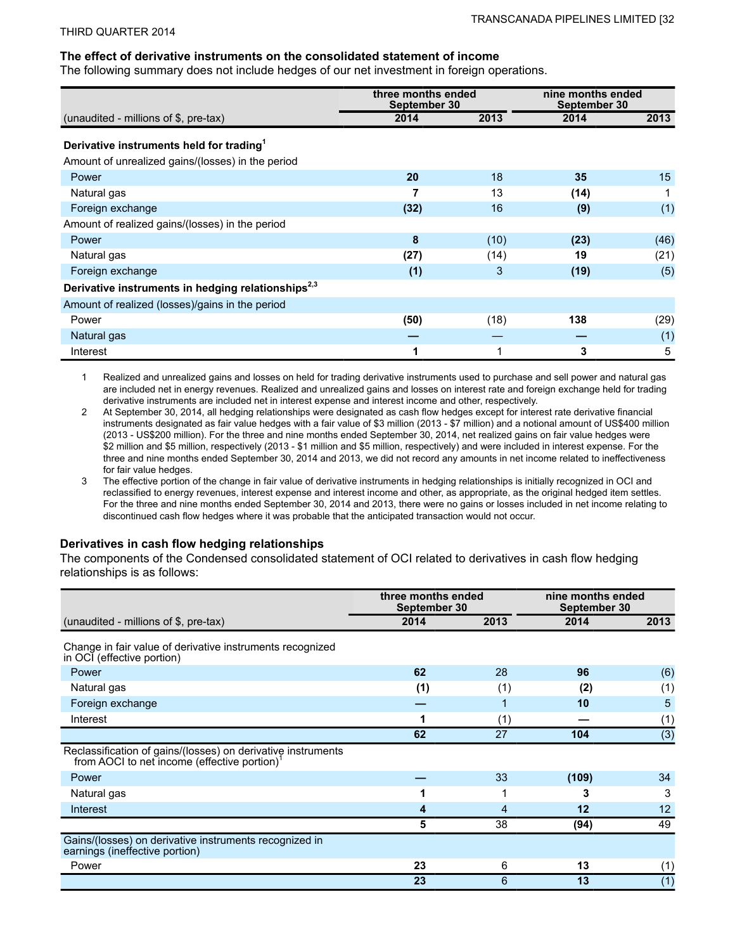# **The effect of derivative instruments on the consolidated statement of income**

The following summary does not include hedges of our net investment in foreign operations.

|                                                                                                           | three months ended<br>September 30 |      | nine months ended<br>September 30 |      |  |
|-----------------------------------------------------------------------------------------------------------|------------------------------------|------|-----------------------------------|------|--|
| (unaudited - millions of \$, pre-tax)                                                                     | 2014                               | 2013 | 2014                              | 2013 |  |
| Derivative instruments held for trading <sup>1</sup><br>Amount of unrealized gains/(losses) in the period |                                    |      |                                   |      |  |
| Power                                                                                                     | 20                                 | 18   | 35                                | 15   |  |
| Natural gas                                                                                               |                                    | 13   | (14)                              |      |  |
| Foreign exchange                                                                                          | (32)                               | 16   | (9)                               | (1)  |  |
| Amount of realized gains/(losses) in the period                                                           |                                    |      |                                   |      |  |
| Power                                                                                                     | 8                                  | (10) | (23)                              | (46) |  |
| Natural gas                                                                                               | (27)                               | (14) | 19                                | (21) |  |
| Foreign exchange                                                                                          | (1)                                | 3    | (19)                              | (5)  |  |
| Derivative instruments in hedging relationships <sup>2,3</sup>                                            |                                    |      |                                   |      |  |
| Amount of realized (losses)/gains in the period                                                           |                                    |      |                                   |      |  |
| Power                                                                                                     | (50)                               | (18) | 138                               | (29) |  |
| Natural gas                                                                                               |                                    |      |                                   | (1)  |  |
| Interest                                                                                                  | 1                                  |      | 3                                 | 5    |  |

1 Realized and unrealized gains and losses on held for trading derivative instruments used to purchase and sell power and natural gas are included net in energy revenues. Realized and unrealized gains and losses on interest rate and foreign exchange held for trading derivative instruments are included net in interest expense and interest income and other, respectively.

2 At September 30, 2014, all hedging relationships were designated as cash flow hedges except for interest rate derivative financial instruments designated as fair value hedges with a fair value of \$3 million (2013 - \$7 million) and a notional amount of US\$400 million (2013 - US\$200 million). For the three and nine months ended September 30, 2014, net realized gains on fair value hedges were \$2 million and \$5 million, respectively (2013 - \$1 million and \$5 million, respectively) and were included in interest expense. For the three and nine months ended September 30, 2014 and 2013, we did not record any amounts in net income related to ineffectiveness for fair value hedges.

3 The effective portion of the change in fair value of derivative instruments in hedging relationships is initially recognized in OCI and reclassified to energy revenues, interest expense and interest income and other, as appropriate, as the original hedged item settles. For the three and nine months ended September 30, 2014 and 2013, there were no gains or losses included in net income relating to discontinued cash flow hedges where it was probable that the anticipated transaction would not occur.

### **Derivatives in cash flow hedging relationships**

The components of the Condensed consolidated statement of OCI related to derivatives in cash flow hedging relationships is as follows:

|                                                                                                                          | three months ended<br>September 30 |      | nine months ended<br>September 30 |      |  |
|--------------------------------------------------------------------------------------------------------------------------|------------------------------------|------|-----------------------------------|------|--|
| (unaudited - millions of \$, pre-tax)                                                                                    | 2014                               | 2013 | 2014                              | 2013 |  |
| Change in fair value of derivative instruments recognized<br>in OCI (effective portion)                                  |                                    |      |                                   |      |  |
| Power                                                                                                                    | 62                                 | 28   | 96                                | (6)  |  |
| Natural gas                                                                                                              | (1)                                | (1)  | (2)                               | (1)  |  |
| Foreign exchange                                                                                                         |                                    |      | 10                                | 5    |  |
| Interest                                                                                                                 |                                    | (1)  |                                   | (1)  |  |
|                                                                                                                          | 62                                 | 27   | 104                               | (3)  |  |
| Reclassification of gains/(losses) on derivative instruments<br>from AOCI to net income (effective portion) <sup>1</sup> |                                    |      |                                   |      |  |
| Power                                                                                                                    |                                    | 33   | (109)                             | 34   |  |
| Natural gas                                                                                                              |                                    |      | 3                                 | 3    |  |
| Interest                                                                                                                 | 4                                  | 4    | 12                                | 12   |  |
|                                                                                                                          | 5                                  | 38   | (94)                              | 49   |  |
| Gains/(losses) on derivative instruments recognized in<br>earnings (ineffective portion)                                 |                                    |      |                                   |      |  |
| Power                                                                                                                    | 23                                 | 6    | 13                                | (1)  |  |
|                                                                                                                          | 23                                 | 6    | 13                                | (1)  |  |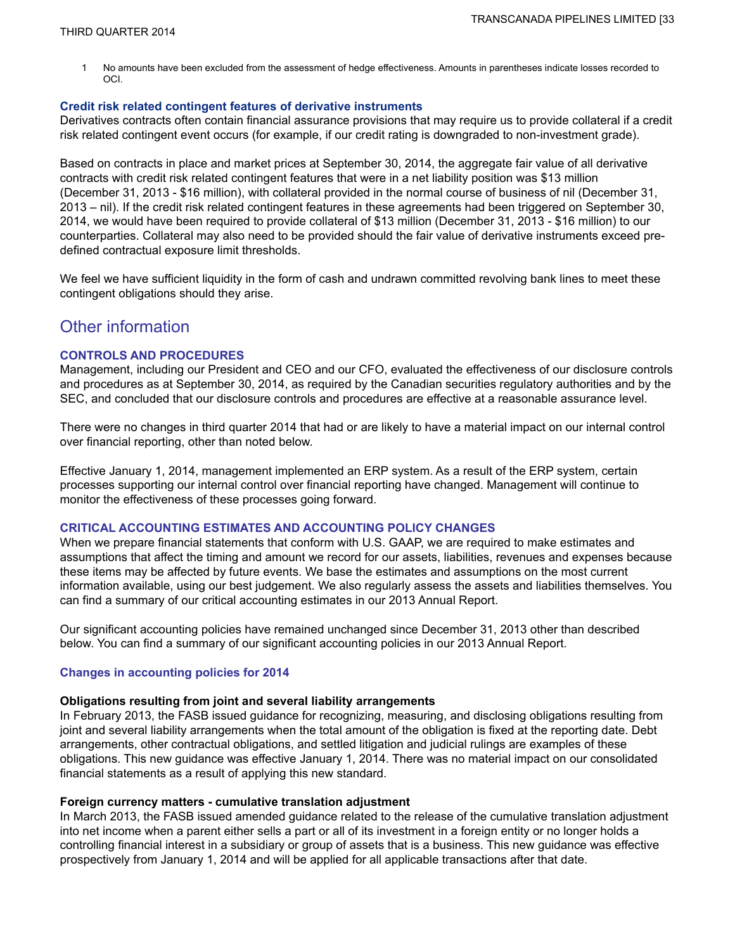1 No amounts have been excluded from the assessment of hedge effectiveness. Amounts in parentheses indicate losses recorded to OCI.

### **Credit risk related contingent features of derivative instruments**

Derivatives contracts often contain financial assurance provisions that may require us to provide collateral if a credit risk related contingent event occurs (for example, if our credit rating is downgraded to non-investment grade).

Based on contracts in place and market prices at September 30, 2014, the aggregate fair value of all derivative contracts with credit risk related contingent features that were in a net liability position was \$13 million (December 31, 2013 - \$16 million), with collateral provided in the normal course of business of nil (December 31, 2013 – nil). If the credit risk related contingent features in these agreements had been triggered on September 30, 2014, we would have been required to provide collateral of \$13 million (December 31, 2013 - \$16 million) to our counterparties. Collateral may also need to be provided should the fair value of derivative instruments exceed predefined contractual exposure limit thresholds.

We feel we have sufficient liquidity in the form of cash and undrawn committed revolving bank lines to meet these contingent obligations should they arise.

# Other information

## **CONTROLS AND PROCEDURES**

Management, including our President and CEO and our CFO, evaluated the effectiveness of our disclosure controls and procedures as at September 30, 2014, as required by the Canadian securities regulatory authorities and by the SEC, and concluded that our disclosure controls and procedures are effective at a reasonable assurance level.

There were no changes in third quarter 2014 that had or are likely to have a material impact on our internal control over financial reporting, other than noted below.

Effective January 1, 2014, management implemented an ERP system. As a result of the ERP system, certain processes supporting our internal control over financial reporting have changed. Management will continue to monitor the effectiveness of these processes going forward.

## **CRITICAL ACCOUNTING ESTIMATES AND ACCOUNTING POLICY CHANGES**

When we prepare financial statements that conform with U.S. GAAP, we are required to make estimates and assumptions that affect the timing and amount we record for our assets, liabilities, revenues and expenses because these items may be affected by future events. We base the estimates and assumptions on the most current information available, using our best judgement. We also regularly assess the assets and liabilities themselves. You can find a summary of our critical accounting estimates in our 2013 Annual Report.

Our significant accounting policies have remained unchanged since December 31, 2013 other than described below. You can find a summary of our significant accounting policies in our 2013 Annual Report.

### **Changes in accounting policies for 2014**

#### **Obligations resulting from joint and several liability arrangements**

In February 2013, the FASB issued guidance for recognizing, measuring, and disclosing obligations resulting from joint and several liability arrangements when the total amount of the obligation is fixed at the reporting date. Debt arrangements, other contractual obligations, and settled litigation and judicial rulings are examples of these obligations. This new guidance was effective January 1, 2014. There was no material impact on our consolidated financial statements as a result of applying this new standard.

### **Foreign currency matters - cumulative translation adjustment**

In March 2013, the FASB issued amended guidance related to the release of the cumulative translation adjustment into net income when a parent either sells a part or all of its investment in a foreign entity or no longer holds a controlling financial interest in a subsidiary or group of assets that is a business. This new guidance was effective prospectively from January 1, 2014 and will be applied for all applicable transactions after that date.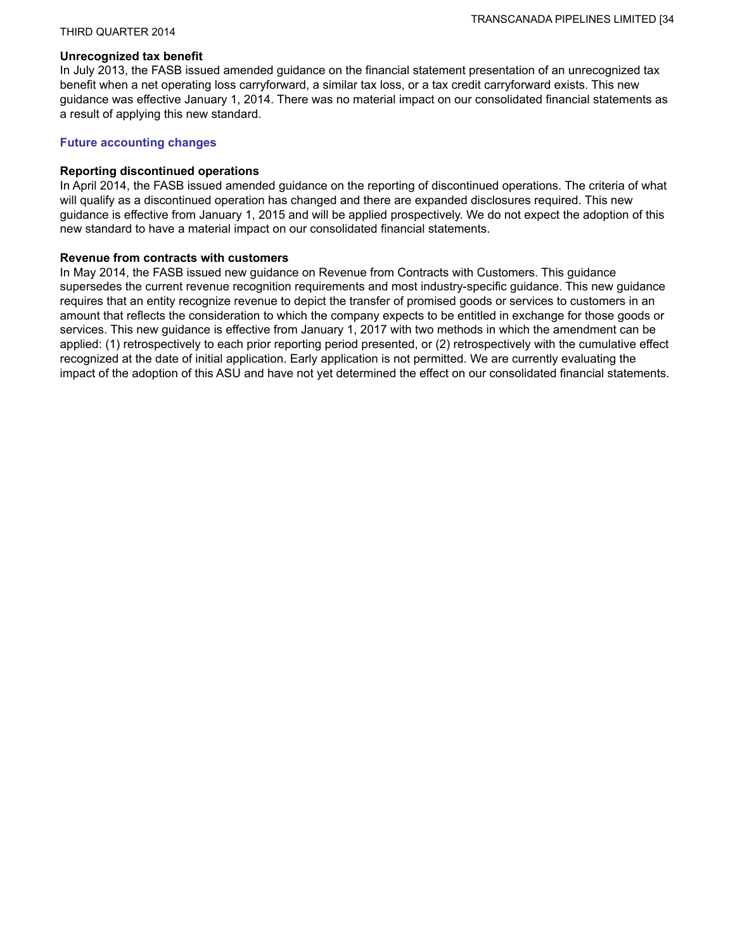#### **Unrecognized tax benefit**

In July 2013, the FASB issued amended guidance on the financial statement presentation of an unrecognized tax benefit when a net operating loss carryforward, a similar tax loss, or a tax credit carryforward exists. This new guidance was effective January 1, 2014. There was no material impact on our consolidated financial statements as a result of applying this new standard.

### **Future accounting changes**

### **Reporting discontinued operations**

In April 2014, the FASB issued amended guidance on the reporting of discontinued operations. The criteria of what will qualify as a discontinued operation has changed and there are expanded disclosures required. This new guidance is effective from January 1, 2015 and will be applied prospectively. We do not expect the adoption of this new standard to have a material impact on our consolidated financial statements.

## **Revenue from contracts with customers**

In May 2014, the FASB issued new guidance on Revenue from Contracts with Customers. This guidance supersedes the current revenue recognition requirements and most industry-specific guidance. This new guidance requires that an entity recognize revenue to depict the transfer of promised goods or services to customers in an amount that reflects the consideration to which the company expects to be entitled in exchange for those goods or services. This new guidance is effective from January 1, 2017 with two methods in which the amendment can be applied: (1) retrospectively to each prior reporting period presented, or (2) retrospectively with the cumulative effect recognized at the date of initial application. Early application is not permitted. We are currently evaluating the impact of the adoption of this ASU and have not yet determined the effect on our consolidated financial statements.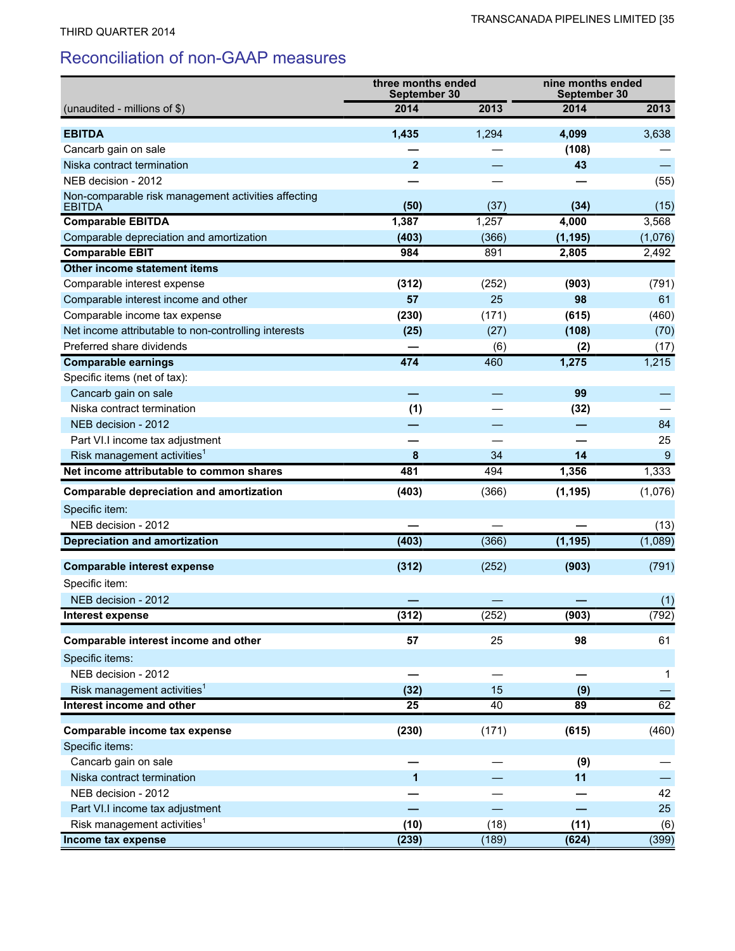# Reconciliation of non-GAAP measures

|                                                      | three months ended<br>September 30 |       | nine months ended<br>September 30 |         |  |
|------------------------------------------------------|------------------------------------|-------|-----------------------------------|---------|--|
| (unaudited - millions of \$)                         | 2014                               | 2013  | 2014                              | 2013    |  |
| <b>EBITDA</b>                                        | 1,435                              | 1,294 | 4,099                             | 3,638   |  |
| Cancarb gain on sale                                 |                                    |       | (108)                             |         |  |
| Niska contract termination                           | $\overline{2}$                     |       | 43                                |         |  |
| NEB decision - 2012                                  |                                    |       |                                   | (55)    |  |
| Non-comparable risk management activities affecting  |                                    |       |                                   |         |  |
| <b>EBITDA</b>                                        | (50)                               | (37)  | (34)                              | (15)    |  |
| <b>Comparable EBITDA</b>                             | 1,387                              | 1,257 | 4,000                             | 3,568   |  |
| Comparable depreciation and amortization             | (403)                              | (366) | (1, 195)                          | (1,076) |  |
| <b>Comparable EBIT</b>                               | 984                                | 891   | 2,805                             | 2,492   |  |
| Other income statement items                         |                                    |       |                                   |         |  |
| Comparable interest expense                          | (312)                              | (252) | (903)                             | (791)   |  |
| Comparable interest income and other                 | 57                                 | 25    | 98                                | 61      |  |
| Comparable income tax expense                        | (230)                              | (171) | (615)                             | (460)   |  |
| Net income attributable to non-controlling interests | (25)                               | (27)  | (108)                             | (70)    |  |
| Preferred share dividends                            | 474                                | (6)   | (2)                               | (17)    |  |
| <b>Comparable earnings</b>                           |                                    | 460   | 1,275                             | 1,215   |  |
| Specific items (net of tax):                         |                                    |       |                                   |         |  |
| Cancarb gain on sale                                 |                                    |       | 99                                |         |  |
| Niska contract termination                           | (1)                                |       | (32)                              |         |  |
| NEB decision - 2012                                  |                                    |       |                                   | 84      |  |
| Part VI.I income tax adjustment                      |                                    |       |                                   | 25      |  |
| Risk management activities <sup>1</sup>              | 8                                  | 34    | 14                                | 9       |  |
| Net income attributable to common shares             | 481                                | 494   | 1,356                             | 1,333   |  |
| Comparable depreciation and amortization             | (403)                              | (366) | (1, 195)                          | (1,076) |  |
| Specific item:                                       |                                    |       |                                   |         |  |
| NEB decision - 2012                                  |                                    |       |                                   | (13)    |  |
| <b>Depreciation and amortization</b>                 | (403)                              | (366) | (1, 195)                          | (1,089) |  |
| <b>Comparable interest expense</b>                   | (312)                              | (252) | (903)                             | (791)   |  |
| Specific item:                                       |                                    |       |                                   |         |  |
| NEB decision - 2012                                  |                                    |       |                                   | (1)     |  |
| Interest expense                                     | (312)                              | (252) | (903)                             | (792)   |  |
| Comparable interest income and other                 | 57                                 | 25    | 98                                | 61      |  |
| Specific items:                                      |                                    |       |                                   |         |  |
| NEB decision - 2012                                  |                                    |       |                                   | 1       |  |
| Risk management activities <sup>1</sup>              | (32)                               | 15    | (9)                               |         |  |
| Interest income and other                            | 25                                 | 40    | 89                                | 62      |  |
|                                                      |                                    |       |                                   |         |  |
| Comparable income tax expense                        | (230)                              | (171) | (615)                             | (460)   |  |
| Specific items:                                      |                                    |       |                                   |         |  |
| Cancarb gain on sale                                 |                                    |       | (9)                               |         |  |
| Niska contract termination                           | 1                                  |       | 11                                |         |  |
| NEB decision - 2012                                  |                                    |       |                                   | 42      |  |
| Part VI.I income tax adjustment                      |                                    |       |                                   | 25      |  |
| Risk management activities <sup>1</sup>              | (10)                               | (18)  | (11)                              | (6)     |  |
| Income tax expense                                   | (239)                              | (189) | (624)                             | (399)   |  |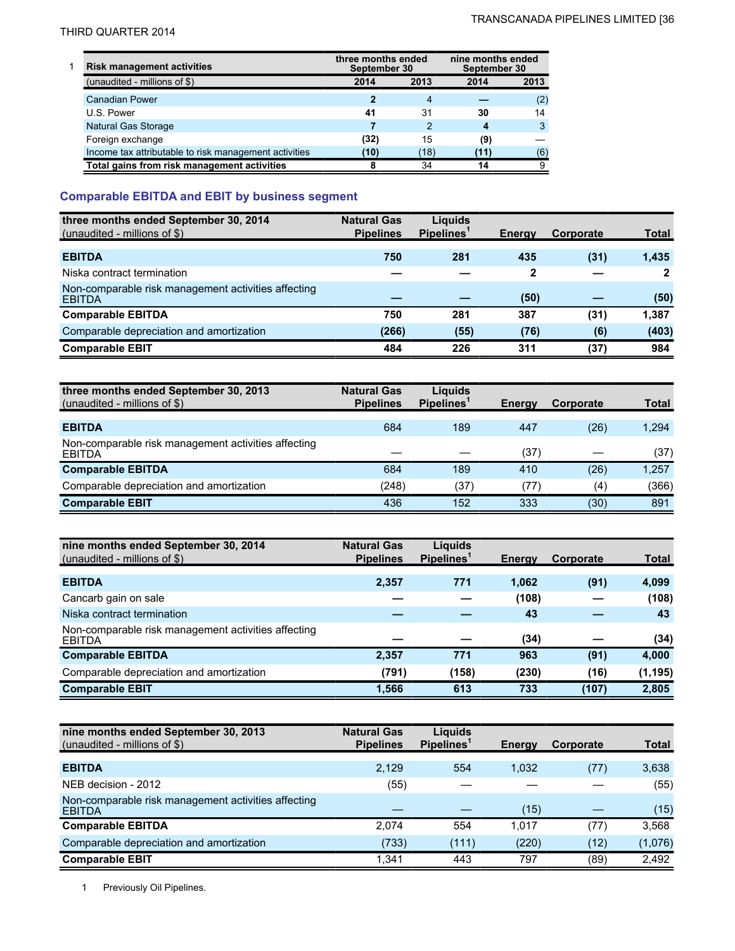| 1 | <b>Risk management activities</b>                     | three months ended<br>September 30 |               | nine months ended<br>September 30 |      |
|---|-------------------------------------------------------|------------------------------------|---------------|-----------------------------------|------|
|   | (unaudited - millions of \$)                          | 2014                               | 2013          | 2014                              | 2013 |
|   | <b>Canadian Power</b>                                 |                                    | 4             |                                   | (2)  |
|   | U.S. Power                                            | 41                                 | 31            | 30                                | 14   |
|   | <b>Natural Gas Storage</b>                            |                                    | $\mathcal{P}$ |                                   | 3    |
|   | Foreign exchange                                      | (32)                               | 15            | (9)                               |      |
|   | Income tax attributable to risk management activities | (10)                               | (18)          | (11)                              | (6)  |
|   | Total gains from risk management activities           |                                    | 34            | 14                                | 9    |

# **Comparable EBITDA and EBIT by business segment**

| three months ended September 30, 2014<br>(unaudited - millions of $\$\$ ) | <b>Natural Gas</b><br><b>Pipelines</b> | Liguids<br>$P$ ipelines <sup>1</sup> | <b>Energy</b> | Corporate | <b>Total</b> |
|---------------------------------------------------------------------------|----------------------------------------|--------------------------------------|---------------|-----------|--------------|
| <b>EBITDA</b>                                                             | 750                                    | 281                                  | 435           | (31)      | 1,435        |
| Niska contract termination                                                |                                        |                                      | 2             |           | 2            |
| Non-comparable risk management activities affecting<br><b>EBITDA</b>      |                                        |                                      | (50)          |           | (50)         |
| <b>Comparable EBITDA</b>                                                  | 750                                    | 281                                  | 387           | (31)      | 1,387        |
| Comparable depreciation and amortization                                  | (266)                                  | (55)                                 | (76)          | (6)       | (403)        |
| <b>Comparable EBIT</b>                                                    | 484                                    | 226                                  | 311           | (37)      | 984          |

| three months ended September 30, 2013<br>(unaudited - millions of \$) | <b>Natural Gas</b><br><b>Pipelines</b> | <b>Liquids</b><br>$P$ ipelines <sup>1</sup> | Energy | Corporate | <b>Total</b> |
|-----------------------------------------------------------------------|----------------------------------------|---------------------------------------------|--------|-----------|--------------|
| <b>EBITDA</b>                                                         | 684                                    | 189                                         | 447    | (26)      | 1,294        |
| Non-comparable risk management activities affecting<br><b>EBITDA</b>  |                                        |                                             | (37)   |           | (37)         |
| <b>Comparable EBITDA</b>                                              | 684                                    | 189                                         | 410    | (26)      | 1,257        |
| Comparable depreciation and amortization                              | (248)                                  | (37)                                        | (77)   | (4)       | (366)        |
| <b>Comparable EBIT</b>                                                | 436                                    | 152                                         | 333    | (30)      | 891          |

| nine months ended September 30, 2014<br>(unaudited - millions of \$) | <b>Natural Gas</b><br><b>Pipelines</b> | Liquids<br>Pipelines <sup>1</sup> | Enerav | Corporate | <b>Total</b> |
|----------------------------------------------------------------------|----------------------------------------|-----------------------------------|--------|-----------|--------------|
| <b>EBITDA</b>                                                        | 2,357                                  | 771                               | 1.062  | (91)      | 4,099        |
| Cancarb gain on sale                                                 |                                        |                                   | (108)  |           | (108)        |
| Niska contract termination                                           |                                        |                                   | 43     |           | 43           |
| Non-comparable risk management activities affecting<br><b>EBITDA</b> |                                        |                                   | (34)   |           | (34)         |
| <b>Comparable EBITDA</b>                                             | 2,357                                  | 771                               | 963    | (91)      | 4,000        |
| Comparable depreciation and amortization                             | (791)                                  | (158)                             | (230)  | (16)      | (1, 195)     |
| <b>Comparable EBIT</b>                                               | 1,566                                  | 613                               | 733    | (107)     | 2,805        |

| nine months ended September 30, 2013                                 | <b>Natural Gas</b> | Liguids                |               |           |              |
|----------------------------------------------------------------------|--------------------|------------------------|---------------|-----------|--------------|
| (unaudited - millions of $\$\$ )                                     | <b>Pipelines</b>   | Pipelines <sup>1</sup> | <b>Energy</b> | Corporate | <b>Total</b> |
| <b>EBITDA</b>                                                        | 2,129              | 554                    | 1.032         | (77)      | 3,638        |
| NEB decision - 2012                                                  | (55)               |                        |               |           | (55)         |
| Non-comparable risk management activities affecting<br><b>EBITDA</b> |                    |                        | (15)          |           | (15)         |
| <b>Comparable EBITDA</b>                                             | 2.074              | 554                    | 1.017         | (77)      | 3.568        |
| Comparable depreciation and amortization                             | (733)              | (111)                  | (220)         | (12)      | (1,076)      |
| <b>Comparable EBIT</b>                                               | 1.341              | 443                    | 797           | (89)      | 2,492        |

1 Previously Oil Pipelines.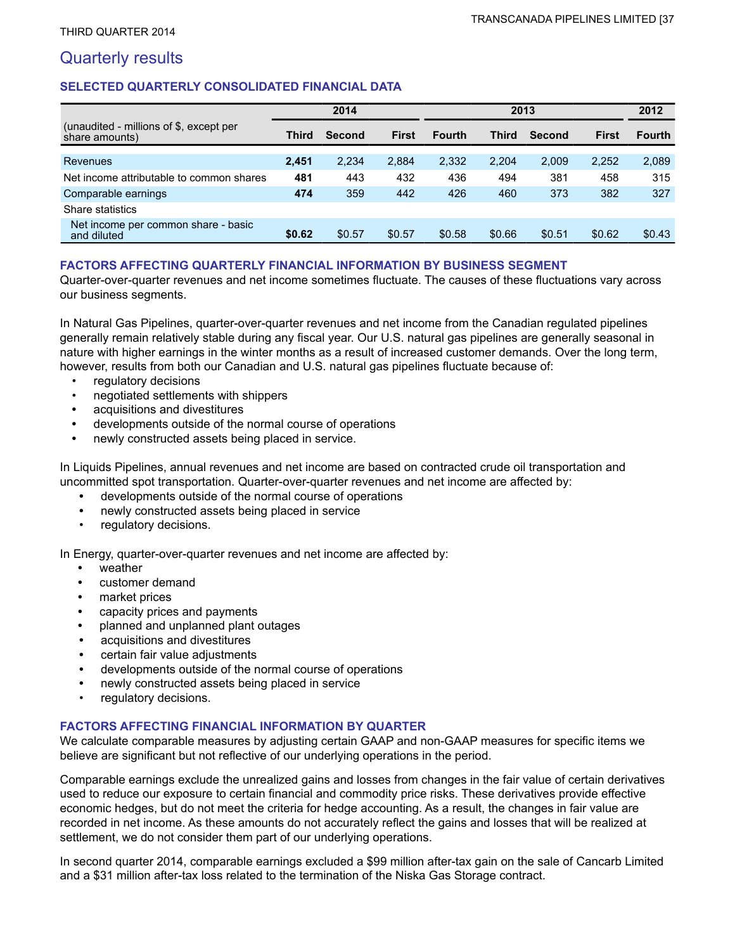# Quarterly results

# **SELECTED QUARTERLY CONSOLIDATED FINANCIAL DATA**

|                                                           | 2014   |               |              | 2013          |              |               |              | 2012          |
|-----------------------------------------------------------|--------|---------------|--------------|---------------|--------------|---------------|--------------|---------------|
| (unaudited - millions of \$, except per<br>share amounts) | Third  | <b>Second</b> | <b>First</b> | <b>Fourth</b> | <b>Third</b> | <b>Second</b> | <b>First</b> | <b>Fourth</b> |
|                                                           |        |               |              |               |              |               |              |               |
| Revenues                                                  | 2,451  | 2.234         | 2.884        | 2,332         | 2.204        | 2,009         | 2,252        | 2,089         |
| Net income attributable to common shares                  | 481    | 443           | 432          | 436           | 494          | 381           | 458          | 315           |
| Comparable earnings                                       | 474    | 359           | 442          | 426           | 460          | 373           | 382          | 327           |
| Share statistics                                          |        |               |              |               |              |               |              |               |
| Net income per common share - basic<br>and diluted        | \$0.62 | \$0.57        | \$0.57       | \$0.58        | \$0.66       | \$0.51        | \$0.62       | \$0.43        |

# **FACTORS AFFECTING QUARTERLY FINANCIAL INFORMATION BY BUSINESS SEGMENT**

Quarter-over-quarter revenues and net income sometimes fluctuate. The causes of these fluctuations vary across our business segments.

In Natural Gas Pipelines, quarter-over-quarter revenues and net income from the Canadian regulated pipelines generally remain relatively stable during any fiscal year. Our U.S. natural gas pipelines are generally seasonal in nature with higher earnings in the winter months as a result of increased customer demands. Over the long term, however, results from both our Canadian and U.S. natural gas pipelines fluctuate because of:

- regulatory decisions
- negotiated settlements with shippers
- acquisitions and divestitures
- developments outside of the normal course of operations
- newly constructed assets being placed in service.

In Liquids Pipelines, annual revenues and net income are based on contracted crude oil transportation and uncommitted spot transportation. Quarter-over-quarter revenues and net income are affected by:

- developments outside of the normal course of operations
- newly constructed assets being placed in service
- regulatory decisions.

In Energy, quarter-over-quarter revenues and net income are affected by:

- weather
- customer demand
- market prices
- capacity prices and payments
- planned and unplanned plant outages
- acquisitions and divestitures
- certain fair value adjustments
- developments outside of the normal course of operations
- newly constructed assets being placed in service
- regulatory decisions.

### **FACTORS AFFECTING FINANCIAL INFORMATION BY QUARTER**

We calculate comparable measures by adjusting certain GAAP and non-GAAP measures for specific items we believe are significant but not reflective of our underlying operations in the period.

Comparable earnings exclude the unrealized gains and losses from changes in the fair value of certain derivatives used to reduce our exposure to certain financial and commodity price risks. These derivatives provide effective economic hedges, but do not meet the criteria for hedge accounting. As a result, the changes in fair value are recorded in net income. As these amounts do not accurately reflect the gains and losses that will be realized at settlement, we do not consider them part of our underlying operations.

In second quarter 2014, comparable earnings excluded a \$99 million after-tax gain on the sale of Cancarb Limited and a \$31 million after-tax loss related to the termination of the Niska Gas Storage contract.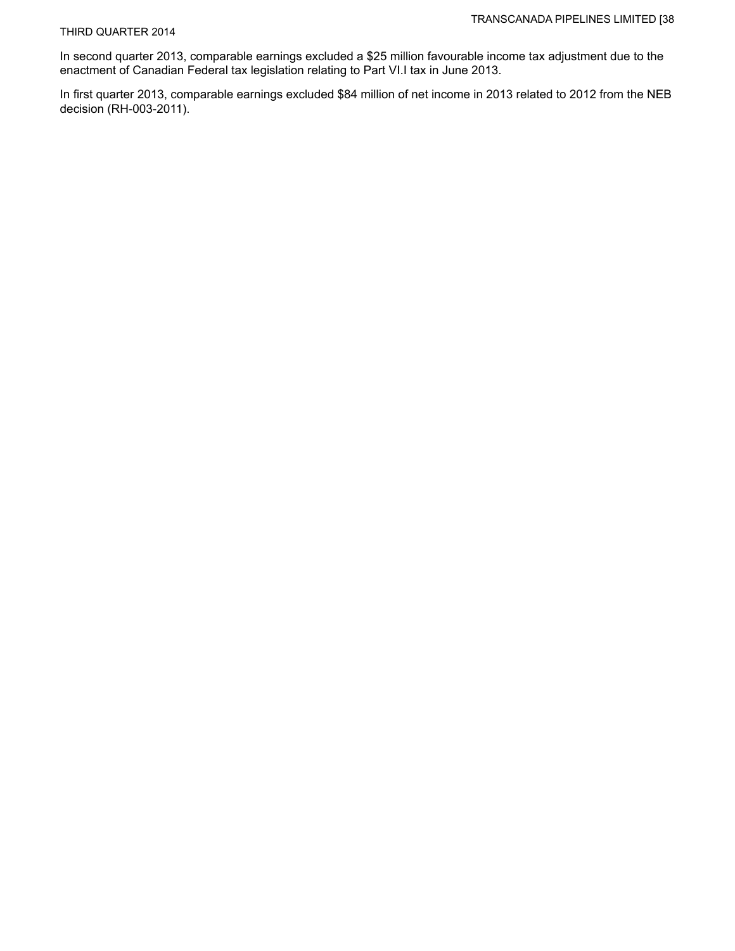In second quarter 2013, comparable earnings excluded a \$25 million favourable income tax adjustment due to the enactment of Canadian Federal tax legislation relating to Part VI.I tax in June 2013.

In first quarter 2013, comparable earnings excluded \$84 million of net income in 2013 related to 2012 from the NEB decision (RH-003-2011).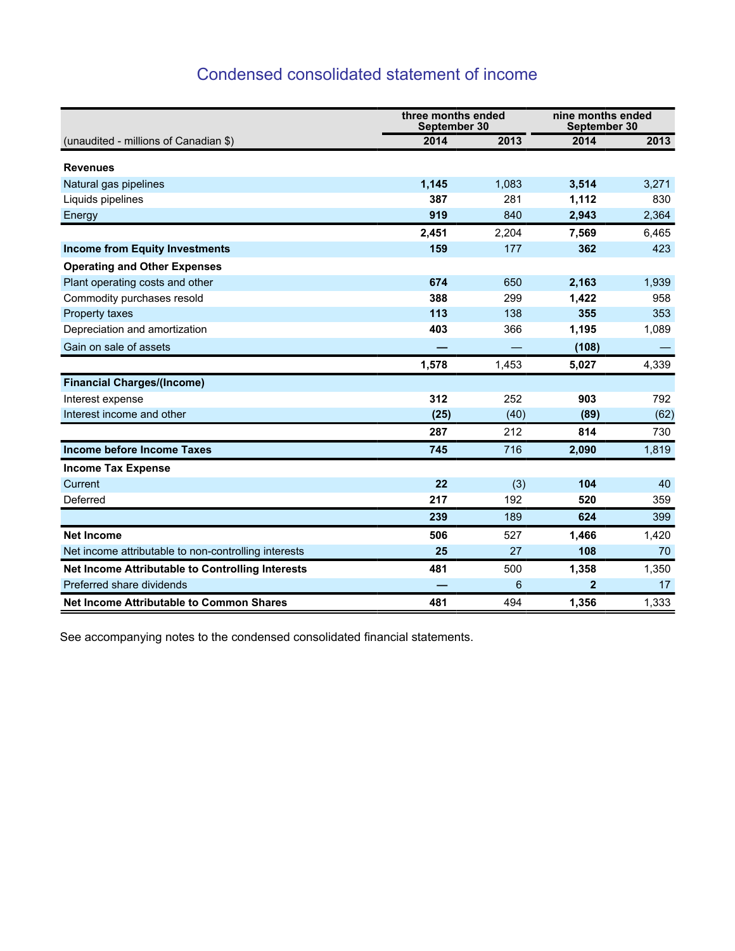# Condensed consolidated statement of income

|                                                      |       | three months ended<br>September 30 |              |       |
|------------------------------------------------------|-------|------------------------------------|--------------|-------|
| (unaudited - millions of Canadian \$)                | 2014  | 2013                               | 2014         | 2013  |
| <b>Revenues</b>                                      |       |                                    |              |       |
| Natural gas pipelines                                | 1,145 | 1,083                              | 3,514        | 3,271 |
| Liquids pipelines                                    | 387   | 281                                | 1,112        | 830   |
| Energy                                               | 919   | 840                                | 2,943        | 2,364 |
|                                                      | 2,451 | 2,204                              | 7,569        | 6,465 |
| <b>Income from Equity Investments</b>                | 159   | 177                                | 362          | 423   |
| <b>Operating and Other Expenses</b>                  |       |                                    |              |       |
| Plant operating costs and other                      | 674   | 650                                | 2,163        | 1,939 |
| Commodity purchases resold                           | 388   | 299                                | 1,422        | 958   |
| Property taxes                                       | 113   | 138                                | 355          | 353   |
| Depreciation and amortization                        | 403   | 366                                | 1,195        | 1,089 |
| Gain on sale of assets                               |       |                                    | (108)        |       |
|                                                      | 1,578 | 1,453                              | 5,027        | 4,339 |
| <b>Financial Charges/(Income)</b>                    |       |                                    |              |       |
| Interest expense                                     | 312   | 252                                | 903          | 792   |
| Interest income and other                            | (25)  | (40)                               | (89)         | (62)  |
|                                                      | 287   | 212                                | 814          | 730   |
| <b>Income before Income Taxes</b>                    | 745   | 716                                | 2,090        | 1,819 |
| <b>Income Tax Expense</b>                            |       |                                    |              |       |
| Current                                              | 22    | (3)                                | 104          | 40    |
| Deferred                                             | 217   | 192                                | 520          | 359   |
|                                                      | 239   | 189                                | 624          | 399   |
| <b>Net Income</b>                                    | 506   | 527                                | 1,466        | 1,420 |
| Net income attributable to non-controlling interests | 25    | 27                                 | 108          | 70    |
| Net Income Attributable to Controlling Interests     | 481   | 500                                | 1,358        | 1,350 |
| Preferred share dividends                            |       | 6                                  | $\mathbf{2}$ | 17    |
| <b>Net Income Attributable to Common Shares</b>      | 481   | 494                                | 1,356        | 1,333 |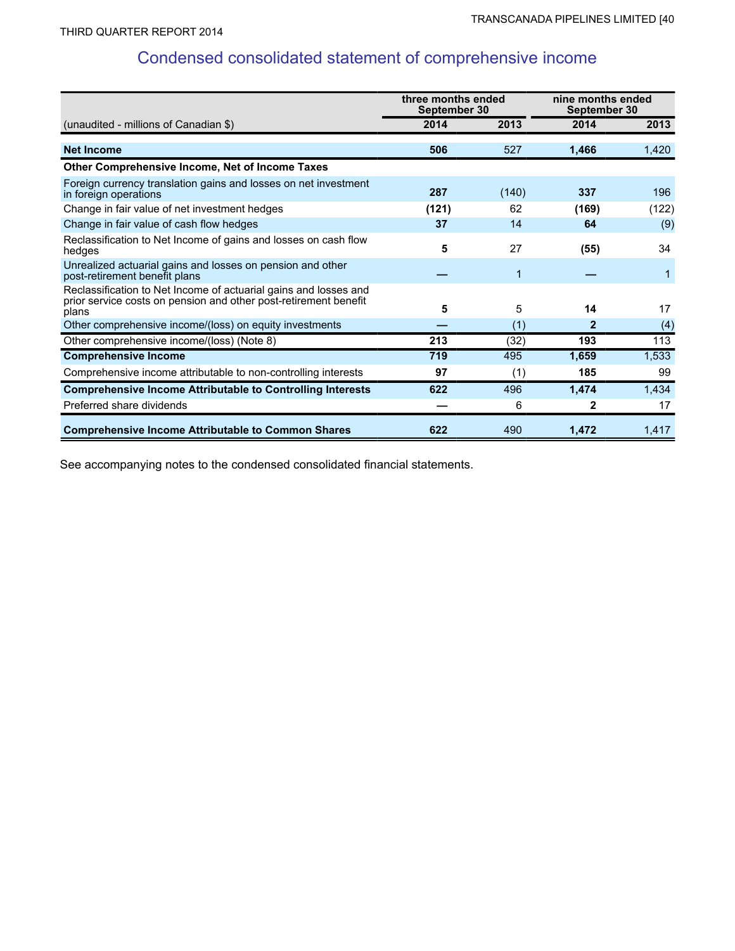# Condensed consolidated statement of comprehensive income

|                                                                                                                                               | three months ended<br>September 30 |                | nine months ended<br>September 30 |             |  |
|-----------------------------------------------------------------------------------------------------------------------------------------------|------------------------------------|----------------|-----------------------------------|-------------|--|
| (unaudited - millions of Canadian \$)                                                                                                         | 2014                               | 2013           | 2014                              | 2013        |  |
| <b>Net Income</b>                                                                                                                             | 506                                | 527            | 1,466                             | 1,420       |  |
| Other Comprehensive Income, Net of Income Taxes                                                                                               |                                    |                |                                   |             |  |
| Foreign currency translation gains and losses on net investment<br>in foreign operations                                                      | 287                                | (140)          | 337                               | 196         |  |
| Change in fair value of net investment hedges                                                                                                 | (121)                              | 62             | (169)                             | (122)       |  |
| Change in fair value of cash flow hedges                                                                                                      | 37                                 | 14             | 64                                | (9)         |  |
| Reclassification to Net Income of gains and losses on cash flow<br>hedges                                                                     | 5                                  | 27             | (55)                              | 34          |  |
| Unrealized actuarial gains and losses on pension and other<br>post-retirement benefit plans                                                   |                                    | $\overline{1}$ |                                   | $\mathbf 1$ |  |
| Reclassification to Net Income of actuarial gains and losses and<br>prior service costs on pension and other post-retirement benefit<br>plans | 5                                  | 5              | 14                                | 17          |  |
| Other comprehensive income/(loss) on equity investments                                                                                       |                                    | (1)            | $\mathbf{2}$                      | (4)         |  |
| Other comprehensive income/(loss) (Note 8)                                                                                                    | 213                                | (32)           | 193                               | 113         |  |
| <b>Comprehensive Income</b>                                                                                                                   | 719                                | 495            | 1,659                             | 1,533       |  |
| Comprehensive income attributable to non-controlling interests                                                                                | 97                                 | (1)            | 185                               | 99          |  |
| <b>Comprehensive Income Attributable to Controlling Interests</b>                                                                             | 622                                | 496            | 1,474                             | 1,434       |  |
| Preferred share dividends                                                                                                                     |                                    | 6              | 2                                 | 17          |  |
| <b>Comprehensive Income Attributable to Common Shares</b>                                                                                     | 622                                | 490            | 1,472                             | 1,417       |  |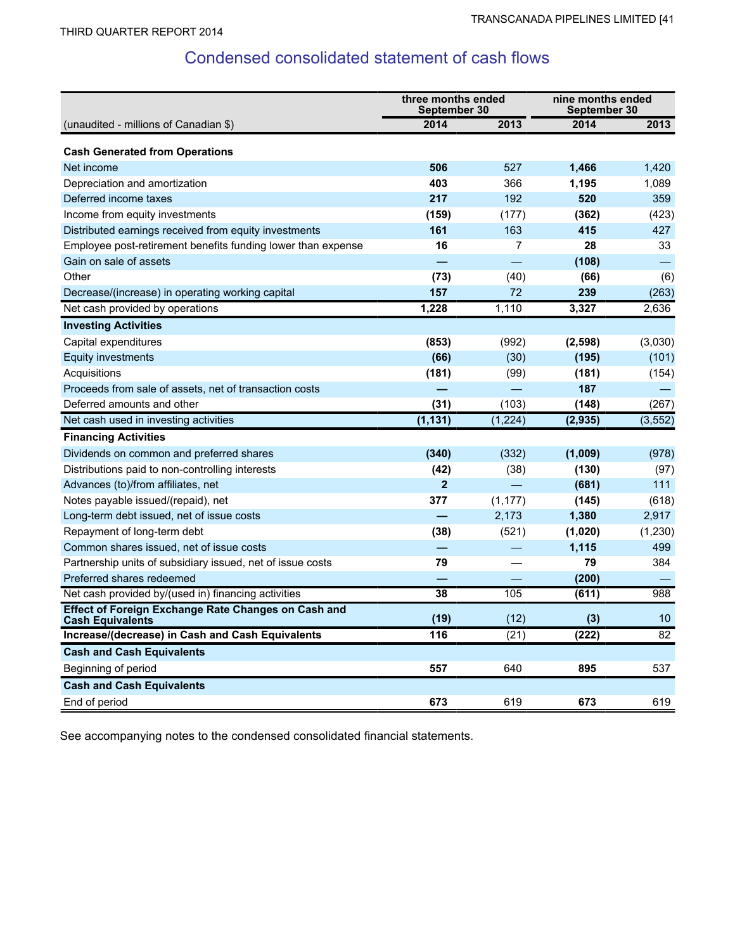# Condensed consolidated statement of cash flows

|                                                                                | three months ended<br>September 30 |          | nine months ended<br>September 30 |          |  |
|--------------------------------------------------------------------------------|------------------------------------|----------|-----------------------------------|----------|--|
| (unaudited - millions of Canadian \$)                                          | 2014                               | 2013     | 2014                              | 2013     |  |
| <b>Cash Generated from Operations</b>                                          |                                    |          |                                   |          |  |
| Net income                                                                     | 506                                | 527      | 1,466                             | 1,420    |  |
| Depreciation and amortization                                                  | 403                                | 366      | 1,195                             | 1,089    |  |
| Deferred income taxes                                                          | 217                                | 192      | 520                               | 359      |  |
| Income from equity investments                                                 | (159)                              | (177)    | (362)                             | (423)    |  |
| Distributed earnings received from equity investments                          | 161                                | 163      | 415                               | 427      |  |
| Employee post-retirement benefits funding lower than expense                   | 16                                 | 7        | 28                                | 33       |  |
| Gain on sale of assets                                                         |                                    |          | (108)                             |          |  |
| Other                                                                          | (73)                               | (40)     | (66)                              | (6)      |  |
| Decrease/(increase) in operating working capital                               | 157                                | 72       | 239                               | (263)    |  |
| Net cash provided by operations                                                | 1,228                              | 1,110    | 3,327                             | 2,636    |  |
| <b>Investing Activities</b>                                                    |                                    |          |                                   |          |  |
| Capital expenditures                                                           | (853)                              | (992)    | (2,598)                           | (3,030)  |  |
| <b>Equity investments</b>                                                      | (66)                               | (30)     | (195)                             | (101)    |  |
| Acquisitions                                                                   | (181)                              | (99)     | (181)                             | (154)    |  |
| Proceeds from sale of assets, net of transaction costs                         |                                    |          | 187                               |          |  |
| Deferred amounts and other                                                     | (31)                               | (103)    | (148)                             | (267)    |  |
| Net cash used in investing activities                                          | (1, 131)                           | (1, 224) | (2, 935)                          | (3, 552) |  |
| <b>Financing Activities</b>                                                    |                                    |          |                                   |          |  |
| Dividends on common and preferred shares                                       | (340)                              | (332)    | (1,009)                           | (978)    |  |
| Distributions paid to non-controlling interests                                | (42)                               | (38)     | (130)                             | (97)     |  |
| Advances (to)/from affiliates, net                                             | $\overline{2}$                     |          | (681)                             | 111      |  |
| Notes payable issued/(repaid), net                                             | 377                                | (1, 177) | (145)                             | (618)    |  |
| Long-term debt issued, net of issue costs                                      |                                    | 2,173    | 1,380                             | 2,917    |  |
| Repayment of long-term debt                                                    | (38)                               | (521)    | (1,020)                           | (1, 230) |  |
| Common shares issued, net of issue costs                                       |                                    |          | 1,115                             | 499      |  |
| Partnership units of subsidiary issued, net of issue costs                     | 79                                 |          | 79                                | 384      |  |
| Preferred shares redeemed                                                      |                                    |          | (200)                             |          |  |
| Net cash provided by/(used in) financing activities                            | 38                                 | 105      | (611)                             | 988      |  |
| Effect of Foreign Exchange Rate Changes on Cash and<br><b>Cash Equivalents</b> | (19)                               | (12)     | (3)                               | 10       |  |
| Increase/(decrease) in Cash and Cash Equivalents                               | 116                                | (21)     | (222)                             | 82       |  |
| <b>Cash and Cash Equivalents</b>                                               |                                    |          |                                   |          |  |
| Beginning of period                                                            | 557                                | 640      | 895                               | 537      |  |
| <b>Cash and Cash Equivalents</b>                                               |                                    |          |                                   |          |  |
| End of period                                                                  | 673                                | 619      | 673                               | 619      |  |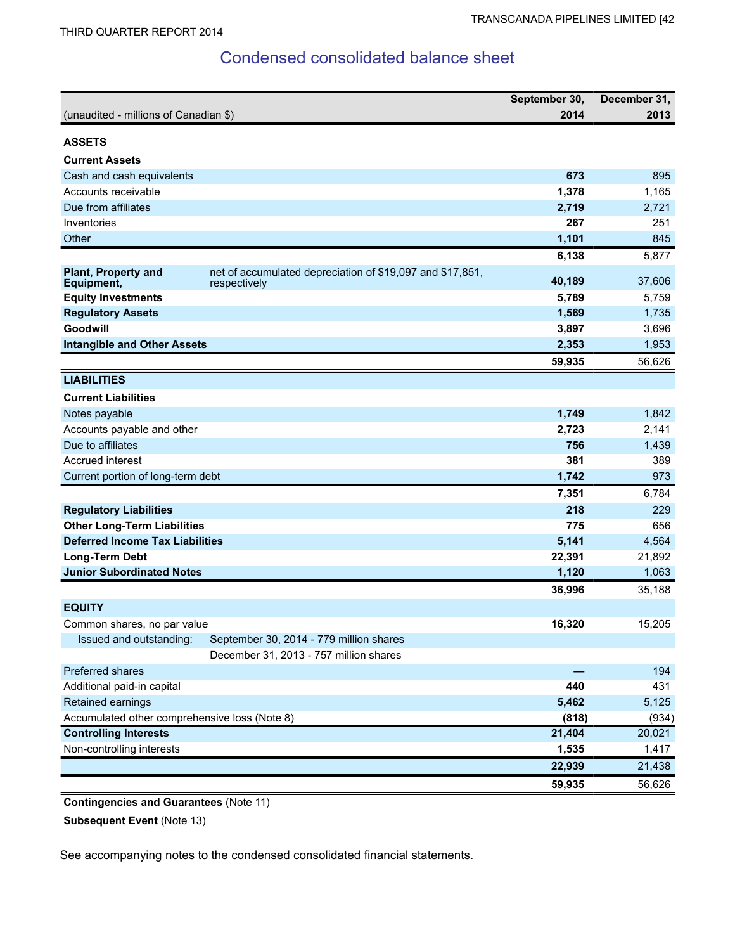# Condensed consolidated balance sheet

|                                               |                                                                           | September 30, | December 31, |
|-----------------------------------------------|---------------------------------------------------------------------------|---------------|--------------|
| (unaudited - millions of Canadian \$)         |                                                                           | 2014          | 2013         |
| <b>ASSETS</b>                                 |                                                                           |               |              |
|                                               |                                                                           |               |              |
| <b>Current Assets</b>                         |                                                                           |               |              |
| Cash and cash equivalents                     |                                                                           | 673           | 895          |
| Accounts receivable                           |                                                                           | 1,378         | 1,165        |
| Due from affiliates                           |                                                                           | 2,719         | 2,721        |
| Inventories<br>Other                          |                                                                           | 267<br>1,101  | 251<br>845   |
|                                               |                                                                           |               |              |
|                                               |                                                                           | 6,138         | 5,877        |
| <b>Plant, Property and</b><br>Equipment,      | net of accumulated depreciation of \$19,097 and \$17,851,<br>respectively | 40,189        | 37,606       |
| <b>Equity Investments</b>                     |                                                                           | 5,789         | 5,759        |
| <b>Regulatory Assets</b>                      |                                                                           | 1,569         | 1,735        |
| Goodwill                                      |                                                                           | 3,897         | 3,696        |
| <b>Intangible and Other Assets</b>            |                                                                           | 2,353         | 1,953        |
|                                               |                                                                           | 59,935        | 56,626       |
| <b>LIABILITIES</b>                            |                                                                           |               |              |
| <b>Current Liabilities</b>                    |                                                                           |               |              |
| Notes payable                                 |                                                                           | 1,749         | 1,842        |
| Accounts payable and other                    |                                                                           | 2,723         | 2,141        |
| Due to affiliates                             |                                                                           | 756           | 1,439        |
| Accrued interest                              |                                                                           | 381           | 389          |
| Current portion of long-term debt             |                                                                           | 1,742         | 973          |
|                                               |                                                                           | 7,351         | 6,784        |
| <b>Regulatory Liabilities</b>                 |                                                                           | 218           | 229          |
| <b>Other Long-Term Liabilities</b>            |                                                                           | 775           | 656          |
| <b>Deferred Income Tax Liabilities</b>        |                                                                           | 5,141         | 4,564        |
| Long-Term Debt                                |                                                                           | 22,391        | 21,892       |
| <b>Junior Subordinated Notes</b>              |                                                                           | 1,120         | 1,063        |
|                                               |                                                                           | 36,996        | 35,188       |
| <b>EQUITY</b>                                 |                                                                           |               |              |
| Common shares, no par value                   |                                                                           | 16,320        | 15,205       |
| Issued and outstanding:                       | September 30, 2014 - 779 million shares                                   |               |              |
|                                               | December 31, 2013 - 757 million shares                                    |               |              |
| Preferred shares                              |                                                                           |               | 194          |
| Additional paid-in capital                    |                                                                           | 440           | 431          |
| Retained earnings                             |                                                                           | 5,462         | 5,125        |
| Accumulated other comprehensive loss (Note 8) |                                                                           | (818)         | (934)        |
| <b>Controlling Interests</b>                  |                                                                           | 21,404        | 20,021       |
| Non-controlling interests                     |                                                                           | 1,535         | 1,417        |
|                                               |                                                                           | 22,939        | 21,438       |
|                                               |                                                                           | 59,935        | 56,626       |
|                                               |                                                                           |               |              |

**Contingencies and Guarantees** (Note 11)

**Subsequent Event** (Note 13)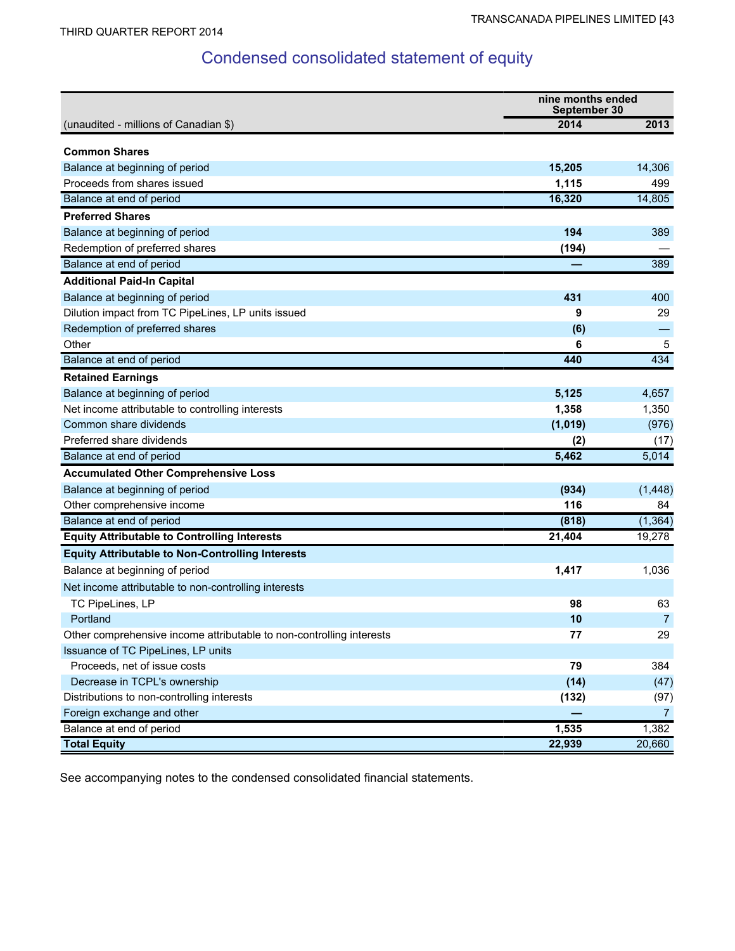# Condensed consolidated statement of equity

|                                                                      | nine months ended<br>September 30 |                |  |
|----------------------------------------------------------------------|-----------------------------------|----------------|--|
| (unaudited - millions of Canadian \$)                                | 2014                              | 2013           |  |
| <b>Common Shares</b>                                                 |                                   |                |  |
| Balance at beginning of period                                       | 15,205                            | 14,306         |  |
| Proceeds from shares issued                                          | 1,115                             | 499            |  |
| Balance at end of period                                             | 16,320                            | 14,805         |  |
| <b>Preferred Shares</b>                                              |                                   |                |  |
| Balance at beginning of period                                       | 194                               | 389            |  |
| Redemption of preferred shares                                       | (194)                             |                |  |
| Balance at end of period                                             |                                   | 389            |  |
| <b>Additional Paid-In Capital</b>                                    |                                   |                |  |
| Balance at beginning of period                                       | 431                               | 400            |  |
| Dilution impact from TC PipeLines, LP units issued                   | 9                                 | 29             |  |
| Redemption of preferred shares                                       | (6)                               |                |  |
| Other                                                                | 6                                 | 5              |  |
| Balance at end of period                                             | 440                               | 434            |  |
| <b>Retained Earnings</b>                                             |                                   |                |  |
| Balance at beginning of period                                       | 5,125                             | 4,657          |  |
| Net income attributable to controlling interests                     | 1,358                             | 1,350          |  |
| Common share dividends                                               | (1,019)                           | (976)          |  |
| Preferred share dividends                                            | (2)                               | (17)           |  |
| Balance at end of period                                             | 5,462                             | 5,014          |  |
| <b>Accumulated Other Comprehensive Loss</b>                          |                                   |                |  |
| Balance at beginning of period                                       | (934)                             | (1, 448)       |  |
| Other comprehensive income                                           | 116                               | 84             |  |
| Balance at end of period                                             | (818)                             | (1, 364)       |  |
| <b>Equity Attributable to Controlling Interests</b>                  | 21,404                            | 19,278         |  |
| <b>Equity Attributable to Non-Controlling Interests</b>              |                                   |                |  |
| Balance at beginning of period                                       | 1,417                             | 1,036          |  |
| Net income attributable to non-controlling interests                 |                                   |                |  |
| TC PipeLines, LP                                                     | 98                                | 63             |  |
| Portland                                                             | 10                                | $\overline{7}$ |  |
| Other comprehensive income attributable to non-controlling interests | 77                                | 29             |  |
| Issuance of TC PipeLines, LP units                                   |                                   |                |  |
| Proceeds, net of issue costs                                         | 79                                | 384            |  |
| Decrease in TCPL's ownership                                         | (14)                              | (47)           |  |
| Distributions to non-controlling interests                           | (132)                             | (97)           |  |
| Foreign exchange and other                                           |                                   | 7              |  |
| Balance at end of period                                             | 1,535                             | 1,382          |  |
| <b>Total Equity</b>                                                  | 22,939                            | 20,660         |  |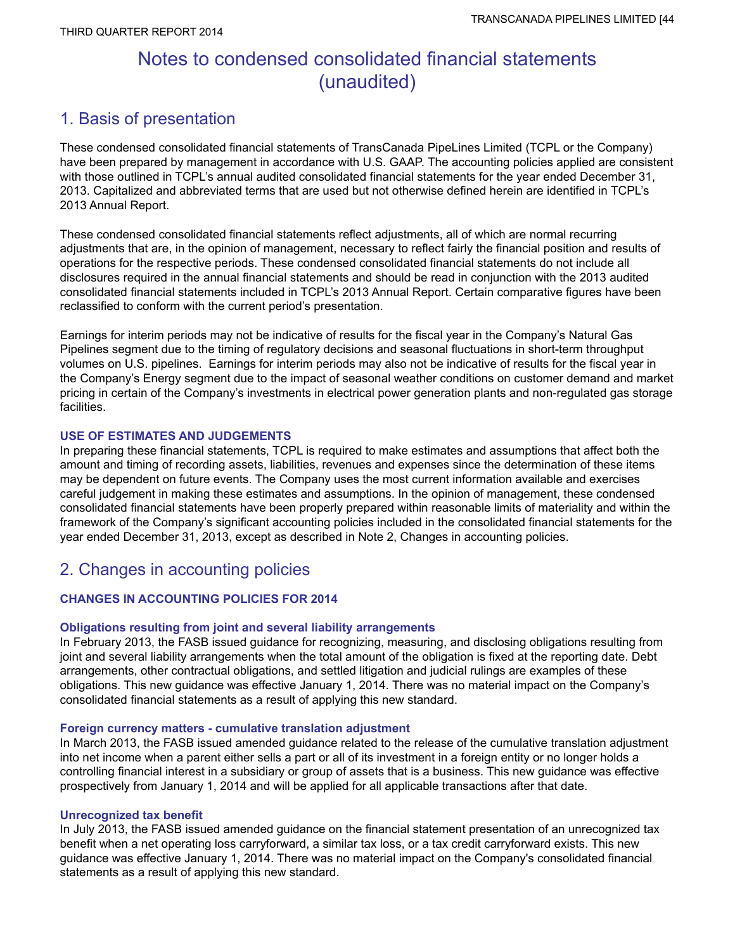# Notes to condensed consolidated financial statements (unaudited)

# 1. Basis of presentation

These condensed consolidated financial statements of TransCanada PipeLines Limited (TCPL or the Company) have been prepared by management in accordance with U.S. GAAP. The accounting policies applied are consistent with those outlined in TCPL's annual audited consolidated financial statements for the year ended December 31, 2013. Capitalized and abbreviated terms that are used but not otherwise defined herein are identified in TCPL's 2013 Annual Report.

These condensed consolidated financial statements reflect adjustments, all of which are normal recurring adjustments that are, in the opinion of management, necessary to reflect fairly the financial position and results of operations for the respective periods. These condensed consolidated financial statements do not include all disclosures required in the annual financial statements and should be read in conjunction with the 2013 audited consolidated financial statements included in TCPL's 2013 Annual Report. Certain comparative figures have been reclassified to conform with the current period's presentation.

Earnings for interim periods may not be indicative of results for the fiscal year in the Company's Natural Gas Pipelines segment due to the timing of regulatory decisions and seasonal fluctuations in short-term throughput volumes on U.S. pipelines. Earnings for interim periods may also not be indicative of results for the fiscal year in the Company's Energy segment due to the impact of seasonal weather conditions on customer demand and market pricing in certain of the Company's investments in electrical power generation plants and non-regulated gas storage facilities.

# **USE OF ESTIMATES AND JUDGEMENTS**

In preparing these financial statements, TCPL is required to make estimates and assumptions that affect both the amount and timing of recording assets, liabilities, revenues and expenses since the determination of these items may be dependent on future events. The Company uses the most current information available and exercises careful judgement in making these estimates and assumptions. In the opinion of management, these condensed consolidated financial statements have been properly prepared within reasonable limits of materiality and within the framework of the Company's significant accounting policies included in the consolidated financial statements for the year ended December 31, 2013, except as described in Note 2, Changes in accounting policies.

# 2. Changes in accounting policies

# **CHANGES IN ACCOUNTING POLICIES FOR 2014**

# **Obligations resulting from joint and several liability arrangements**

In February 2013, the FASB issued guidance for recognizing, measuring, and disclosing obligations resulting from joint and several liability arrangements when the total amount of the obligation is fixed at the reporting date. Debt arrangements, other contractual obligations, and settled litigation and judicial rulings are examples of these obligations. This new guidance was effective January 1, 2014. There was no material impact on the Company's consolidated financial statements as a result of applying this new standard.

# **Foreign currency matters - cumulative translation adjustment**

In March 2013, the FASB issued amended guidance related to the release of the cumulative translation adjustment into net income when a parent either sells a part or all of its investment in a foreign entity or no longer holds a controlling financial interest in a subsidiary or group of assets that is a business. This new guidance was effective prospectively from January 1, 2014 and will be applied for all applicable transactions after that date.

# **Unrecognized tax benefit**

In July 2013, the FASB issued amended guidance on the financial statement presentation of an unrecognized tax benefit when a net operating loss carryforward, a similar tax loss, or a tax credit carryforward exists. This new guidance was effective January 1, 2014. There was no material impact on the Company's consolidated financial statements as a result of applying this new standard.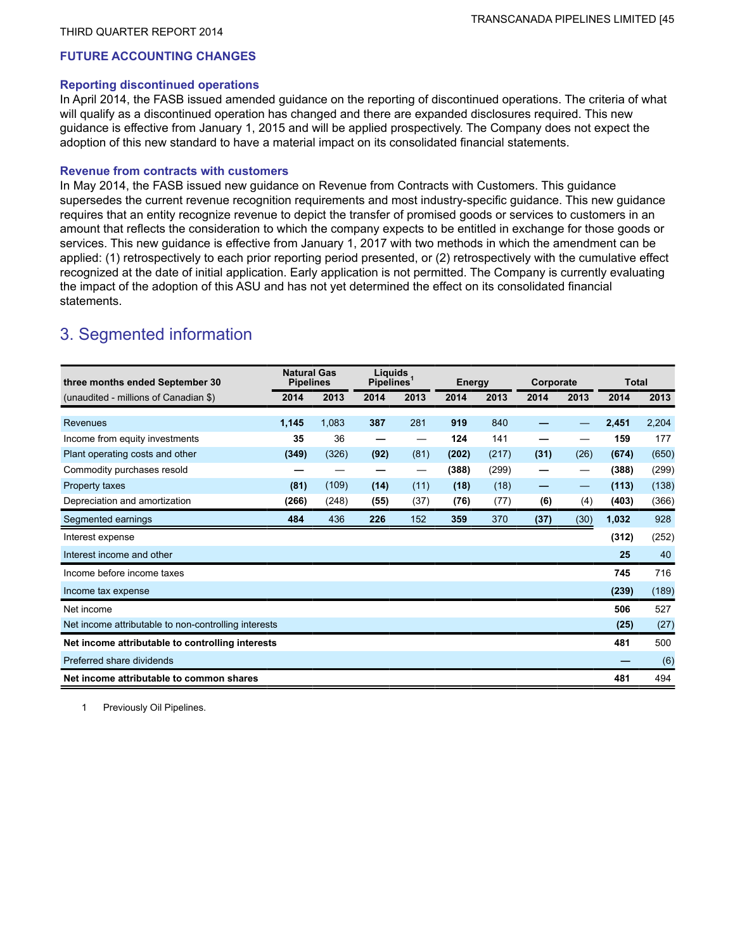## **FUTURE ACCOUNTING CHANGES**

#### **Reporting discontinued operations**

In April 2014, the FASB issued amended guidance on the reporting of discontinued operations. The criteria of what will qualify as a discontinued operation has changed and there are expanded disclosures required. This new guidance is effective from January 1, 2015 and will be applied prospectively. The Company does not expect the adoption of this new standard to have a material impact on its consolidated financial statements.

#### **Revenue from contracts with customers**

In May 2014, the FASB issued new guidance on Revenue from Contracts with Customers. This guidance supersedes the current revenue recognition requirements and most industry-specific guidance. This new guidance requires that an entity recognize revenue to depict the transfer of promised goods or services to customers in an amount that reflects the consideration to which the company expects to be entitled in exchange for those goods or services. This new guidance is effective from January 1, 2017 with two methods in which the amendment can be applied: (1) retrospectively to each prior reporting period presented, or (2) retrospectively with the cumulative effect recognized at the date of initial application. Early application is not permitted. The Company is currently evaluating the impact of the adoption of this ASU and has not yet determined the effect on its consolidated financial statements.

# 3. Segmented information

| three months ended September 30                      | <b>Natural Gas</b><br><b>Pipelines</b> |       | Liquids<br>Pipelines <sup>1</sup> |                          | <b>Energy</b> |       | Corporate |      | <b>Total</b> |       |
|------------------------------------------------------|----------------------------------------|-------|-----------------------------------|--------------------------|---------------|-------|-----------|------|--------------|-------|
| (unaudited - millions of Canadian \$)                | 2014                                   | 2013  | 2014                              | 2013                     | 2014          | 2013  | 2014      | 2013 | 2014         | 2013  |
|                                                      |                                        |       |                                   |                          |               |       |           |      |              |       |
| Revenues                                             | 1,145                                  | 1,083 | 387                               | 281                      | 919           | 840   |           |      | 2,451        | 2,204 |
| Income from equity investments                       | 35                                     | 36    | –                                 |                          | 124           | 141   |           |      | 159          | 177   |
| Plant operating costs and other                      | (349)                                  | (326) | (92)                              | (81)                     | (202)         | (217) | (31)      | (26) | (674)        | (650) |
| Commodity purchases resold                           |                                        |       |                                   | $\overline{\phantom{m}}$ | (388)         | (299) |           | —    | (388)        | (299) |
| Property taxes                                       | (81)                                   | (109) | (14)                              | (11)                     | (18)          | (18)  | –         | —    | (113)        | (138) |
| Depreciation and amortization                        | (266)                                  | (248) | (55)                              | (37)                     | (76)          | (77)  | (6)       | (4)  | (403)        | (366) |
| Segmented earnings                                   | 484                                    | 436   | 226                               | 152                      | 359           | 370   | (37)      | (30) | 1,032        | 928   |
| Interest expense                                     |                                        |       |                                   |                          |               |       |           |      | (312)        | (252) |
| Interest income and other                            |                                        |       |                                   |                          |               |       |           |      | 25           | 40    |
| Income before income taxes                           |                                        |       |                                   |                          |               |       |           |      | 745          | 716   |
| Income tax expense                                   |                                        |       |                                   |                          |               |       |           |      | (239)        | (189) |
| Net income                                           |                                        |       |                                   |                          |               |       |           |      | 506          | 527   |
| Net income attributable to non-controlling interests |                                        |       |                                   |                          |               |       |           |      | (25)         | (27)  |
| Net income attributable to controlling interests     |                                        |       |                                   |                          |               |       |           |      | 481          | 500   |
| Preferred share dividends                            |                                        |       |                                   |                          |               |       |           |      |              | (6)   |
| Net income attributable to common shares             |                                        |       |                                   |                          |               |       |           |      | 481          | 494   |

1 Previously Oil Pipelines.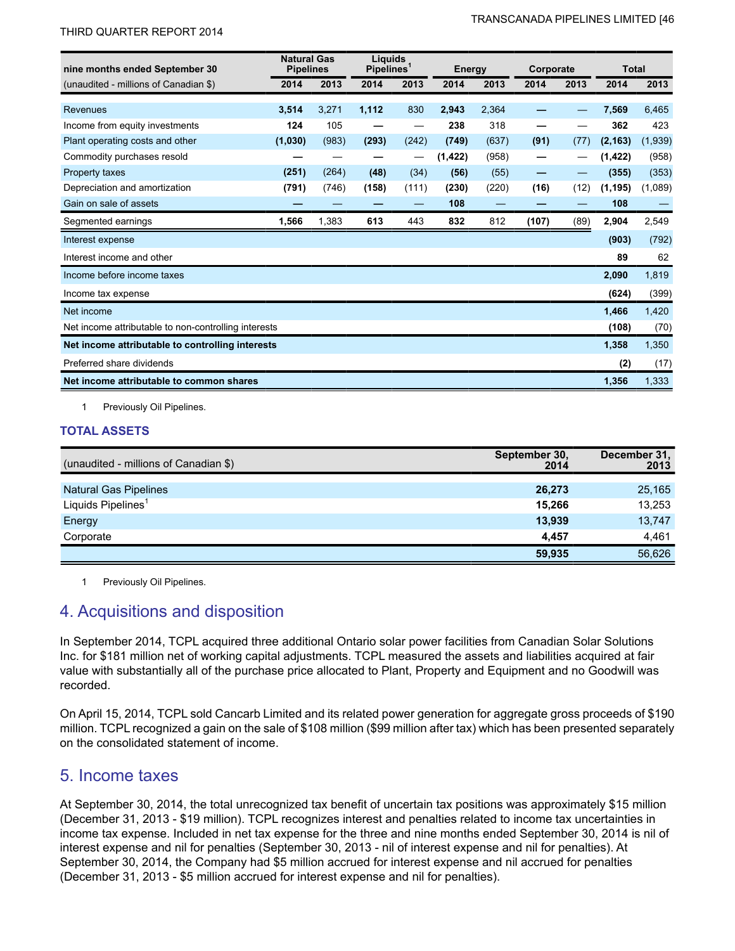#### THIRD QUARTER REPORT 2014

| nine months ended September 30                       | <b>Natural Gas</b><br><b>Pipelines</b> |       | Liquids<br>Pipelines <sup>1</sup> |       | <b>Energy</b> |       | Corporate |      | Total    |         |
|------------------------------------------------------|----------------------------------------|-------|-----------------------------------|-------|---------------|-------|-----------|------|----------|---------|
| (unaudited - millions of Canadian \$)                | 2014                                   | 2013  | 2014                              | 2013  | 2014          | 2013  | 2014      | 2013 | 2014     | 2013    |
| Revenues                                             | 3,514                                  | 3,271 | 1,112                             | 830   | 2,943         | 2,364 |           |      | 7,569    | 6,465   |
| Income from equity investments                       | 124                                    | 105   |                                   |       | 238           | 318   |           |      | 362      | 423     |
| Plant operating costs and other                      | (1,030)                                | (983) | (293)                             | (242) | (749)         | (637) | (91)      | (77) | (2, 163) | (1,939) |
| Commodity purchases resold                           |                                        |       |                                   |       | (1, 422)      | (958) |           |      | (1, 422) | (958)   |
| Property taxes                                       | (251)                                  | (264) | (48)                              | (34)  | (56)          | (55)  | –         |      | (355)    | (353)   |
| Depreciation and amortization                        | (791)                                  | (746) | (158)                             | (111) | (230)         | (220) | (16)      | (12) | (1, 195) | (1,089) |
| Gain on sale of assets                               |                                        |       |                                   |       | 108           |       |           |      | 108      |         |
| Segmented earnings                                   | 1,566                                  | 1,383 | 613                               | 443   | 832           | 812   | (107)     | (89) | 2,904    | 2,549   |
| Interest expense                                     |                                        |       |                                   |       |               |       |           |      | (903)    | (792)   |
| Interest income and other                            |                                        |       |                                   |       |               |       |           |      | 89       | 62      |
| Income before income taxes                           |                                        |       |                                   |       |               |       |           |      | 2,090    | 1,819   |
| Income tax expense                                   |                                        |       |                                   |       |               |       |           |      | (624)    | (399)   |
| Net income                                           |                                        |       |                                   |       |               |       |           |      | 1,466    | 1,420   |
| Net income attributable to non-controlling interests |                                        |       |                                   |       |               |       |           |      | (108)    | (70)    |
| Net income attributable to controlling interests     |                                        |       |                                   |       |               |       |           |      | 1,358    | 1,350   |
| Preferred share dividends                            |                                        |       |                                   |       |               |       |           |      | (2)      | (17)    |
| Net income attributable to common shares             |                                        |       |                                   |       |               |       |           |      | 1,356    | 1,333   |

1 Previously Oil Pipelines.

## **TOTAL ASSETS**

| (unaudited - millions of Canadian \$) | September 30,<br>2014 | December 31,<br>2013 |
|---------------------------------------|-----------------------|----------------------|
|                                       |                       |                      |
| <b>Natural Gas Pipelines</b>          | 26,273                | 25,165               |
| Liquids Pipelines <sup>1</sup>        | 15,266                | 13,253               |
| Energy                                | 13,939                | 13,747               |
| Corporate                             | 4.457                 | 4,461                |
|                                       | 59,935                | 56,626               |

1 Previously Oil Pipelines.

# 4. Acquisitions and disposition

In September 2014, TCPL acquired three additional Ontario solar power facilities from Canadian Solar Solutions Inc. for \$181 million net of working capital adjustments. TCPL measured the assets and liabilities acquired at fair value with substantially all of the purchase price allocated to Plant, Property and Equipment and no Goodwill was recorded.

On April 15, 2014, TCPL sold Cancarb Limited and its related power generation for aggregate gross proceeds of \$190 million. TCPL recognized a gain on the sale of \$108 million (\$99 million after tax) which has been presented separately on the consolidated statement of income.

# 5. Income taxes

At September 30, 2014, the total unrecognized tax benefit of uncertain tax positions was approximately \$15 million (December 31, 2013 - \$19 million). TCPL recognizes interest and penalties related to income tax uncertainties in income tax expense. Included in net tax expense for the three and nine months ended September 30, 2014 is nil of interest expense and nil for penalties (September 30, 2013 - nil of interest expense and nil for penalties). At September 30, 2014, the Company had \$5 million accrued for interest expense and nil accrued for penalties (December 31, 2013 - \$5 million accrued for interest expense and nil for penalties).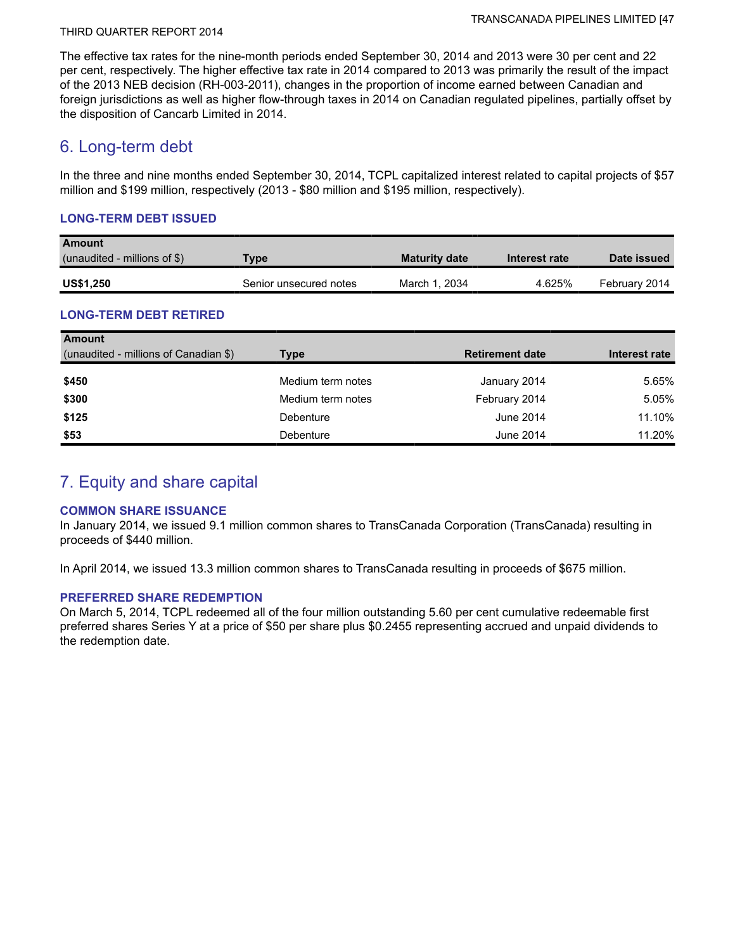#### THIRD QUARTER REPORT 2014

The effective tax rates for the nine-month periods ended September 30, 2014 and 2013 were 30 per cent and 22 per cent, respectively. The higher effective tax rate in 2014 compared to 2013 was primarily the result of the impact of the 2013 NEB decision (RH-003-2011), changes in the proportion of income earned between Canadian and foreign jurisdictions as well as higher flow-through taxes in 2014 on Canadian regulated pipelines, partially offset by the disposition of Cancarb Limited in 2014.

# 6. Long-term debt

In the three and nine months ended September 30, 2014, TCPL capitalized interest related to capital projects of \$57 million and \$199 million, respectively (2013 - \$80 million and \$195 million, respectively).

# **LONG-TERM DEBT ISSUED**

| Amount                          |                        |                      |               |               |
|---------------------------------|------------------------|----------------------|---------------|---------------|
| (unaudited - millions of $$)$ ) | $T$ <sub>V</sub> pe    | <b>Maturity date</b> | Interest rate | Date issued   |
| <b>US\$1,250</b>                | Senior unsecured notes | March 1, 2034        | 4.625%        | February 2014 |

# **LONG-TERM DEBT RETIRED**

| <b>Amount</b>                         |                   |                        |               |
|---------------------------------------|-------------------|------------------------|---------------|
| (unaudited - millions of Canadian \$) | Type              | <b>Retirement date</b> | Interest rate |
|                                       |                   |                        |               |
| \$450                                 | Medium term notes | January 2014           | 5.65%         |
| \$300                                 | Medium term notes | February 2014          | 5.05%         |
| \$125                                 | Debenture         | June 2014              | 11.10%        |
| \$53                                  | Debenture         | June 2014              | 11.20%        |

# 7. Equity and share capital

# **COMMON SHARE ISSUANCE**

In January 2014, we issued 9.1 million common shares to TransCanada Corporation (TransCanada) resulting in proceeds of \$440 million.

In April 2014, we issued 13.3 million common shares to TransCanada resulting in proceeds of \$675 million.

# **PREFERRED SHARE REDEMPTION**

On March 5, 2014, TCPL redeemed all of the four million outstanding 5.60 per cent cumulative redeemable first preferred shares Series Y at a price of \$50 per share plus \$0.2455 representing accrued and unpaid dividends to the redemption date.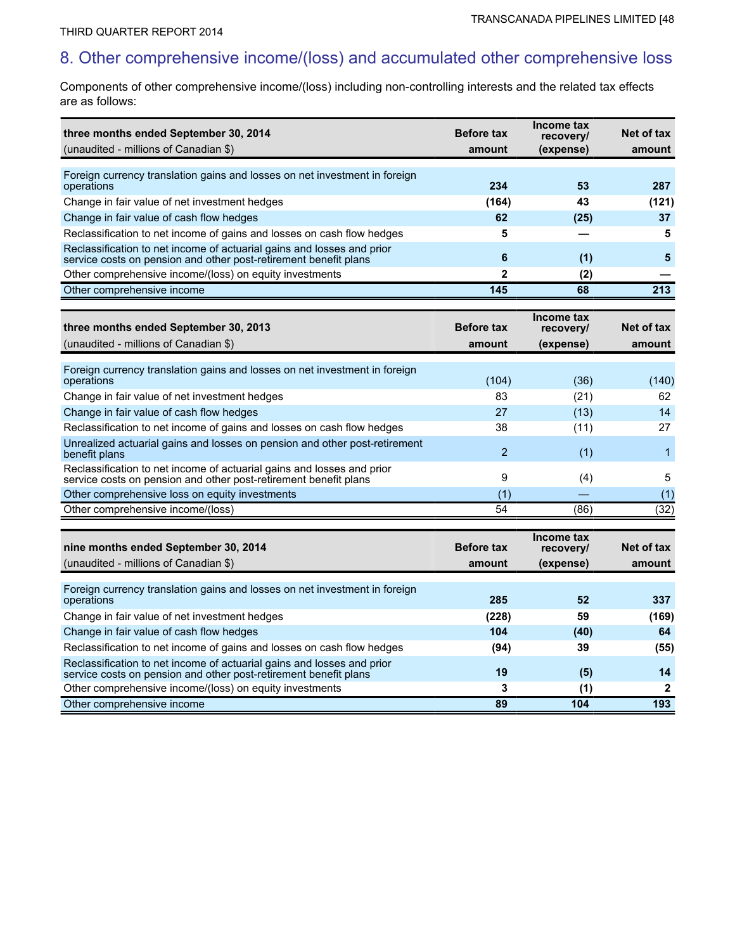# 8. Other comprehensive income/(loss) and accumulated other comprehensive loss

Components of other comprehensive income/(loss) including non-controlling interests and the related tax effects are as follows:

| three months ended September 30, 2014<br>(unaudited - millions of Canadian \$)                                                             | <b>Before tax</b><br>amount | Income tax<br>recovery/<br>(expense) | Net of tax<br>amount |
|--------------------------------------------------------------------------------------------------------------------------------------------|-----------------------------|--------------------------------------|----------------------|
| Foreign currency translation gains and losses on net investment in foreign<br>operations                                                   | 234                         | 53                                   | 287                  |
| Change in fair value of net investment hedges                                                                                              | (164)                       | 43                                   | (121)                |
| Change in fair value of cash flow hedges                                                                                                   | 62                          | (25)                                 | 37                   |
| Reclassification to net income of gains and losses on cash flow hedges                                                                     | 5                           |                                      | 5                    |
| Reclassification to net income of actuarial gains and losses and prior<br>service costs on pension and other post-retirement benefit plans | 6                           | (1)                                  | 5                    |
| Other comprehensive income/(loss) on equity investments                                                                                    |                             | (2)                                  |                      |
| Other comprehensive income                                                                                                                 | 145                         | 68                                   | 213                  |
|                                                                                                                                            |                             |                                      |                      |

| three months ended September 30, 2013                                                                                                      | <b>Before tax</b> | Income tax<br>recovery/ | Net of tax |
|--------------------------------------------------------------------------------------------------------------------------------------------|-------------------|-------------------------|------------|
| (unaudited - millions of Canadian \$)                                                                                                      | amount            | (expense)               | amount     |
|                                                                                                                                            |                   |                         |            |
| Foreign currency translation gains and losses on net investment in foreign<br>operations                                                   | (104)             | (36)                    | (140)      |
| Change in fair value of net investment hedges                                                                                              | 83                | (21)                    | 62         |
| Change in fair value of cash flow hedges                                                                                                   | 27                | (13)                    | 14         |
| Reclassification to net income of gains and losses on cash flow hedges                                                                     | 38                | (11)                    | 27         |
| Unrealized actuarial gains and losses on pension and other post-retirement<br>benefit plans                                                | $\mathcal{P}$     | (1)                     |            |
| Reclassification to net income of actuarial gains and losses and prior<br>service costs on pension and other post-retirement benefit plans | 9                 | (4)                     | 5          |
| Other comprehensive loss on equity investments                                                                                             | (1)               |                         | (1)        |
| Other comprehensive income/(loss)                                                                                                          | 54                | (86)                    | (32)       |

| nine months ended September 30, 2014                                                                                                       | <b>Before tax</b> | Income tax<br>recovery/ | Net of tax |
|--------------------------------------------------------------------------------------------------------------------------------------------|-------------------|-------------------------|------------|
| (unaudited - millions of Canadian \$)                                                                                                      | amount            | (expense)               | amount     |
|                                                                                                                                            |                   |                         |            |
| Foreign currency translation gains and losses on net investment in foreign<br>operations                                                   | 285               | 52                      | 337        |
| Change in fair value of net investment hedges                                                                                              | (228)             | 59                      | (169)      |
| Change in fair value of cash flow hedges                                                                                                   | 104               | (40)                    | 64         |
| Reclassification to net income of gains and losses on cash flow hedges                                                                     | (94)              | 39                      | (55)       |
| Reclassification to net income of actuarial gains and losses and prior<br>service costs on pension and other post-retirement benefit plans | 19                | (5)                     | 14         |
| Other comprehensive income/(loss) on equity investments                                                                                    | 3                 | (1)                     | 2          |
| Other comprehensive income                                                                                                                 | 89                | 104                     | 193        |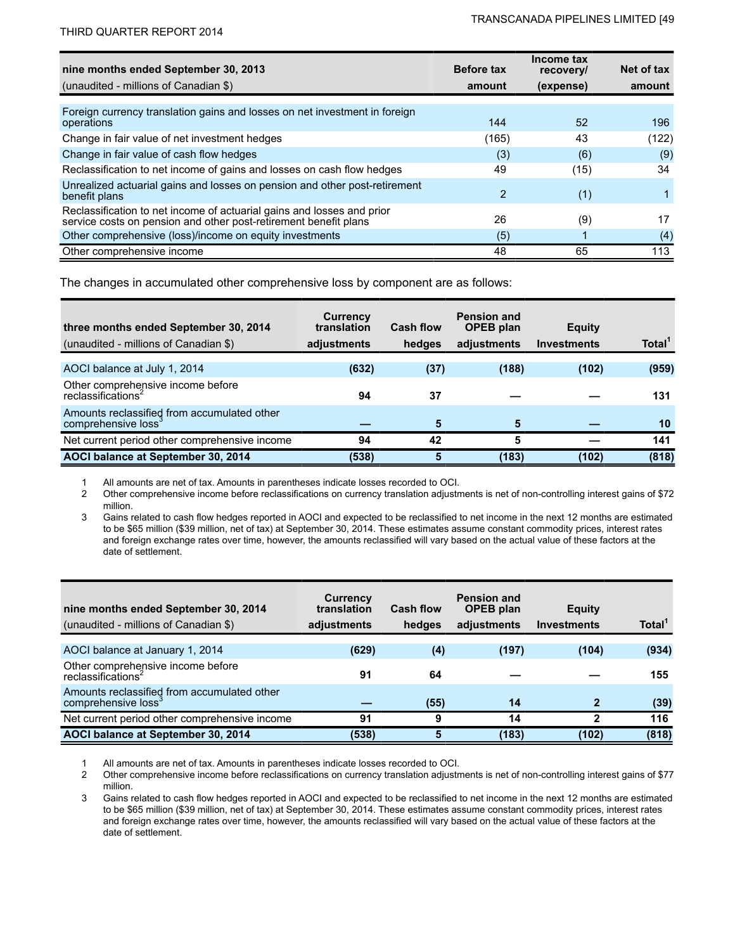| nine months ended September 30, 2013                                                                                                       | <b>Before tax</b> | Income tax<br>recovery/ | Net of tax |
|--------------------------------------------------------------------------------------------------------------------------------------------|-------------------|-------------------------|------------|
| (unaudited - millions of Canadian \$)                                                                                                      | amount            | (expense)               | amount     |
|                                                                                                                                            |                   |                         |            |
| Foreign currency translation gains and losses on net investment in foreign<br>operations                                                   | 144               | 52                      | 196        |
| Change in fair value of net investment hedges                                                                                              | (165)             | 43                      | (122)      |
| Change in fair value of cash flow hedges                                                                                                   | (3)               | (6)                     | (9)        |
| Reclassification to net income of gains and losses on cash flow hedges                                                                     | 49                | (15)                    | 34         |
| Unrealized actuarial gains and losses on pension and other post-retirement<br>benefit plans                                                | $\overline{2}$    | (1)                     |            |
| Reclassification to net income of actuarial gains and losses and prior<br>service costs on pension and other post-retirement benefit plans | 26                | (9)                     | 17         |
| Other comprehensive (loss)/income on equity investments                                                                                    | (5)               |                         | (4)        |
| Other comprehensive income                                                                                                                 | 48                | 65                      | 113        |

The changes in accumulated other comprehensive loss by component are as follows:

| three months ended September 30, 2014<br>(unaudited - millions of Canadian \$) | Currency<br>translation<br>adjustments | Cash flow<br>hedges | <b>Pension and</b><br><b>OPEB</b> plan<br>adjustments | <b>Equity</b><br><b>Investments</b> | Total <sup>1</sup> |
|--------------------------------------------------------------------------------|----------------------------------------|---------------------|-------------------------------------------------------|-------------------------------------|--------------------|
| AOCI balance at July 1, 2014                                                   | (632)                                  | (37)                | (188)                                                 | (102)                               | (959)              |
| Other comprehensive income before<br>reclassifications <sup>2</sup>            | 94                                     | 37                  |                                                       |                                     | 131                |
| Amounts reclassified from accumulated other<br>comprehensive loss <sup>3</sup> |                                        | 5                   | 5                                                     |                                     | 10                 |
| Net current period other comprehensive income                                  | 94                                     | 42                  | 5                                                     |                                     | 141                |
| AOCI balance at September 30, 2014                                             | (538)                                  | 5                   | (183)                                                 | (102)                               | (818)              |

1 All amounts are net of tax. Amounts in parentheses indicate losses recorded to OCI.

2 Other comprehensive income before reclassifications on currency translation adjustments is net of non-controlling interest gains of \$72 million.

3 Gains related to cash flow hedges reported in AOCI and expected to be reclassified to net income in the next 12 months are estimated to be \$65 million (\$39 million, net of tax) at September 30, 2014. These estimates assume constant commodity prices, interest rates and foreign exchange rates over time, however, the amounts reclassified will vary based on the actual value of these factors at the date of settlement.

| nine months ended September 30, 2014<br>(unaudited - millions of Canadian \$)  | Currency<br>translation<br>adjustments | <b>Cash flow</b><br>hedges | <b>Pension and</b><br><b>OPEB</b> plan<br>adjustments | <b>Equity</b><br><b>Investments</b> | Total |
|--------------------------------------------------------------------------------|----------------------------------------|----------------------------|-------------------------------------------------------|-------------------------------------|-------|
|                                                                                |                                        |                            |                                                       |                                     |       |
| AOCI balance at January 1, 2014                                                | (629)                                  | (4)                        | (197)                                                 | (104)                               | (934) |
| Other comprehensive income before<br>reclassifications <sup>2</sup>            | 91                                     | 64                         |                                                       |                                     | 155   |
| Amounts reclassified from accumulated other<br>comprehensive loss <sup>3</sup> |                                        | (55)                       | 14                                                    |                                     | (39)  |
| Net current period other comprehensive income                                  | 91                                     | 9                          | 14                                                    | 2                                   | 116   |
| AOCI balance at September 30, 2014                                             | (538)                                  | 5                          | (183)                                                 | (102)                               | (818) |

1 All amounts are net of tax. Amounts in parentheses indicate losses recorded to OCI.<br>2 Other comprehensive income before reclassifications on currency translation adjustn 2 Other comprehensive income before reclassifications on currency translation adjustments is net of non-controlling interest gains of \$77 million.

3 Gains related to cash flow hedges reported in AOCI and expected to be reclassified to net income in the next 12 months are estimated to be \$65 million (\$39 million, net of tax) at September 30, 2014. These estimates assume constant commodity prices, interest rates and foreign exchange rates over time, however, the amounts reclassified will vary based on the actual value of these factors at the date of settlement.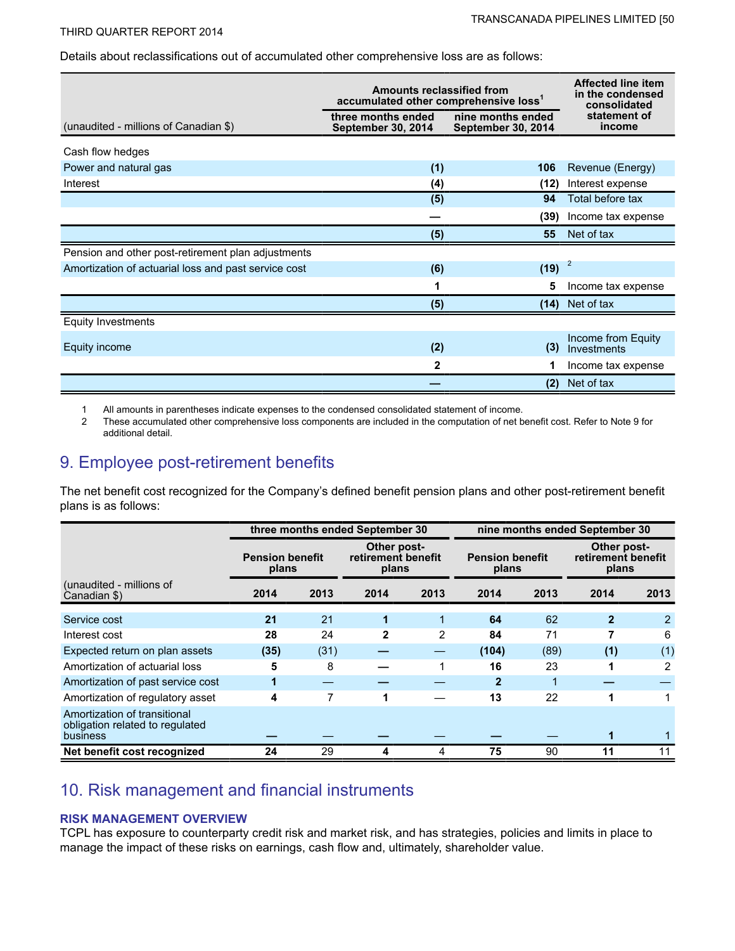#### THIRD QUARTER REPORT 2014

Details about reclassifications out of accumulated other comprehensive loss are as follows:

|                                                      | <b>Amounts reclassified from</b><br>accumulated other comprehensive loss | <b>Affected line item</b><br>in the condensed<br>consolidated |                                   |
|------------------------------------------------------|--------------------------------------------------------------------------|---------------------------------------------------------------|-----------------------------------|
| (unaudited - millions of Canadian \$)                | three months ended<br><b>September 30, 2014</b>                          | nine months ended<br><b>September 30, 2014</b>                | statement of<br>income            |
| Cash flow hedges                                     |                                                                          |                                                               |                                   |
| Power and natural gas                                | (1)                                                                      | 106                                                           | Revenue (Energy)                  |
| Interest                                             | (4)                                                                      | (12)                                                          | Interest expense                  |
|                                                      | (5)                                                                      | 94                                                            | Total before tax                  |
|                                                      |                                                                          | (39)                                                          | Income tax expense                |
|                                                      | (5)                                                                      | 55                                                            | Net of tax                        |
| Pension and other post-retirement plan adjustments   |                                                                          |                                                               |                                   |
| Amortization of actuarial loss and past service cost | (6)                                                                      | (19)                                                          | $\overline{2}$                    |
|                                                      |                                                                          | 5                                                             | Income tax expense                |
|                                                      | (5)                                                                      |                                                               | $(14)$ Net of tax                 |
| <b>Equity Investments</b>                            |                                                                          |                                                               |                                   |
| Equity income                                        | (2)                                                                      | (3)                                                           | Income from Equity<br>Investments |
|                                                      | $\mathbf{2}$                                                             |                                                               | Income tax expense                |
|                                                      |                                                                          | (2)                                                           | Net of tax                        |

1 All amounts in parentheses indicate expenses to the condensed consolidated statement of income.<br>2 These accumulated other comprehensive loss components are included in the computation of net b

2 These accumulated other comprehensive loss components are included in the computation of net benefit cost. Refer to Note 9 for additional detail.

# 9. Employee post-retirement benefits

The net benefit cost recognized for the Company's defined benefit pension plans and other post-retirement benefit plans is as follows:

|                                                                             | three months ended September 30 |                                                                                                                             |      | nine months ended September 30 |                |      |                |      |
|-----------------------------------------------------------------------------|---------------------------------|-----------------------------------------------------------------------------------------------------------------------------|------|--------------------------------|----------------|------|----------------|------|
|                                                                             | <b>Pension benefit</b><br>plans | Other post-<br>Other post-<br>retirement benefit<br>retirement benefit<br><b>Pension benefit</b><br>plans<br>plans<br>plans |      |                                |                |      |                |      |
| (unaudited - millions of<br>Canadian \$)                                    | 2014                            | 2013                                                                                                                        | 2014 | 2013                           | 2014           | 2013 | 2014           | 2013 |
| Service cost                                                                | 21                              | 21                                                                                                                          | 1    | $\mathbf{1}$                   | 64             | 62   | $\overline{2}$ | 2    |
| Interest cost                                                               | 28                              | 24                                                                                                                          | 2    | $\overline{2}$                 | 84             | 71   |                | 6    |
| Expected return on plan assets                                              | (35)                            | (31)                                                                                                                        |      |                                | (104)          | (89) | (1)            | (1)  |
| Amortization of actuarial loss                                              | 5                               | 8                                                                                                                           |      |                                | 16             | 23   |                | 2    |
| Amortization of past service cost                                           | $\blacktriangleleft$            |                                                                                                                             |      |                                | $\overline{2}$ | 1    |                |      |
| Amortization of regulatory asset                                            | 4                               |                                                                                                                             | 1    |                                | 13             | 22   |                |      |
| Amortization of transitional<br>obligation related to regulated<br>business |                                 |                                                                                                                             |      |                                |                |      |                |      |
| Net benefit cost recognized                                                 | 24                              | 29                                                                                                                          | 4    | 4                              | 75             | 90   | 11             | 11   |

# 10. Risk management and financial instruments

# **RISK MANAGEMENT OVERVIEW**

TCPL has exposure to counterparty credit risk and market risk, and has strategies, policies and limits in place to manage the impact of these risks on earnings, cash flow and, ultimately, shareholder value.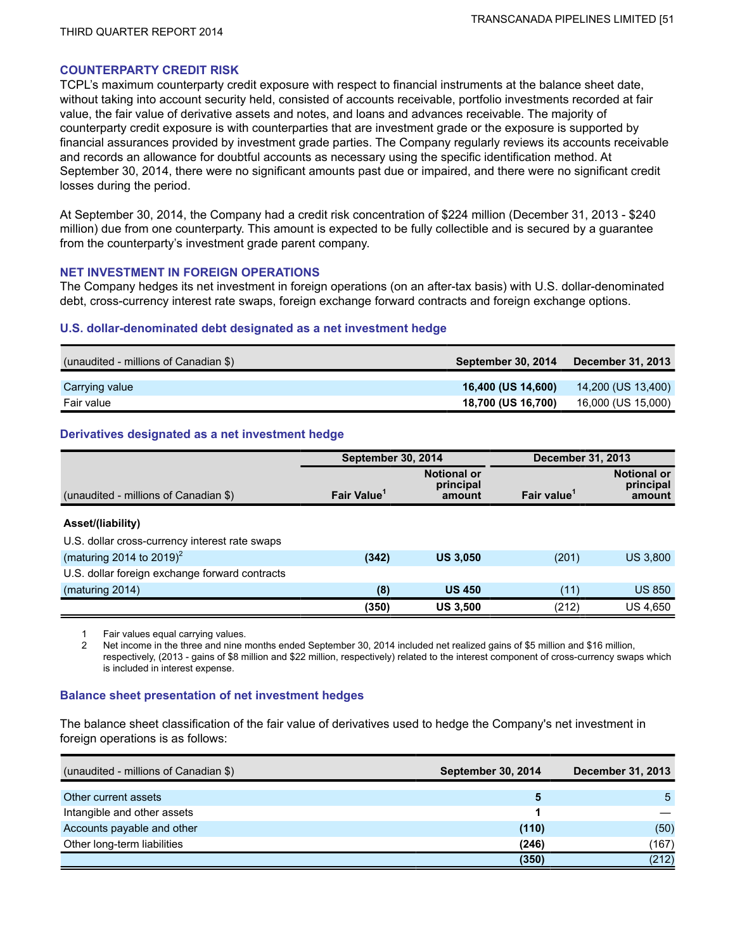#### **COUNTERPARTY CREDIT RISK**

TCPL's maximum counterparty credit exposure with respect to financial instruments at the balance sheet date, without taking into account security held, consisted of accounts receivable, portfolio investments recorded at fair value, the fair value of derivative assets and notes, and loans and advances receivable. The majority of counterparty credit exposure is with counterparties that are investment grade or the exposure is supported by financial assurances provided by investment grade parties. The Company regularly reviews its accounts receivable and records an allowance for doubtful accounts as necessary using the specific identification method. At September 30, 2014, there were no significant amounts past due or impaired, and there were no significant credit losses during the period.

At September 30, 2014, the Company had a credit risk concentration of \$224 million (December 31, 2013 - \$240 million) due from one counterparty. This amount is expected to be fully collectible and is secured by a guarantee from the counterparty's investment grade parent company.

#### **NET INVESTMENT IN FOREIGN OPERATIONS**

The Company hedges its net investment in foreign operations (on an after-tax basis) with U.S. dollar-denominated debt, cross-currency interest rate swaps, foreign exchange forward contracts and foreign exchange options.

#### **U.S. dollar-denominated debt designated as a net investment hedge**

| (unaudited - millions of Canadian \$) | September 30, 2014 | <b>December 31, 2013</b> |
|---------------------------------------|--------------------|--------------------------|
| Carrying value                        | 16,400 (US 14,600) | 14,200 (US 13,400)       |
| Fair value                            | 18,700 (US 16,700) | 16,000 (US 15,000)       |

#### **Derivatives designated as a net investment hedge**

|                                                | September 30, 2014             |                                           | <b>December 31, 2013</b> |                                    |  |
|------------------------------------------------|--------------------------------|-------------------------------------------|--------------------------|------------------------------------|--|
| (unaudited - millions of Canadian \$)          | <b>Fair Value</b> <sup>1</sup> | <b>Notional or</b><br>principal<br>amount | Fair value <sup>1</sup>  | Notional or<br>principal<br>amount |  |
| Asset/(liability)                              |                                |                                           |                          |                                    |  |
| U.S. dollar cross-currency interest rate swaps |                                |                                           |                          |                                    |  |
| (maturing 2014 to 2019) <sup>2</sup>           | (342)                          | <b>US 3,050</b>                           | (201)                    | <b>US 3,800</b>                    |  |
| U.S. dollar foreign exchange forward contracts |                                |                                           |                          |                                    |  |
| (maturing 2014)                                | (8)                            | <b>US 450</b>                             | (11)                     | <b>US 850</b>                      |  |
|                                                | (350)                          | <b>US 3,500</b>                           | (212)                    | <b>US 4.650</b>                    |  |

1 Fair values equal carrying values.

2 Net income in the three and nine months ended September 30, 2014 included net realized gains of \$5 million and \$16 million, respectively, (2013 - gains of \$8 million and \$22 million, respectively) related to the interest component of cross-currency swaps which is included in interest expense.

#### **Balance sheet presentation of net investment hedges**

The balance sheet classification of the fair value of derivatives used to hedge the Company's net investment in foreign operations is as follows:

| (unaudited - millions of Canadian \$) | <b>September 30, 2014</b> | <b>December 31, 2013</b> |
|---------------------------------------|---------------------------|--------------------------|
| Other current assets                  | b                         | 5                        |
| Intangible and other assets           |                           |                          |
| Accounts payable and other            | (110)                     | (50)                     |
| Other long-term liabilities           | (246)                     | (167)                    |
|                                       | (350)                     | (212)                    |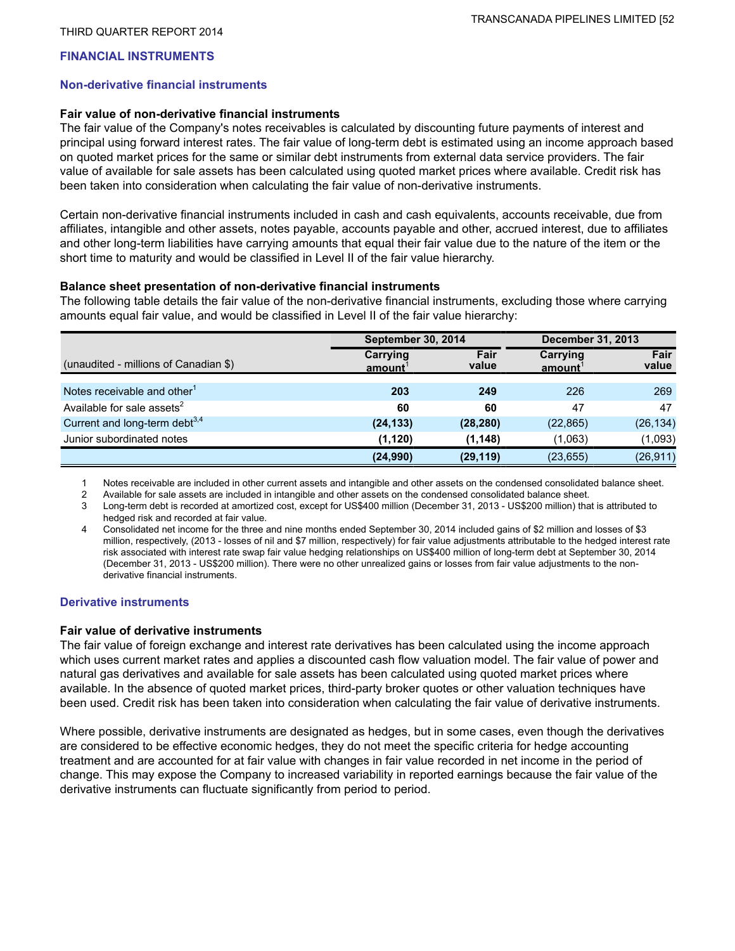#### **FINANCIAL INSTRUMENTS**

#### **Non-derivative financial instruments**

#### **Fair value of non-derivative financial instruments**

The fair value of the Company's notes receivables is calculated by discounting future payments of interest and principal using forward interest rates. The fair value of long-term debt is estimated using an income approach based on quoted market prices for the same or similar debt instruments from external data service providers. The fair value of available for sale assets has been calculated using quoted market prices where available. Credit risk has been taken into consideration when calculating the fair value of non-derivative instruments.

Certain non-derivative financial instruments included in cash and cash equivalents, accounts receivable, due from affiliates, intangible and other assets, notes payable, accounts payable and other, accrued interest, due to affiliates and other long-term liabilities have carrying amounts that equal their fair value due to the nature of the item or the short time to maturity and would be classified in Level II of the fair value hierarchy.

#### **Balance sheet presentation of non-derivative financial instruments**

The following table details the fair value of the non-derivative financial instruments, excluding those where carrying amounts equal fair value, and would be classified in Level II of the fair value hierarchy:

|                                           | <b>September 30, 2014</b> |               | <b>December 31, 2013</b> |               |  |
|-------------------------------------------|---------------------------|---------------|--------------------------|---------------|--|
| (unaudited - millions of Canadian \$)     | Carrying<br>amount        | Fair<br>value | Carrying<br>amount       | Fair<br>value |  |
|                                           |                           |               |                          |               |  |
| Notes receivable and other <sup>1</sup>   | 203                       | 249           | 226                      | 269           |  |
| Available for sale assets <sup>2</sup>    | 60                        | 60            | 47                       | 47            |  |
| Current and long-term debt <sup>3,4</sup> | (24, 133)                 | (28, 280)     | (22, 865)                | (26, 134)     |  |
| Junior subordinated notes                 | (1, 120)                  | (1, 148)      | (1,063)                  | (1,093)       |  |
|                                           | (24, 990)                 | (29, 119)     | (23, 655)                | (26, 911)     |  |

1 Notes receivable are included in other current assets and intangible and other assets on the condensed consolidated balance sheet.

2 Available for sale assets are included in intangible and other assets on the condensed consolidated balance sheet.

- 3 Long-term debt is recorded at amortized cost, except for US\$400 million (December 31, 2013 US\$200 million) that is attributed to hedged risk and recorded at fair value.
- 4 Consolidated net income for the three and nine months ended September 30, 2014 included gains of \$2 million and losses of \$3 million, respectively, (2013 - losses of nil and \$7 million, respectively) for fair value adjustments attributable to the hedged interest rate risk associated with interest rate swap fair value hedging relationships on US\$400 million of long-term debt at September 30, 2014 (December 31, 2013 - US\$200 million). There were no other unrealized gains or losses from fair value adjustments to the nonderivative financial instruments.

### **Derivative instruments**

#### **Fair value of derivative instruments**

The fair value of foreign exchange and interest rate derivatives has been calculated using the income approach which uses current market rates and applies a discounted cash flow valuation model. The fair value of power and natural gas derivatives and available for sale assets has been calculated using quoted market prices where available. In the absence of quoted market prices, third-party broker quotes or other valuation techniques have been used. Credit risk has been taken into consideration when calculating the fair value of derivative instruments.

Where possible, derivative instruments are designated as hedges, but in some cases, even though the derivatives are considered to be effective economic hedges, they do not meet the specific criteria for hedge accounting treatment and are accounted for at fair value with changes in fair value recorded in net income in the period of change. This may expose the Company to increased variability in reported earnings because the fair value of the derivative instruments can fluctuate significantly from period to period.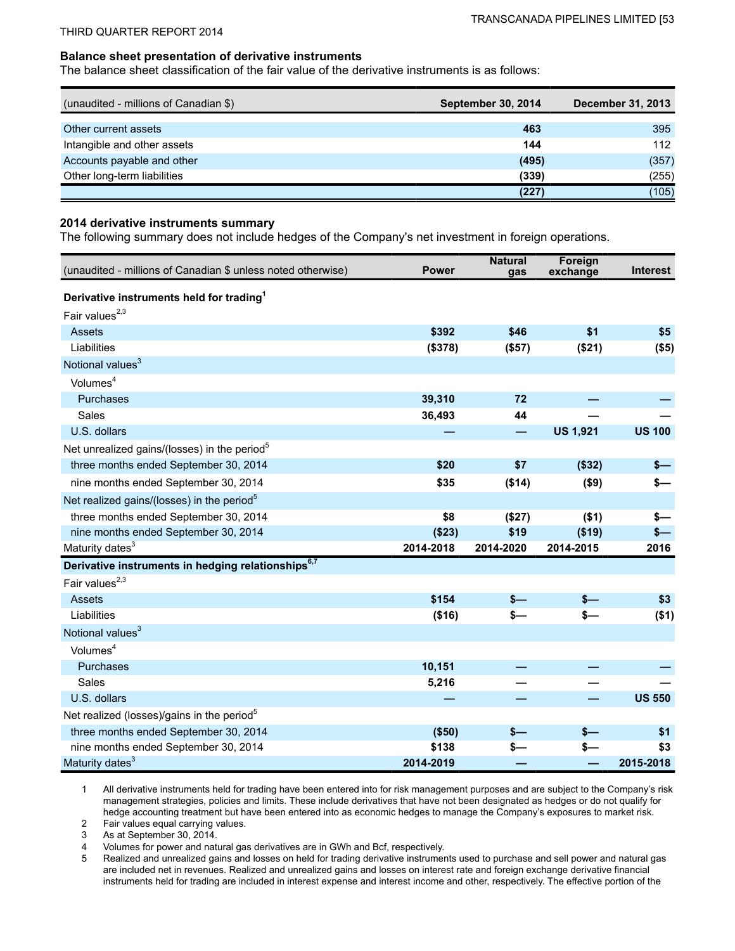#### **Balance sheet presentation of derivative instruments**

The balance sheet classification of the fair value of the derivative instruments is as follows:

| (unaudited - millions of Canadian \$) | <b>September 30, 2014</b> | <b>December 31, 2013</b> |
|---------------------------------------|---------------------------|--------------------------|
| Other current assets                  | 463                       | 395                      |
| Intangible and other assets           | 144                       | 112                      |
| Accounts payable and other            | (495)                     | (357)                    |
| Other long-term liabilities           | (339)                     | (255)                    |
|                                       | (227)                     | (105)                    |

#### **2014 derivative instruments summary**

The following summary does not include hedges of the Company's net investment in foreign operations.

| (unaudited - millions of Canadian \$ unless noted otherwise)   | <b>Power</b> | <b>Natural</b><br>gas    | Foreign<br>exchange | <b>Interest</b> |
|----------------------------------------------------------------|--------------|--------------------------|---------------------|-----------------|
| Derivative instruments held for trading <sup>1</sup>           |              |                          |                     |                 |
| Fair values <sup>2,3</sup>                                     |              |                          |                     |                 |
| Assets                                                         | \$392        | \$46                     | \$1                 | \$5             |
| Liabilities                                                    | (\$378)      | (\$57)                   | (\$21)              | ( \$5)          |
| Notional values <sup>3</sup>                                   |              |                          |                     |                 |
| Volumes <sup>4</sup>                                           |              |                          |                     |                 |
| <b>Purchases</b>                                               | 39,310       | 72                       |                     |                 |
| Sales                                                          | 36,493       | 44                       |                     |                 |
| U.S. dollars                                                   |              | $\overline{\phantom{0}}$ | <b>US 1,921</b>     | <b>US 100</b>   |
| Net unrealized gains/(losses) in the period <sup>5</sup>       |              |                          |                     |                 |
| three months ended September 30, 2014                          | \$20         | \$7                      | (\$32)              | \$—             |
| nine months ended September 30, 2014                           | \$35         | (\$14)                   | ( \$9)              | \$—             |
| Net realized gains/(losses) in the period <sup>5</sup>         |              |                          |                     |                 |
| three months ended September 30, 2014                          | \$8          | (\$27)                   | ( \$1)              | \$—             |
| nine months ended September 30, 2014                           | (\$23)       | \$19                     | (\$19)              | $s-$            |
| Maturity dates <sup>3</sup>                                    | 2014-2018    | 2014-2020                | 2014-2015           | 2016            |
| Derivative instruments in hedging relationships <sup>6,7</sup> |              |                          |                     |                 |
| Fair values <sup>2,3</sup>                                     |              |                          |                     |                 |
| Assets                                                         | \$154        | $s-$                     | $s-$                | \$3             |
| Liabilities                                                    | (\$16)       | \$—                      | $s-$                | ( \$1)          |
| Notional values <sup>3</sup>                                   |              |                          |                     |                 |
| Volumes <sup>4</sup>                                           |              |                          |                     |                 |
| <b>Purchases</b>                                               | 10,151       |                          |                     |                 |
| Sales                                                          | 5,216        |                          |                     |                 |
| U.S. dollars                                                   |              |                          |                     | <b>US 550</b>   |
| Net realized (losses)/gains in the period <sup>5</sup>         |              |                          |                     |                 |
| three months ended September 30, 2014                          | (\$50)       | s—                       | s—                  | \$1             |
| nine months ended September 30, 2014                           | \$138        | $s-$                     | \$—                 | \$3             |
| Maturity dates <sup>3</sup>                                    | 2014-2019    |                          |                     | 2015-2018       |

1 All derivative instruments held for trading have been entered into for risk management purposes and are subject to the Company's risk management strategies, policies and limits. These include derivatives that have not been designated as hedges or do not qualify for hedge accounting treatment but have been entered into as economic hedges to manage the Company's exposures to market risk.

2 Fair values equal carrying values.

3 As at September 30, 2014.

4 Volumes for power and natural gas derivatives are in GWh and Bcf, respectively.

5 Realized and unrealized gains and losses on held for trading derivative instruments used to purchase and sell power and natural gas are included net in revenues. Realized and unrealized gains and losses on interest rate and foreign exchange derivative financial instruments held for trading are included in interest expense and interest income and other, respectively. The effective portion of the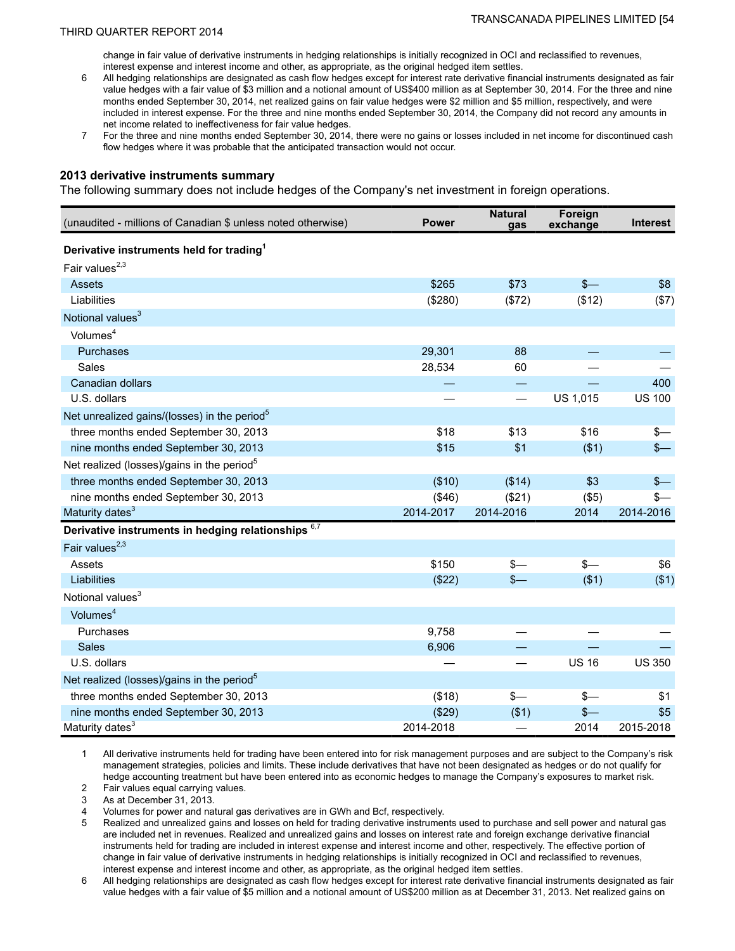change in fair value of derivative instruments in hedging relationships is initially recognized in OCI and reclassified to revenues, interest expense and interest income and other, as appropriate, as the original hedged item settles.

- 6 All hedging relationships are designated as cash flow hedges except for interest rate derivative financial instruments designated as fair value hedges with a fair value of \$3 million and a notional amount of US\$400 million as at September 30, 2014. For the three and nine months ended September 30, 2014, net realized gains on fair value hedges were \$2 million and \$5 million, respectively, and were included in interest expense. For the three and nine months ended September 30, 2014, the Company did not record any amounts in net income related to ineffectiveness for fair value hedges.
- 7 For the three and nine months ended September 30, 2014, there were no gains or losses included in net income for discontinued cash flow hedges where it was probable that the anticipated transaction would not occur.

#### **2013 derivative instruments summary**

The following summary does not include hedges of the Company's net investment in foreign operations.

| (unaudited - millions of Canadian \$ unless noted otherwise) | <b>Power</b> | <b>Natural</b><br>gas | Foreign<br>exchange | <b>Interest</b> |
|--------------------------------------------------------------|--------------|-----------------------|---------------------|-----------------|
| Derivative instruments held for trading <sup>1</sup>         |              |                       |                     |                 |
| Fair values <sup>2,3</sup>                                   |              |                       |                     |                 |
| Assets                                                       | \$265        | \$73                  | $s-$                | \$8             |
| Liabilities                                                  | (\$280)      | (\$72)                | (\$12)              | (\$7)           |
| Notional values <sup>3</sup>                                 |              |                       |                     |                 |
| Volumes <sup>4</sup>                                         |              |                       |                     |                 |
| Purchases                                                    | 29,301       | 88                    |                     |                 |
| Sales                                                        | 28,534       | 60                    |                     |                 |
| Canadian dollars                                             |              |                       |                     | 400             |
| U.S. dollars                                                 |              |                       | <b>US 1,015</b>     | <b>US 100</b>   |
| Net unrealized gains/(losses) in the period <sup>5</sup>     |              |                       |                     |                 |
| three months ended September 30, 2013                        | \$18         | \$13                  | \$16                | $s-$            |
| nine months ended September 30, 2013                         | \$15         | \$1                   | ( \$1)              | $\frac{1}{2}$   |
| Net realized (losses)/gains in the period <sup>5</sup>       |              |                       |                     |                 |
| three months ended September 30, 2013                        | (\$10)       | (\$14)                | \$3                 | $s-$            |
| nine months ended September 30, 2013                         | (\$46)       | (\$21)                | (\$5)               | \$—             |
| Maturity dates <sup>3</sup>                                  | 2014-2017    | 2014-2016             | 2014                | 2014-2016       |
| Derivative instruments in hedging relationships 6,7          |              |                       |                     |                 |
| Fair values <sup>2,3</sup>                                   |              |                       |                     |                 |
| Assets                                                       | \$150        | $s-$                  | $s-$                | \$6             |
| Liabilities                                                  | (\$22)       | $\frac{2}{2}$         | ( \$1)              | ( \$1)          |
| Notional values <sup>3</sup>                                 |              |                       |                     |                 |
| Volumes <sup>4</sup>                                         |              |                       |                     |                 |
| Purchases                                                    | 9,758        |                       |                     |                 |
| <b>Sales</b>                                                 | 6,906        |                       |                     |                 |
| U.S. dollars                                                 |              |                       | <b>US 16</b>        | <b>US 350</b>   |
| Net realized (losses)/gains in the period <sup>5</sup>       |              |                       |                     |                 |
| three months ended September 30, 2013                        | (\$18)       | \$—                   | $s-$                | \$1             |
| nine months ended September 30, 2013                         | (\$29)       | ( \$1)                | \$                  | \$5             |
| Maturity dates <sup>3</sup>                                  | 2014-2018    |                       | 2014                | 2015-2018       |

1 All derivative instruments held for trading have been entered into for risk management purposes and are subject to the Company's risk management strategies, policies and limits. These include derivatives that have not been designated as hedges or do not qualify for hedge accounting treatment but have been entered into as economic hedges to manage the Company's exposures to market risk.

2 Fair values equal carrying values.

3 As at December 31, 2013.

4 Volumes for power and natural gas derivatives are in GWh and Bcf, respectively.

5 Realized and unrealized gains and losses on held for trading derivative instruments used to purchase and sell power and natural gas are included net in revenues. Realized and unrealized gains and losses on interest rate and foreign exchange derivative financial instruments held for trading are included in interest expense and interest income and other, respectively. The effective portion of change in fair value of derivative instruments in hedging relationships is initially recognized in OCI and reclassified to revenues, interest expense and interest income and other, as appropriate, as the original hedged item settles.

6 All hedging relationships are designated as cash flow hedges except for interest rate derivative financial instruments designated as fair value hedges with a fair value of \$5 million and a notional amount of US\$200 million as at December 31, 2013. Net realized gains on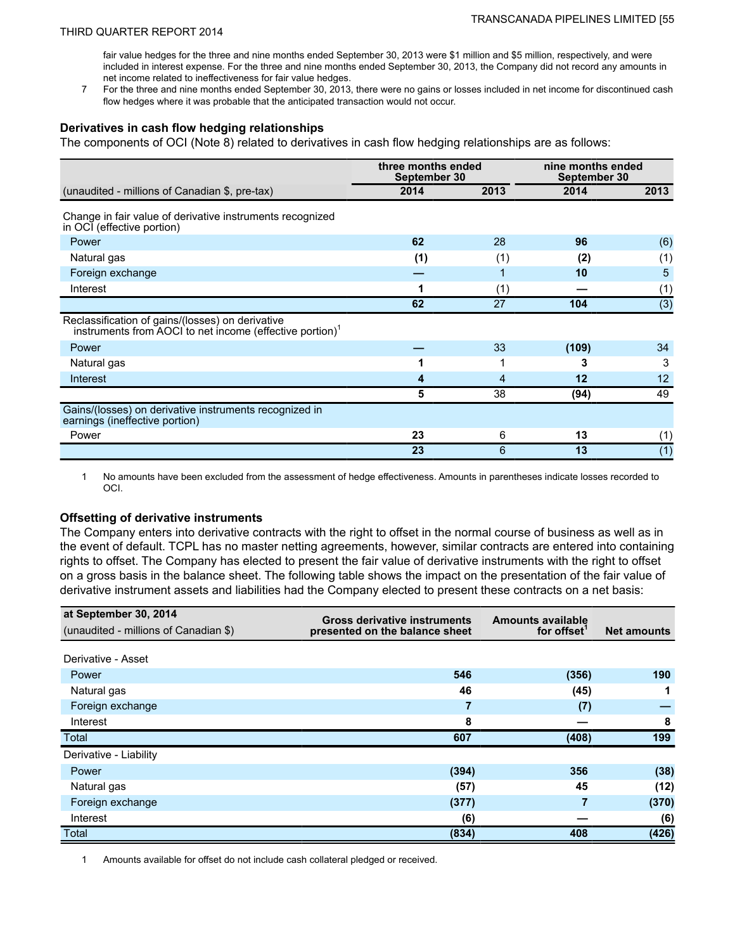fair value hedges for the three and nine months ended September 30, 2013 were \$1 million and \$5 million, respectively, and were included in interest expense. For the three and nine months ended September 30, 2013, the Company did not record any amounts in net income related to ineffectiveness for fair value hedges.

7 For the three and nine months ended September 30, 2013, there were no gains or losses included in net income for discontinued cash flow hedges where it was probable that the anticipated transaction would not occur.

## **Derivatives in cash flow hedging relationships**

The components of OCI (Note 8) related to derivatives in cash flow hedging relationships are as follows:

|                                                                                                                          | three months ended<br>September 30 |      | nine months ended<br>September 30 |      |
|--------------------------------------------------------------------------------------------------------------------------|------------------------------------|------|-----------------------------------|------|
| (unaudited - millions of Canadian \$, pre-tax)                                                                           | 2014                               | 2013 | 2014                              | 2013 |
| Change in fair value of derivative instruments recognized<br>in OCI (effective portion)                                  |                                    |      |                                   |      |
| Power                                                                                                                    | 62                                 | 28   | 96                                | (6)  |
| Natural gas                                                                                                              | (1)                                | (1)  | (2)                               | (1)  |
| Foreign exchange                                                                                                         |                                    |      | 10                                | 5    |
| Interest                                                                                                                 |                                    | (1)  |                                   | (1)  |
|                                                                                                                          | 62                                 | 27   | 104                               | (3)  |
| Reclassification of gains/(losses) on derivative<br>instruments from AOCI to net income (effective portion) <sup>1</sup> |                                    |      |                                   |      |
| Power                                                                                                                    |                                    | 33   | (109)                             | 34   |
| Natural gas                                                                                                              |                                    |      | з                                 | 3    |
| <b>Interest</b>                                                                                                          | 4                                  | 4    | 12                                | 12   |
|                                                                                                                          | 5                                  | 38   | (94)                              | 49   |
| Gains/(losses) on derivative instruments recognized in<br>earnings (ineffective portion)                                 |                                    |      |                                   |      |
| Power                                                                                                                    | 23                                 | 6    | 13                                | (1)  |
|                                                                                                                          | 23                                 | 6    | 13                                | (1)  |

1 No amounts have been excluded from the assessment of hedge effectiveness. Amounts in parentheses indicate losses recorded to OCI.

### **Offsetting of derivative instruments**

The Company enters into derivative contracts with the right to offset in the normal course of business as well as in the event of default. TCPL has no master netting agreements, however, similar contracts are entered into containing rights to offset. The Company has elected to present the fair value of derivative instruments with the right to offset on a gross basis in the balance sheet. The following table shows the impact on the presentation of the fair value of derivative instrument assets and liabilities had the Company elected to present these contracts on a net basis:

| at September 30, 2014                 | Gross derivative instruments   | <b>Amounts available</b> |                    |
|---------------------------------------|--------------------------------|--------------------------|--------------------|
| (unaudited - millions of Canadian \$) | presented on the balance sheet | for offset <sup>1</sup>  | <b>Net amounts</b> |
| Derivative - Asset                    |                                |                          |                    |
| Power                                 | 546                            | (356)                    | 190                |
| Natural gas                           | 46                             | (45)                     |                    |
| Foreign exchange                      |                                | (7)                      |                    |
| Interest                              | 8                              |                          | 8                  |
| Total                                 | 607                            | (408)                    | 199                |
| Derivative - Liability                |                                |                          |                    |
| Power                                 | (394)                          | 356                      | (38)               |
| Natural gas                           | (57)                           | 45                       | (12)               |
| Foreign exchange                      | (377)                          |                          | (370)              |
| Interest                              | (6)                            |                          | (6)                |
| Total                                 | (834)                          | 408                      | (426)              |

1 Amounts available for offset do not include cash collateral pledged or received.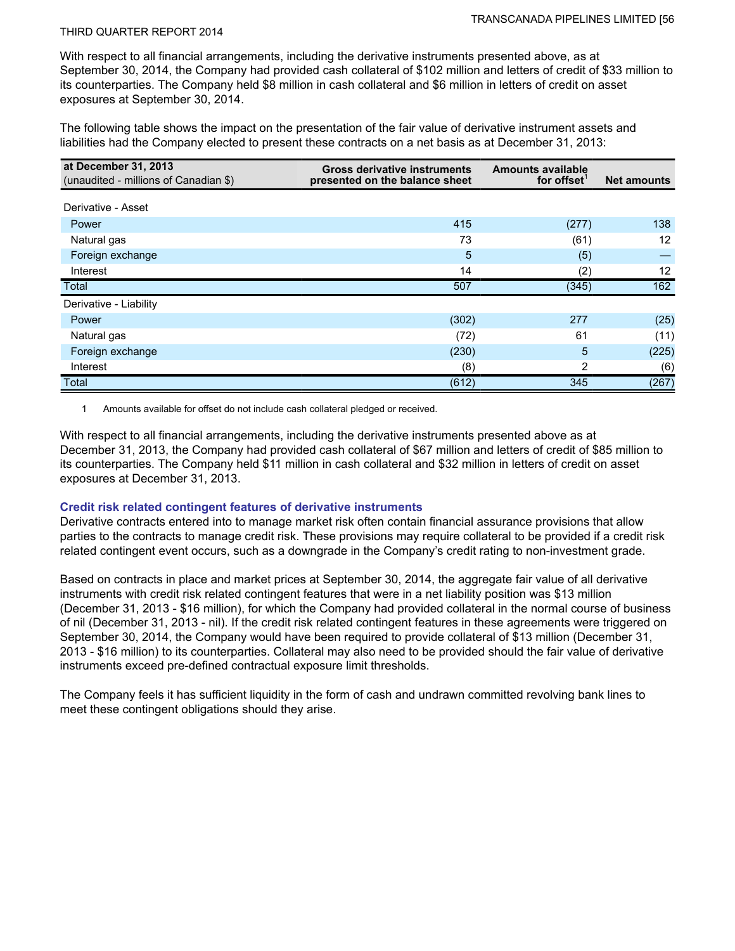#### THIRD QUARTER REPORT 2014

With respect to all financial arrangements, including the derivative instruments presented above, as at September 30, 2014, the Company had provided cash collateral of \$102 million and letters of credit of \$33 million to its counterparties. The Company held \$8 million in cash collateral and \$6 million in letters of credit on asset exposures at September 30, 2014.

The following table shows the impact on the presentation of the fair value of derivative instrument assets and liabilities had the Company elected to present these contracts on a net basis as at December 31, 2013:

| at December 31, 2013<br>(unaudited - millions of Canadian \$) | <b>Gross derivative instruments</b><br>presented on the balance sheet | <b>Amounts available</b><br>for offset | <b>Net amounts</b> |
|---------------------------------------------------------------|-----------------------------------------------------------------------|----------------------------------------|--------------------|
| Derivative - Asset                                            |                                                                       |                                        |                    |
| Power                                                         | 415                                                                   | (277)                                  | 138                |
| Natural gas                                                   | 73                                                                    | (61)                                   | 12 <sup>2</sup>    |
| Foreign exchange                                              | 5                                                                     | (5)                                    |                    |
| Interest                                                      | 14                                                                    | (2)                                    | 12                 |
| Total                                                         | 507                                                                   | (345)                                  | 162                |
| Derivative - Liability                                        |                                                                       |                                        |                    |
| Power                                                         | (302)                                                                 | 277                                    | (25)               |
| Natural gas                                                   | (72)                                                                  | 61                                     | (11)               |
| Foreign exchange                                              | (230)                                                                 | 5                                      | (225)              |
| Interest                                                      | (8)                                                                   | 2                                      | (6)                |
| Total                                                         | (612)                                                                 | 345                                    | (267)              |

1 Amounts available for offset do not include cash collateral pledged or received.

With respect to all financial arrangements, including the derivative instruments presented above as at December 31, 2013, the Company had provided cash collateral of \$67 million and letters of credit of \$85 million to its counterparties. The Company held \$11 million in cash collateral and \$32 million in letters of credit on asset exposures at December 31, 2013.

#### **Credit risk related contingent features of derivative instruments**

Derivative contracts entered into to manage market risk often contain financial assurance provisions that allow parties to the contracts to manage credit risk. These provisions may require collateral to be provided if a credit risk related contingent event occurs, such as a downgrade in the Company's credit rating to non-investment grade.

Based on contracts in place and market prices at September 30, 2014, the aggregate fair value of all derivative instruments with credit risk related contingent features that were in a net liability position was \$13 million (December 31, 2013 - \$16 million), for which the Company had provided collateral in the normal course of business of nil (December 31, 2013 - nil). If the credit risk related contingent features in these agreements were triggered on September 30, 2014, the Company would have been required to provide collateral of \$13 million (December 31, 2013 - \$16 million) to its counterparties. Collateral may also need to be provided should the fair value of derivative instruments exceed pre-defined contractual exposure limit thresholds.

The Company feels it has sufficient liquidity in the form of cash and undrawn committed revolving bank lines to meet these contingent obligations should they arise.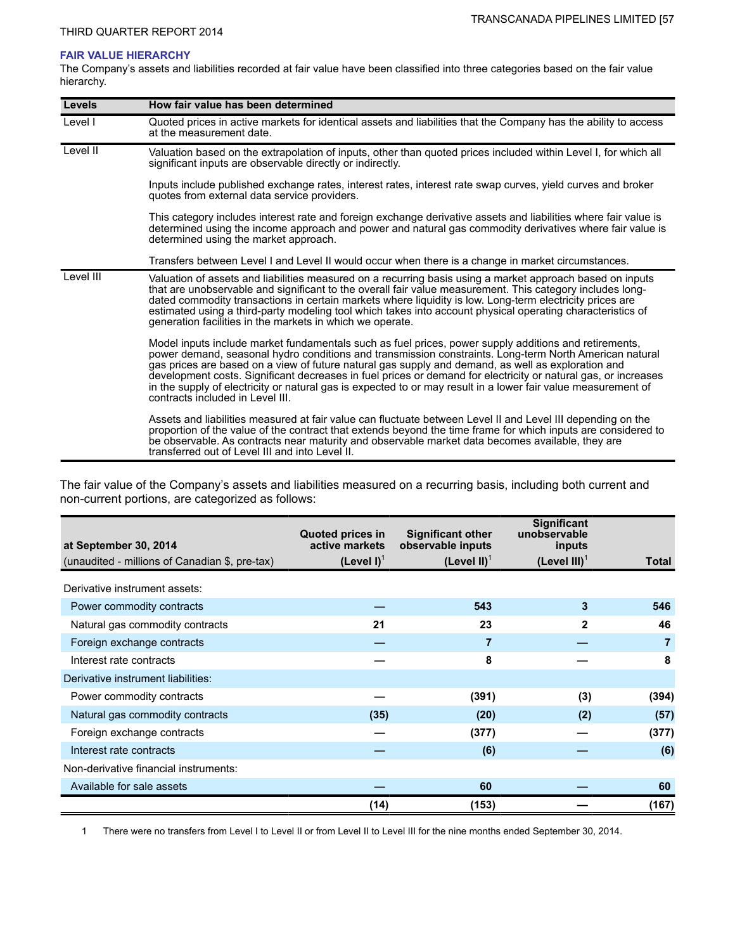#### **FAIR VALUE HIERARCHY**

The Company's assets and liabilities recorded at fair value have been classified into three categories based on the fair value hierarchy.

| Levels    | How fair value has been determined                                                                                                                                                                                                                                                                                                                                                                                                                                                                                                                                                           |
|-----------|----------------------------------------------------------------------------------------------------------------------------------------------------------------------------------------------------------------------------------------------------------------------------------------------------------------------------------------------------------------------------------------------------------------------------------------------------------------------------------------------------------------------------------------------------------------------------------------------|
| Level I   | Quoted prices in active markets for identical assets and liabilities that the Company has the ability to access<br>at the measurement date.                                                                                                                                                                                                                                                                                                                                                                                                                                                  |
| Level II  | Valuation based on the extrapolation of inputs, other than quoted prices included within Level I, for which all<br>significant inputs are observable directly or indirectly.                                                                                                                                                                                                                                                                                                                                                                                                                 |
|           | Inputs include published exchange rates, interest rates, interest rate swap curves, yield curves and broker<br>quotes from external data service providers.                                                                                                                                                                                                                                                                                                                                                                                                                                  |
|           | This category includes interest rate and foreign exchange derivative assets and liabilities where fair value is<br>determined using the income approach and power and natural gas commodity derivatives where fair value is<br>determined using the market approach.                                                                                                                                                                                                                                                                                                                         |
|           | Transfers between Level I and Level II would occur when there is a change in market circumstances.                                                                                                                                                                                                                                                                                                                                                                                                                                                                                           |
| Level III | Valuation of assets and liabilities measured on a recurring basis using a market approach based on inputs<br>that are unobservable and significant to the overall fair value measurement. This category includes long-<br>dated commodity transactions in certain markets where liquidity is low. Long-term electricity prices are<br>estimated using a third-party modeling tool which takes into account physical operating characteristics of<br>generation facilities in the markets in which we operate.                                                                                |
|           | Model inputs include market fundamentals such as fuel prices, power supply additions and retirements,<br>power demand, seasonal hydro conditions and transmission constraints. Long-term North American natural<br>gas prices are based on a view of future natural gas supply and demand, as well as exploration and<br>development costs. Significant decreases in fuel prices or demand for electricity or natural gas, or increases<br>in the supply of electricity or natural gas is expected to or may result in a lower fair value measurement of<br>contracts included in Level III. |
|           | Assets and liabilities measured at fair value can fluctuate between Level II and Level III depending on the<br>proportion of the value of the contract that extends beyond the time frame for which inputs are considered to<br>be observable. As contracts near maturity and observable market data becomes available, they are<br>transferred out of Level III and into Level II.                                                                                                                                                                                                          |

The fair value of the Company's assets and liabilities measured on a recurring basis, including both current and non-current portions, are categorized as follows:

| at September 30, 2014                          | <b>Quoted prices in</b><br>active markets | <b>Significant other</b><br>observable inputs | <b>Significant</b><br>unobservable<br>inputs |       |
|------------------------------------------------|-------------------------------------------|-----------------------------------------------|----------------------------------------------|-------|
| (unaudited - millions of Canadian \$, pre-tax) | (Level I) $1$                             | (Level II) $1$                                | (Level $III$ ) <sup>1</sup>                  | Total |
| Derivative instrument assets:                  |                                           |                                               |                                              |       |
| Power commodity contracts                      |                                           | 543                                           | 3                                            | 546   |
| Natural gas commodity contracts                | 21                                        | 23                                            | $\mathbf{2}$                                 | 46    |
| Foreign exchange contracts                     |                                           | 7                                             |                                              | 7     |
| Interest rate contracts                        |                                           | 8                                             |                                              | 8     |
| Derivative instrument liabilities:             |                                           |                                               |                                              |       |
| Power commodity contracts                      |                                           | (391)                                         | (3)                                          | (394) |
| Natural gas commodity contracts                | (35)                                      | (20)                                          | (2)                                          | (57)  |
| Foreign exchange contracts                     |                                           | (377)                                         |                                              | (377) |
| Interest rate contracts                        |                                           | (6)                                           |                                              | (6)   |
| Non-derivative financial instruments:          |                                           |                                               |                                              |       |
| Available for sale assets                      |                                           | 60                                            |                                              | 60    |
|                                                | (14)                                      | (153)                                         |                                              | (167) |

1 There were no transfers from Level I to Level II or from Level II to Level III for the nine months ended September 30, 2014.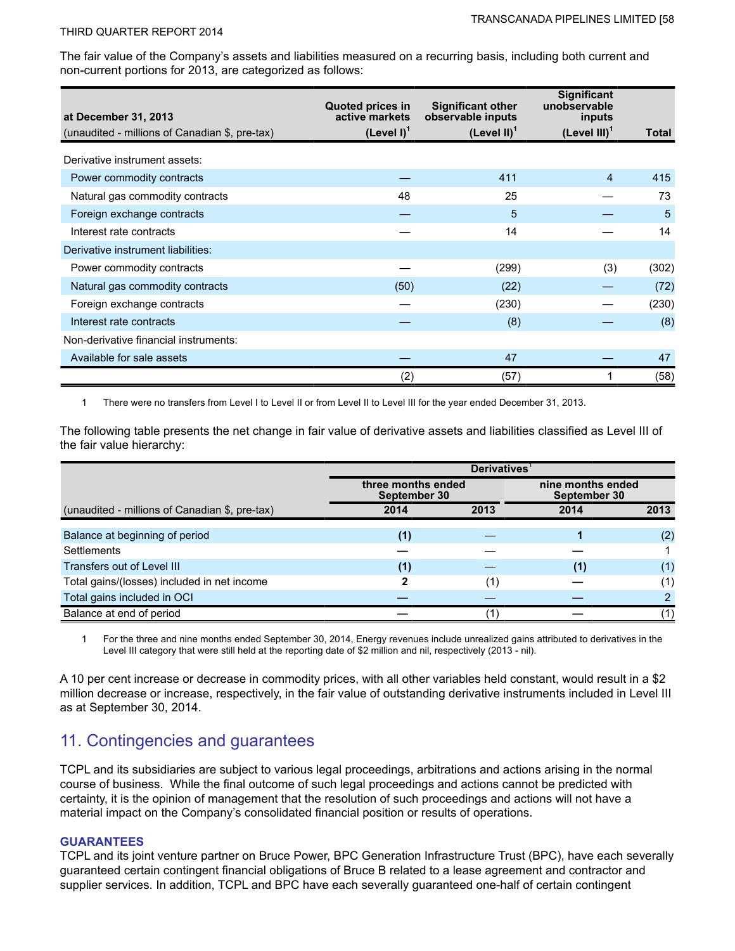#### THIRD QUARTER REPORT 2014

The fair value of the Company's assets and liabilities measured on a recurring basis, including both current and non-current portions for 2013, are categorized as follows:

| at December 31, 2013                           | <b>Quoted prices in</b><br>active markets | <b>Significant other</b><br>observable inputs | <b>Significant</b><br>unobservable<br>inputs |       |
|------------------------------------------------|-------------------------------------------|-----------------------------------------------|----------------------------------------------|-------|
| (unaudited - millions of Canadian \$, pre-tax) | (Level I) <sup>1</sup>                    | (Level II) <sup>1</sup>                       | (Level $III$ ) <sup>1</sup>                  | Total |
| Derivative instrument assets:                  |                                           |                                               |                                              |       |
| Power commodity contracts                      |                                           | 411                                           | 4                                            | 415   |
| Natural gas commodity contracts                | 48                                        | 25                                            |                                              | 73    |
| Foreign exchange contracts                     |                                           | 5                                             |                                              | 5     |
| Interest rate contracts                        |                                           | 14                                            |                                              | 14    |
| Derivative instrument liabilities:             |                                           |                                               |                                              |       |
| Power commodity contracts                      |                                           | (299)                                         | (3)                                          | (302) |
| Natural gas commodity contracts                | (50)                                      | (22)                                          |                                              | (72)  |
| Foreign exchange contracts                     |                                           | (230)                                         |                                              | (230) |
| Interest rate contracts                        |                                           | (8)                                           |                                              | (8)   |
| Non-derivative financial instruments:          |                                           |                                               |                                              |       |
| Available for sale assets                      |                                           | 47                                            |                                              | 47    |
|                                                | (2)                                       | (57)                                          |                                              | (58)  |

1 There were no transfers from Level I to Level II or from Level II to Level III for the year ended December 31, 2013.

The following table presents the net change in fair value of derivative assets and liabilities classified as Level III of the fair value hierarchy:

|                                                | Derivatives <sup>1</sup>           |                                   |      |      |  |
|------------------------------------------------|------------------------------------|-----------------------------------|------|------|--|
|                                                | three months ended<br>September 30 | nine months ended<br>September 30 |      |      |  |
| (unaudited - millions of Canadian \$, pre-tax) | 2014                               | 2013                              | 2014 | 2013 |  |
| Balance at beginning of period                 | (1)                                |                                   |      | (2)  |  |
| <b>Settlements</b>                             |                                    |                                   |      |      |  |
| Transfers out of Level III                     | (1)                                |                                   | (1)  | (1)  |  |
| Total gains/(losses) included in net income    |                                    | (1                                |      | (1)  |  |
| Total gains included in OCI                    |                                    |                                   |      |      |  |
| Balance at end of period                       |                                    |                                   |      | (1)  |  |

1 For the three and nine months ended September 30, 2014, Energy revenues include unrealized gains attributed to derivatives in the Level III category that were still held at the reporting date of \$2 million and nil, respectively (2013 - nil).

A 10 per cent increase or decrease in commodity prices, with all other variables held constant, would result in a \$2 million decrease or increase, respectively, in the fair value of outstanding derivative instruments included in Level III as at September 30, 2014.

# 11. Contingencies and guarantees

TCPL and its subsidiaries are subject to various legal proceedings, arbitrations and actions arising in the normal course of business. While the final outcome of such legal proceedings and actions cannot be predicted with certainty, it is the opinion of management that the resolution of such proceedings and actions will not have a material impact on the Company's consolidated financial position or results of operations.

# **GUARANTEES**

TCPL and its joint venture partner on Bruce Power, BPC Generation Infrastructure Trust (BPC), have each severally guaranteed certain contingent financial obligations of Bruce B related to a lease agreement and contractor and supplier services. In addition, TCPL and BPC have each severally guaranteed one-half of certain contingent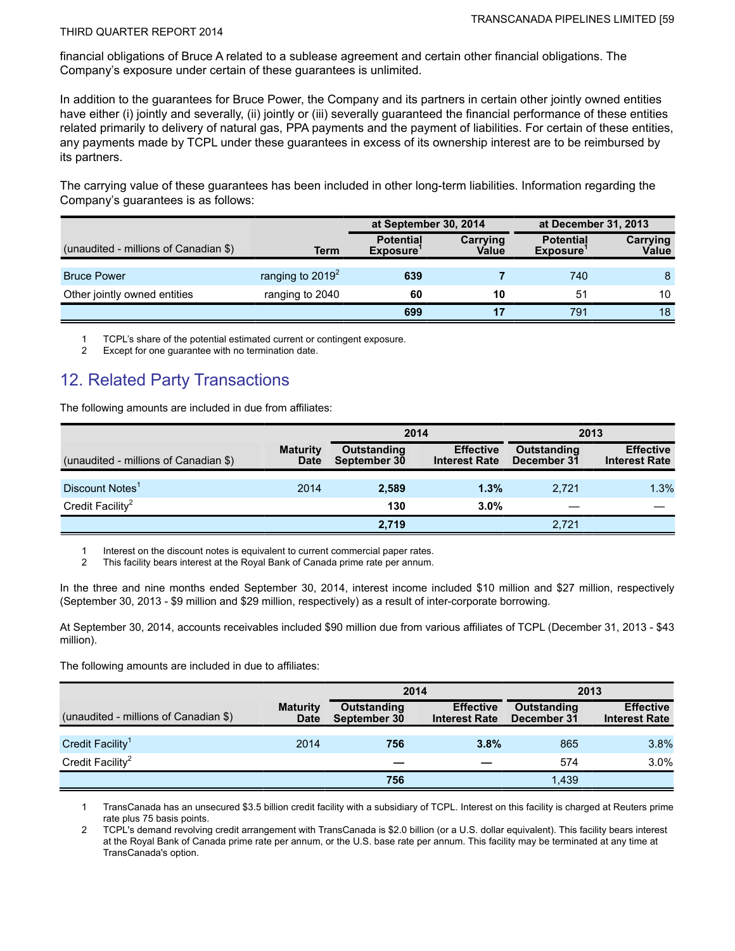#### THIRD QUARTER REPORT 2014

financial obligations of Bruce A related to a sublease agreement and certain other financial obligations. The Company's exposure under certain of these guarantees is unlimited.

In addition to the guarantees for Bruce Power, the Company and its partners in certain other jointly owned entities have either (i) jointly and severally, (ii) jointly or (iii) severally guaranteed the financial performance of these entities related primarily to delivery of natural gas, PPA payments and the payment of liabilities. For certain of these entities, any payments made by TCPL under these guarantees in excess of its ownership interest are to be reimbursed by its partners.

The carrying value of these guarantees has been included in other long-term liabilities. Information regarding the Company's guarantees is as follows:

|                                       |                     | at September 30, 2014               |                   | at December 31, 2013                |                   |
|---------------------------------------|---------------------|-------------------------------------|-------------------|-------------------------------------|-------------------|
| (unaudited - millions of Canadian \$) | Term                | <b>Potential</b><br><b>Exposure</b> | Carrying<br>Value | <b>Potential</b><br><b>Exposure</b> | Carrying<br>Value |
|                                       |                     |                                     |                   |                                     |                   |
| <b>Bruce Power</b>                    | ranging to $2019^2$ | 639                                 |                   | 740                                 | 8                 |
| Other jointly owned entities          | ranging to 2040     | 60                                  | 10                | 51                                  | 10                |
|                                       |                     | 699                                 | 17                | 791                                 | 18                |

1 TCPL's share of the potential estimated current or contingent exposure.

2 Except for one guarantee with no termination date.

# 12. Related Party Transactions

The following amounts are included in due from affiliates:

|                                       |                                | 2014                               |                                          |                            | 2013                                     |
|---------------------------------------|--------------------------------|------------------------------------|------------------------------------------|----------------------------|------------------------------------------|
| (unaudited - millions of Canadian \$) | <b>Maturity</b><br><b>Date</b> | <b>Outstanding</b><br>September 30 | <b>Effective</b><br><b>Interest Rate</b> | Outstanding<br>December 31 | <b>Effective</b><br><b>Interest Rate</b> |
| Discount Notes <sup>1</sup>           | 2014                           | 2,589                              | 1.3%                                     | 2.721                      | 1.3%                                     |
| Credit Facility <sup>2</sup>          |                                | 130                                | 3.0%                                     |                            |                                          |
|                                       |                                | 2,719                              |                                          | 2,721                      |                                          |

1 Interest on the discount notes is equivalent to current commercial paper rates.

2 This facility bears interest at the Royal Bank of Canada prime rate per annum.

In the three and nine months ended September 30, 2014, interest income included \$10 million and \$27 million, respectively (September 30, 2013 - \$9 million and \$29 million, respectively) as a result of inter-corporate borrowing.

At September 30, 2014, accounts receivables included \$90 million due from various affiliates of TCPL (December 31, 2013 - \$43 million).

The following amounts are included in due to affiliates:

|                                       |                                | 2014                               |                                          | 2013                       |                                          |
|---------------------------------------|--------------------------------|------------------------------------|------------------------------------------|----------------------------|------------------------------------------|
| (unaudited - millions of Canadian \$) | <b>Maturity</b><br><b>Date</b> | <b>Outstanding</b><br>September 30 | <b>Effective</b><br><b>Interest Rate</b> | Outstanding<br>December 31 | <b>Effective</b><br><b>Interest Rate</b> |
|                                       |                                |                                    |                                          |                            |                                          |
| Credit Facility <sup>1</sup>          | 2014                           | 756                                | 3.8%                                     | 865                        | 3.8%                                     |
| Credit Facility <sup>2</sup>          |                                |                                    |                                          | 574                        | 3.0%                                     |
|                                       |                                | 756                                |                                          | 1.439                      |                                          |

1 TransCanada has an unsecured \$3.5 billion credit facility with a subsidiary of TCPL. Interest on this facility is charged at Reuters prime rate plus 75 basis points.

2 TCPL's demand revolving credit arrangement with TransCanada is \$2.0 billion (or a U.S. dollar equivalent). This facility bears interest at the Royal Bank of Canada prime rate per annum, or the U.S. base rate per annum. This facility may be terminated at any time at TransCanada's option.